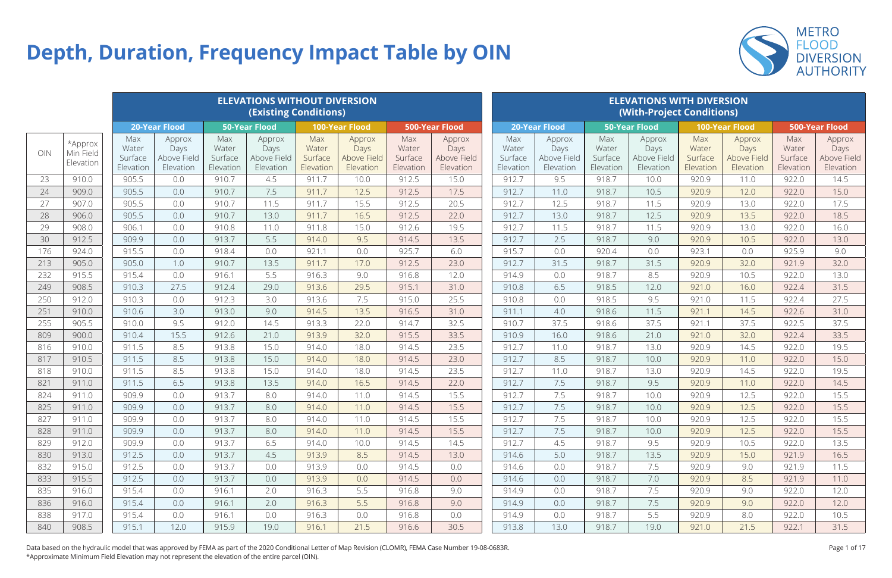|     |                                   |                                      |                                            |                                      | <b>ELEVATIONS WITHOUT DIVERSION</b><br><b>(Existing Conditions)</b> |                                      |                                            |                                      |                                            |                                      |                                            |                                      | <b>ELEVATIONS WITH DIVERSION</b><br>(With-Project Conditions) |                                      |                                            |                                      |                                            |
|-----|-----------------------------------|--------------------------------------|--------------------------------------------|--------------------------------------|---------------------------------------------------------------------|--------------------------------------|--------------------------------------------|--------------------------------------|--------------------------------------------|--------------------------------------|--------------------------------------------|--------------------------------------|---------------------------------------------------------------|--------------------------------------|--------------------------------------------|--------------------------------------|--------------------------------------------|
|     |                                   |                                      | <b>20-Year Flood</b>                       |                                      | <b>50-Year Flood</b>                                                |                                      | <b>100-Year Flood</b>                      |                                      | <b>500-Year Flood</b>                      |                                      | <b>20-Year Flood</b>                       |                                      | <b>50-Year Flood</b>                                          |                                      | <b>100-Year Flood</b>                      |                                      | <b>500-Year Flood</b>                      |
| OIN | *Approx<br>Min Field<br>Elevation | Max<br>Water<br>Surface<br>Elevation | Approx<br>Days<br>Above Field<br>Elevation | Max<br>Water<br>Surface<br>Elevation | Approx<br>Days<br>Above Field<br>Elevation                          | Max<br>Water<br>Surface<br>Elevation | Approx<br>Days<br>Above Field<br>Elevation | Max<br>Water<br>Surface<br>Elevation | Approx<br>Days<br>Above Field<br>Elevation | Max<br>Water<br>Surface<br>Elevation | Approx<br>Days<br>Above Field<br>Elevation | Max<br>Water<br>Surface<br>Elevation | Approx<br>Days<br>Above Field<br>Elevation                    | Max<br>Water<br>Surface<br>Elevation | Approx<br>Days<br>Above Field<br>Elevation | Max<br>Water<br>Surface<br>Elevation | Approx<br>Days<br>Above Field<br>Elevation |
| 23  | 910.0                             | 905.5                                | 0.0                                        | 910.7                                | 4.5                                                                 | 911.7                                | 10.0                                       | 912.5                                | 15.0                                       | 912.7                                | 9.5                                        | 918.7                                | 10.0                                                          | 920.9                                | 11.0                                       | 922.0                                | 14.5                                       |
| 24  | 909.0                             | 905.5                                | 0.0                                        | 910.7                                | 7.5                                                                 | 911.7                                | 12.5                                       | 912.5                                | 17.5                                       | 912.7                                | 11.0                                       | 918.7                                | 10.5                                                          | 920.9                                | 12.0                                       | 922.0                                | 15.0                                       |
| 27  | 907.0                             | 905.5                                | 0.0                                        | 910.7                                | 11.5                                                                | 911.7                                | 15.5                                       | 912.5                                | 20.5                                       | 912.7                                | 12.5                                       | 918.7                                | 11.5                                                          | 920.9                                | 13.0                                       | 922.0                                | 17.5                                       |
| 28  | 906.0                             | 905.5                                | 0.0                                        | 910.7                                | 13.0                                                                | 911.7                                | 16.5                                       | 912.5                                | 22.0                                       | 912.7                                | 13.0                                       | 918.7                                | 12.5                                                          | 920.9                                | 13.5                                       | 922.0                                | 18.5                                       |
| 29  | 908.0                             | 906.1                                | 0.0                                        | 910.8                                | 11.0                                                                | 911.8                                | 15.0                                       | 912.6                                | 19.5                                       | 912.7                                | 11.5                                       | 918.7                                | 11.5                                                          | 920.9                                | 13.0                                       | 922.0                                | 16.0                                       |
| 30  | 912.5                             | 909.9                                | 0.0                                        | 913.7                                | 5.5                                                                 | 914.0                                | 9.5                                        | 914.5                                | 13.5                                       | 912.7                                | 2.5                                        | 918.7                                | 9.0                                                           | 920.9                                | 10.5                                       | 922.0                                | 13.0                                       |
| 176 | 924.0                             | 915.5                                | 0.0                                        | 918.4                                | 0.0                                                                 | 921.1                                | 0.0                                        | 925.7                                | 6.0                                        | 915.7                                | 0.0                                        | 920.4                                | 0.0                                                           | 923.1                                | 0.0                                        | 925.9                                | 9.0                                        |
| 213 | 905.0                             | 905.0                                | 1.0                                        | 910.7                                | 13.5                                                                | 911.7                                | 17.0                                       | 912.5                                | 23.0                                       | 912.7                                | 31.5                                       | 918.7                                | 31.5                                                          | 920.9                                | 32.0                                       | 921.9                                | 32.0                                       |
| 232 | 915.5                             | 915.4                                | 0.0                                        | 916.1                                | 5.5                                                                 | 916.3                                | 9.0                                        | 916.8                                | 12.0                                       | 914.9                                | 0.0                                        | 918.7                                | 8.5                                                           | 920.9                                | 10.5                                       | 922.0                                | 13.0                                       |
| 249 | 908.5                             | 910.3                                | 27.5                                       | 912.4                                | 29.0                                                                | 913.6                                | 29.5                                       | 915.1                                | 31.0                                       | 910.8                                | 6.5                                        | 918.5                                | 12.0                                                          | 921.0                                | 16.0                                       | 922.4                                | 31.5                                       |
| 250 | 912.0                             | 910.3                                | 0.0                                        | 912.3                                | 3.0                                                                 | 913.6                                | 7.5                                        | 915.0                                | 25.5                                       | 910.8                                | 0.0                                        | 918.5                                | 9.5                                                           | 921.0                                | 11.5                                       | 922.4                                | 27.5                                       |
| 251 | 910.0                             | 910.6                                | 3.0                                        | 913.0                                | 9.0                                                                 | 914.5                                | 13.5                                       | 916.5                                | 31.0                                       | 911.1                                | 4.0                                        | 918.6                                | 11.5                                                          | 921.1                                | 14.5                                       | 922.6                                | 31.0                                       |
| 255 | 905.5                             | 910.0                                | 9.5                                        | 912.0                                | 14.5                                                                | 913.3                                | 22.0                                       | 914.7                                | 32.5                                       | 910.7                                | 37.5                                       | 918.6                                | 37.5                                                          | 921.1                                | 37.5                                       | 922.5                                | 37.5                                       |
| 809 | 900.0                             | 910.4                                | 15.5                                       | 912.6                                | 21.0                                                                | 913.9                                | 32.0                                       | 915.5                                | 33.5                                       | 910.9                                | 16.0                                       | 918.6                                | 21.0                                                          | 921.0                                | 32.0                                       | 922.4                                | 33.5                                       |
| 816 | 910.0                             | 911.5                                | 8.5                                        | 913.8                                | 15.0                                                                | 914.0                                | 18.0                                       | 914.5                                | 23.5                                       | 912.7                                | 11.0                                       | 918.7                                | 13.0                                                          | 920.9                                | 14.5                                       | 922.0                                | 19.5                                       |
| 817 | 910.5                             | 911.5                                | 8.5                                        | 913.8                                | 15.0                                                                | 914.0                                | 18.0                                       | 914.5                                | 23.0                                       | 912.7                                | 8.5                                        | 918.7                                | 10.0                                                          | 920.9                                | 11.0                                       | 922.0                                | 15.0                                       |
| 818 | 910.0                             | 911.5                                | 8.5                                        | 913.8                                | 15.0                                                                | 914.0                                | 18.0                                       | 914.5                                | 23.5                                       | 912.7                                | 11.0                                       | 918.7                                | 13.0                                                          | 920.9                                | 14.5                                       | 922.0                                | 19.5                                       |
| 821 | 911.0                             | 911.5                                | 6.5                                        | 913.8                                | 13.5                                                                | 914.0                                | 16.5                                       | 914.5                                | 22.0                                       | 912.7                                | 7.5                                        | 918.7                                | 9.5                                                           | 920.9                                | 11.0                                       | 922.0                                | 14.5                                       |
| 824 | 911.0                             | 909.9                                | 0.0                                        | 913.7                                | 8.0                                                                 | 914.0                                | 11.0                                       | 914.5                                | 15.5                                       | 912.7                                | 7.5                                        | 918.7                                | 10.0                                                          | 920.9                                | 12.5                                       | 922.0                                | 15.5                                       |
| 825 | 911.0                             | 909.9                                | 0.0                                        | 913.7                                | 8.0                                                                 | 914.0                                | 11.0                                       | 914.5                                | 15.5                                       | 912.7                                | 7.5                                        | 918.7                                | 10.0                                                          | 920.9                                | 12.5                                       | 922.0                                | 15.5                                       |
| 827 | 911.0                             | 909.9                                | 0.0                                        | 913.7                                | 8.0                                                                 | 914.0                                | 11.0                                       | 914.5                                | 15.5                                       | 912.7                                | 7.5                                        | 918.7                                | 10.0                                                          | 920.9                                | 12.5                                       | 922.0                                | 15.5                                       |
| 828 | 911.0                             | 909.9                                | 0.0                                        | 913.7                                | 8.0                                                                 | 914.0                                | 11.0                                       | 914.5                                | 15.5                                       | 912.7                                | 7.5                                        | 918.7                                | 10.0                                                          | 920.9                                | 12.5                                       | 922.0                                | 15.5                                       |
| 829 | 912.0                             | 909.9                                | 0.0                                        | 913.7                                | 6.5                                                                 | 914.0                                | 10.0                                       | 914.5                                | 14.5                                       | 912.7                                | 4.5                                        | 918.7                                | 9.5                                                           | 920.9                                | 10.5                                       | 922.0                                | 13.5                                       |
| 830 | 913.0                             | 912.5                                | 0.0                                        | 913.7                                | 4.5                                                                 | 913.9                                | 8.5                                        | 914.5                                | 13.0                                       | 914.6                                | 5.0                                        | 918.7                                | 13.5                                                          | 920.9                                | 15.0                                       | 921.9                                | 16.5                                       |
| 832 | 915.0                             | 912.5                                | 0.0                                        | 913.7                                | 0.0                                                                 | 913.9                                | 0.0                                        | 914.5                                | 0.0                                        | 914.6                                | 0.0                                        | 918.7                                | 7.5                                                           | 920.9                                | 9.0                                        | 921.9                                | 11.5                                       |
| 833 | 915.5                             | 912.5                                | 0.0                                        | 913.7                                | 0.0                                                                 | 913.9                                | 0.0                                        | 914.5                                | 0.0                                        | 914.6                                | 0.0                                        | 918.7                                | 7.0                                                           | 920.9                                | 8.5                                        | 921.9                                | 11.0                                       |
| 835 | 916.0                             | 915.4                                | 0.0                                        | 916.1                                | 2.0                                                                 | 916.3                                | 5.5                                        | 916.8                                | 9.0                                        | 914.9                                | 0.0                                        | 918.7                                | 7.5                                                           | 920.9                                | 9.0                                        | 922.0                                | 12.0                                       |
| 836 | 916.0                             | 915.4                                | 0.0                                        | 916.1                                | 2.0                                                                 | 916.3                                | 5.5                                        | 916.8                                | 9.0                                        | 914.9                                | 0.0                                        | 918.7                                | 7.5                                                           | 920.9                                | 9.0                                        | 922.0                                | 12.0                                       |
| 838 | 917.0                             | 915.4                                | 0.0                                        | 916.1                                | 0.0                                                                 | 916.3                                | 0.0                                        | 916.8                                | 0.0                                        | 914.9                                | 0.0                                        | 918.7                                | 5.5                                                           | 920.9                                | 8.0                                        | 922.0                                | 10.5                                       |
| 840 | 908.5                             | 915.1                                | 12.0                                       | 915.9                                | 19.0                                                                | 916.1                                | 21.5                                       | 916.6                                | 30.5                                       | 913.8                                | 13.0                                       | 918.7                                | 19.0                                                          | 921.0                                | 21.5                                       | 922.1                                | 31.5                                       |





## **Depth, Duration, Frequency Impact Table by OIN**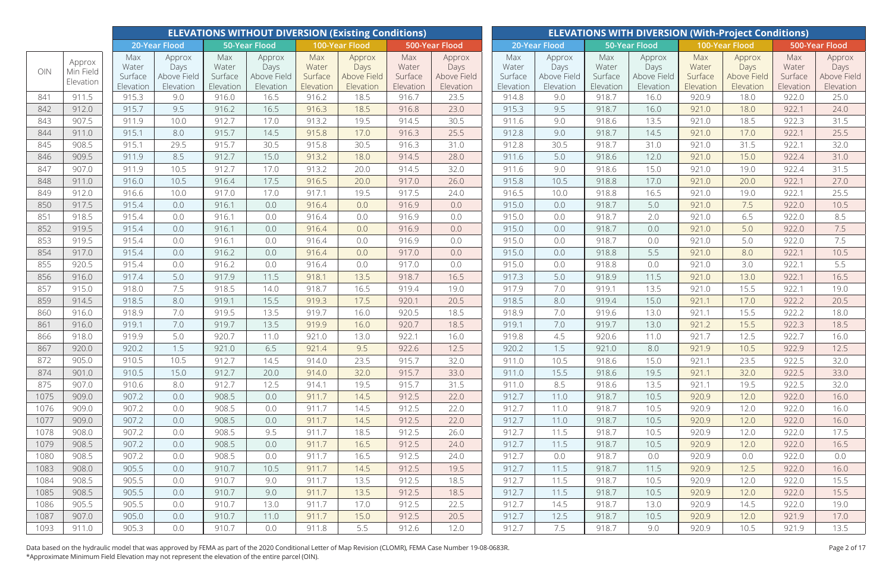|      |                     |                      |                          |                      | <b>ELEVATIONS WITHOUT DIVERSION (Existing Conditions)</b> |                      |                          |                      |                          |                      |                          |                      |                          |                      | <b>ELEVATIONS WITH DIVERSION (With-Project Conditions)</b> |                      |                          |
|------|---------------------|----------------------|--------------------------|----------------------|-----------------------------------------------------------|----------------------|--------------------------|----------------------|--------------------------|----------------------|--------------------------|----------------------|--------------------------|----------------------|------------------------------------------------------------|----------------------|--------------------------|
|      |                     |                      | 20-Year Flood            |                      | 50-Year Flood                                             |                      | 100-Year Flood           |                      | 500-Year Flood           |                      | 20-Year Flood            |                      | 50-Year Flood            |                      | 100-Year Flood                                             |                      | 500-Year Flood           |
| OIN  | Approx<br>Min Field | Max<br>Water         | Approx<br>Days           | Max<br>Water         | Approx<br>Days                                            | Max<br>Water         | Approx<br>Days           | Max<br>Water         | Approx<br>Days           | Max<br>Water         | Approx<br>Days           | Max<br>Water         | Approx<br>Days           | Max<br>Water         | Approx<br>Days                                             | Max<br>Water         | Approx<br>Days           |
|      | Elevation           | Surface<br>Elevation | Above Field<br>Elevation | Surface<br>Elevation | Above Field<br>Elevation                                  | Surface<br>Elevation | Above Field<br>Elevation | Surface<br>Elevation | Above Field<br>Elevation | Surface<br>Elevation | Above Field<br>Elevation | Surface<br>Elevation | Above Field<br>Elevation | Surface<br>Elevation | Above Field<br>Elevation                                   | Surface<br>Elevation | Above Field<br>Elevation |
| 841  | 911.5               | 915.3                | 9.0                      | 916.0                | 16.5                                                      | 916.2                | 18.5                     | 916.7                | 23.5                     | 914.8                | 9.0                      | 918.7                | 16.0                     | 920.9                | 18.0                                                       | 922.0                | 25.0                     |
| 842  | 912.0               | 915.7                | 9.5                      | 916.2                | 16.5                                                      | 916.3                | 18.5                     | 916.8                | 23.0                     | 915.3                | 9.5                      | 918.7                | 16.0                     | 921.0                | 18.0                                                       | 922.1                | 24.0                     |
| 843  | 907.5               | 911.9                | 10.0                     | 912.7                | 17.0                                                      | 913.2                | 19.5                     | 914.5                | 30.5                     | 911.6                | 9.0                      | 918.6                | 13.5                     | 921.0                | 18.5                                                       | 922.3                | 31.5                     |
| 844  | 911.0               | 915.1                | 8.0                      | 915.7                | 14.5                                                      | 915.8                | 17.0                     | 916.3                | 25.5                     | 912.8                | 9.0                      | 918.7                | 14.5                     | 921.0                | 17.0                                                       | 922.1                | 25.5                     |
| 845  | 908.5               | 915.1                | 29.5                     | 915.7                | 30.5                                                      | 915.8                | 30.5                     | 916.3                | 31.0                     | 912.8                | 30.5                     | 918.7                | 31.0                     | 921.0                | 31.5                                                       | 922.1                | 32.0                     |
| 846  | 909.5               | 911.9                | 8.5                      | 912.7                | 15.0                                                      | 913.2                | 18.0                     | 914.5                | 28.0                     | 911.6                | 5.0                      | 918.6                | 12.0                     | 921.0                | 15.0                                                       | 922.4                | 31.0                     |
| 847  | 907.0               | 911.9                | 10.5                     | 912.7                | 17.0                                                      | 913.2                | 20.0                     | 914.5                | 32.0                     | 911.6                | 9.0                      | 918.6                | 15.0                     | 921.0                | 19.0                                                       | 922.4                | 31.5                     |
| 848  | 911.0               | 916.0                | 10.5                     | 916.4                | 17.5                                                      | 916.5                | 20.0                     | 917.0                | 26.0                     | 915.8                | 10.5                     | 918.8                | 17.0                     | 921.0                | 20.0                                                       | 922.1                | 27.0                     |
| 849  | 912.0               | 916.6                | 10.0                     | 917.0                | 17.0                                                      | 917.1                | 19.5                     | 917.5                | 24.0                     | 916.5                | 10.0                     | 918.8                | 16.5                     | 921.0                | 19.0                                                       | 922.1                | 25.5                     |
| 850  | 917.5               | 915.4                | 0.0                      | 916.1                | 0.0                                                       | 916.4                | 0.0                      | 916.9                | 0.0                      | 915.0                | 0.0                      | 918.7                | 5.0                      | 921.0                | 7.5                                                        | 922.0                | 10.5                     |
| 851  | 918.5               | 915.4                | 0.0                      | 916.1                | 0.0                                                       | 916.4                | 0.0                      | 916.9                | 0.0                      | 915.0                | 0.0                      | 918.7                | 2.0                      | 921.0                | 6.5                                                        | 922.0                | 8.5                      |
| 852  | 919.5               | 915.4                | 0.0                      | 916.1                | 0.0                                                       | 916.4                | 0.0                      | 916.9                | 0.0                      | 915.0                | 0.0                      | 918.7                | 0.0                      | 921.0                | 5.0                                                        | 922.0                | 7.5                      |
| 853  | 919.5               | 915.4                | 0.0                      | 916.1                | 0.0                                                       | 916.4                | 0.0                      | 916.9                | 0.0                      | 915.0                | 0.0                      | 918.7                | 0.0                      | 921.0                | 5.0                                                        | 922.0                | 7.5                      |
| 854  | 917.0               | 915.4                | 0.0                      | 916.2                | 0.0                                                       | 916.4                | 0.0                      | 917.0                | 0.0                      | 915.0                | 0.0                      | 918.8                | 5.5                      | 921.0                | 8.0                                                        | 922.1                | 10.5                     |
| 855  | 920.5               | 915.4                | 0.0                      | 916.2                | 0.0                                                       | 916.4                | 0.0                      | 917.0                | 0.0                      | 915.0                | 0.0                      | 918.8                | 0.0                      | 921.0                | 3.0                                                        | 922.1                | 5.5                      |
| 856  | 916.0               | 917.4                | 5.0                      | 917.9                | 11.5                                                      | 918.1                | 13.5                     | 918.7                | 16.5                     | 917.3                | 5.0                      | 918.9                | 11.5                     | 921.0                | 13.0                                                       | 922.1                | 16.5                     |
| 857  | 915.0               | 918.0                | 7.5                      | 918.5                | 14.0                                                      | 918.7                | 16.5                     | 919.4                | 19.0                     | 917.9                | 7.0                      | 919.1                | 13.5                     | 921.0                | 15.5                                                       | 922.1                | 19.0                     |
| 859  | 914.5               | 918.5                | 8.0                      | 919.1                | 15.5                                                      | 919.3                | 17.5                     | 920.1                | 20.5                     | 918.5                | 8.0                      | 919.4                | 15.0                     | 921.1                | 17.0                                                       | 922.2                | 20.5                     |
| 860  | 916.0               | 918.9                | 7.0                      | 919.5                | 13.5                                                      | 919.7                | 16.0                     | 920.5                | 18.5                     | 918.9                | 7.0                      | 919.6                | 13.0                     | 921.1                | 15.5                                                       | 922.2                | 18.0                     |
| 861  | 916.0               | 919.1                | 7.0                      | 919.7                | 13.5                                                      | 919.9                | 16.0                     | 920.7                | 18.5                     | 919.1                | 7.0                      | 919.7                | 13.0                     | 921.2                | 15.5                                                       | 922.3                | 18.5                     |
| 866  | 918.0               | 919.9                | 5.0                      | 920.7                | 11.0                                                      | 921.0                | 13.0                     | 922.1                | 16.0                     | 919.8                | 4.5                      | 920.6                | 11.0                     | 921.7                | 12.5                                                       | 922.7                | 16.0                     |
| 867  | 920.0               | 920.2                | 1.5                      | 921.0                | 6.5                                                       | 921.4                | 9.5                      | 922.6                | 12.5                     | 920.2                | 1.5                      | 921.0                | 8.0                      | 921.9                | 10.5                                                       | 922.9                | 12.5                     |
| 872  | 905.0               | 910.5                | 10.5                     | 912.7                | 14.5                                                      | 914.0                | 23.5                     | 915.7                | 32.0                     | 911.0                | 10.5                     | 918.6                | 15.0                     | 921.1                | 23.5                                                       | 922.5                | 32.0                     |
| 874  | 901.0               | 910.5                | 15.0                     | 912.7                | 20.0                                                      | 914.0                | 32.0                     | 915.7                | 33.0                     | 911.0                | 15.5                     | 918.6                | 19.5                     | 921.1                | 32.0                                                       | 922.5                | 33.0                     |
| 875  | 907.0               | 910.6                | 8.0                      | 912.7                | 12.5                                                      | 914.1                | 19.5                     | 915.7                | 31.5                     | 911.0                | 8.5                      | 918.6                | 13.5                     | 921.1                | 19.5                                                       | 922.5                | 32.0                     |
| 1075 | 909.0               | 907.2                | 0.0                      | 908.5                | 0.0                                                       | 911.7                | 14.5                     | 912.5                | 22.0                     | 912.7                | 11.0                     | 918.7                | 10.5                     | 920.9                | 12.0                                                       | 922.0                | 16.0                     |
| 1076 | 909.0               | 907.2                | 0.0                      | 908.5                | 0.0                                                       | 911.7                | 14.5                     | 912.5                | 22.0                     | 912.7                | 11.0                     | 918.7                | 10.5                     | 920.9                | 12.0                                                       | 922.0                | 16.0                     |
| 1077 | 909.0               | 907.2                | 0.0                      | 908.5                | 0.0                                                       | 911.7                | 14.5                     | 912.5                | 22.0                     | 912.7                | 11.0                     | 918.7                | 10.5                     | 920.9                | 12.0                                                       | 922.0                | 16.0                     |
| 1078 | 908.0               | 907.2                | 0.0                      | 908.5                | 9.5                                                       | 911.7                | 18.5                     | 912.5                | 26.0                     | 912.7                | 11.5                     | 918.7                | 10.5                     | 920.9                | 12.0                                                       | 922.0                | 17.5                     |
| 1079 | 908.5               | 907.2                | 0.0                      | 908.5                | 0.0                                                       | 911.7                | 16.5                     | 912.5                | 24.0                     | 912.7                | 11.5                     | 918.7                | 10.5                     | 920.9                | 12.0                                                       | 922.0                | 16.5                     |
| 1080 | 908.5               | 907.2                | 0.0                      | 908.5                | 0.0                                                       | 911.7                | 16.5                     | 912.5                | 24.0                     | 912.7                | 0.0                      | 918.7                | 0.0                      | 920.9                | 0.0                                                        | 922.0                | 0.0                      |
| 1083 | 908.0               | 905.5                | 0.0                      | 910.7                | 10.5                                                      | 911.7                | 14.5                     | 912.5                | 19.5                     | 912.7                | 11.5                     | 918.7                | 11.5                     | 920.9                | 12.5                                                       | 922.0                | 16.0                     |
| 1084 | 908.5               | 905.5                | 0.0                      | 910.7                | 9.0                                                       | 911.7                | 13.5                     | 912.5                | 18.5                     | 912.7                | 11.5                     | 918.7                | 10.5                     | 920.9                | 12.0                                                       | 922.0                | 15.5                     |
| 1085 | 908.5               | 905.5                | 0.0                      | 910.7                | 9.0                                                       | 911.7                | 13.5                     | 912.5                | 18.5                     | 912.7                | 11.5                     | 918.7                | 10.5                     | 920.9                | 12.0                                                       | 922.0                | 15.5                     |
| 1086 | 905.5               | 905.5                | 0.0                      | 910.7                | 13.0                                                      | 911.7                | 17.0                     | 912.5                | 22.5                     | 912.7                | 14.5                     | 918.7                | 13.0                     | 920.9                | 14.5                                                       | 922.0                | 19.0                     |
| 1087 | 907.0               | 905.0                | 0.0                      | 910.7                | 11.0                                                      | 911.7                | 15.0                     | 912.5                | 20.5                     | 912.7                | 12.5                     | 918.7                | 10.5                     | 920.9                | 12.0                                                       | 921.9                | 17.0                     |
| 1093 | 911.0               | 905.3                | 0.0                      | 910.7                | 0.0                                                       | 911.8                | 5.5                      | 912.6                | 12.0                     | 912.7                | 7.5                      | 918.7                | 9.0                      | 920.9                | 10.5                                                       | 921.9                | 13.5                     |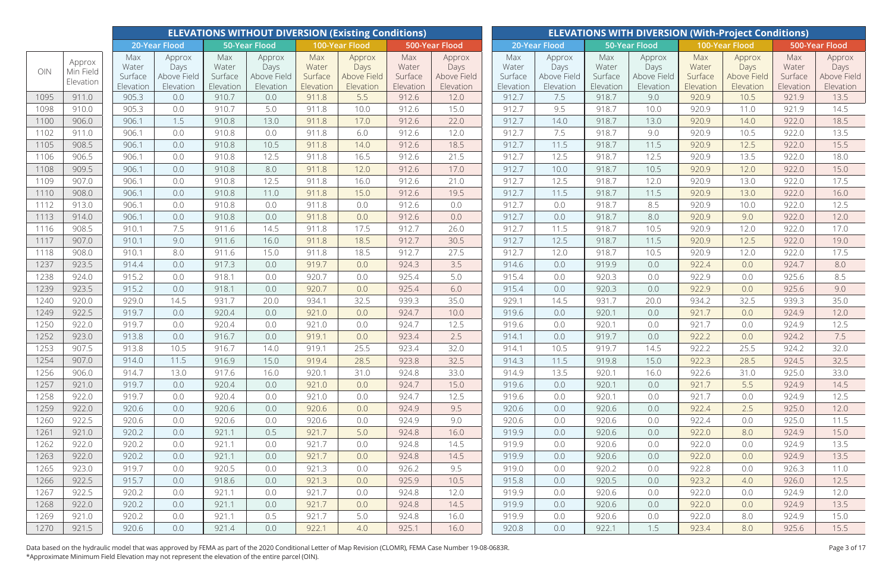|              |                                  |                                      |                                            |                                      | <b>ELEVATIONS WITHOUT DIVERSION (Existing Conditions)</b> |                                      |                                            |                                      |                                            |                                      |                                            |                                      |                                            |                                      | <b>ELEVATIONS WITH DIVERSION (With-Project Conditions)</b> |                                      |                                            |
|--------------|----------------------------------|--------------------------------------|--------------------------------------------|--------------------------------------|-----------------------------------------------------------|--------------------------------------|--------------------------------------------|--------------------------------------|--------------------------------------------|--------------------------------------|--------------------------------------------|--------------------------------------|--------------------------------------------|--------------------------------------|------------------------------------------------------------|--------------------------------------|--------------------------------------------|
|              |                                  |                                      | 20-Year Flood                              |                                      | <b>50-Year Flood</b>                                      |                                      | 100-Year Flood                             |                                      | 500-Year Flood                             |                                      | 20-Year Flood                              |                                      | 50-Year Flood                              |                                      | 100-Year Flood                                             |                                      | 500-Year Flood                             |
| OIN          | Approx<br>Min Field<br>Elevation | Max<br>Water<br>Surface<br>Elevation | Approx<br>Days<br>Above Field<br>Elevation | Max<br>Water<br>Surface<br>Elevation | Approx<br>Days<br>Above Field<br>Elevation                | Max<br>Water<br>Surface<br>Elevation | Approx<br>Days<br>Above Field<br>Elevation | Max<br>Water<br>Surface<br>Elevation | Approx<br>Days<br>Above Field<br>Elevation | Max<br>Water<br>Surface<br>Elevation | Approx<br>Days<br>Above Field<br>Elevation | Max<br>Water<br>Surface<br>Elevation | Approx<br>Days<br>Above Field<br>Elevation | Max<br>Water<br>Surface<br>Elevation | Approx<br>Days<br>Above Field<br>Elevation                 | Max<br>Water<br>Surface<br>Elevation | Approx<br>Days<br>Above Field<br>Elevation |
| 1095         | 911.0                            | 905.3                                | 0.0                                        | 910.7                                | 0.0                                                       | 911.8                                | 5.5                                        | 912.6                                | 12.0                                       | 912.7                                | 7.5                                        | 918.7                                | 9.0                                        | 920.9                                | 10.5                                                       | 921.9                                | 13.5                                       |
| 1098         | 910.0                            | 905.3                                | 0.0                                        | 910.7                                | 5.0                                                       | 911.8                                | 10.0                                       | 912.6                                | 15.0                                       | 912.7                                | 9.5                                        | 918.7                                | 10.0                                       | 920.9                                | 11.0                                                       | 921.9                                | 14.5                                       |
| 1100         | 906.0                            | 906.1                                | 1.5                                        | 910.8                                | 13.0                                                      | 911.8                                | 17.0                                       | 912.6                                | 22.0                                       | 912.7                                | 14.0                                       | 918.7                                | 13.0                                       | 920.9                                | 14.0                                                       | 922.0                                | 18.5                                       |
| 1102         | 911.0                            | 906.1                                | 0.0                                        | 910.8                                | 0.0                                                       | 911.8                                | 6.0                                        | 912.6                                | 12.0                                       | 912.7                                | 7.5                                        | 918.7                                | 9.0                                        | 920.9                                | 10.5                                                       | 922.0                                | 13.5                                       |
| 1105         | 908.5                            | 906.1                                | 0.0                                        | 910.8                                | 10.5                                                      | 911.8                                | 14.0                                       | 912.6                                | 18.5                                       | 912.7                                | 11.5                                       | 918.7                                | 11.5                                       | 920.9                                | 12.5                                                       | 922.0                                | 15.5                                       |
| 1106         | 906.5                            | 906.1                                | 0.0                                        | 910.8                                | 12.5                                                      | 911.8                                | 16.5                                       | 912.6                                | 21.5                                       | 912.7                                | 12.5                                       | 918.7                                | 12.5                                       | 920.9                                | 13.5                                                       | 922.0                                | 18.0                                       |
| 1108         | 909.5                            | 906.1                                | 0.0                                        | 910.8                                | 8.0                                                       | 911.8                                | 12.0                                       | 912.6                                | 17.0                                       | 912.7                                | 10.0                                       | 918.7                                | 10.5                                       | 920.9                                | 12.0                                                       | 922.0                                | 15.0                                       |
| 1109         | 907.0                            | 906.1                                | 0.0                                        | 910.8                                | 12.5                                                      | 911.8                                | 16.0                                       | 912.6                                | 21.0                                       | 912.7                                | 12.5                                       | 918.7                                | 12.0                                       | 920.9                                | 13.0                                                       | 922.0                                | 17.5                                       |
| 1110         | 908.0                            | 906.1                                | 0.0                                        | 910.8                                | 11.0                                                      | 911.8                                | 15.0                                       | 912.6                                | 19.5                                       | 912.7                                | 11.5                                       | 918.7                                | 11.5                                       | 920.9                                | 13.0                                                       | 922.0                                | 16.0                                       |
| 1112         | 913.0                            | 906.1                                | 0.0                                        | 910.8                                | 0.0                                                       | 911.8                                | 0.0                                        | 912.6                                | 0.0                                        | 912.7                                | 0.0                                        | 918.7                                | 8.5                                        | 920.9                                | 10.0                                                       | 922.0                                | 12.5                                       |
| 1113         | 914.0                            | 906.1                                | 0.0                                        | 910.8                                | 0.0                                                       | 911.8                                | 0.0                                        | 912.6                                | 0.0                                        | 912.7                                | 0.0                                        | 918.7                                | 8.0                                        | 920.9                                | 9.0                                                        | 922.0                                | 12.0                                       |
| 1116         | 908.5                            | 910.1                                | 7.5                                        | 911.6                                | 14.5                                                      | 911.8                                | 17.5                                       | 912.7                                | 26.0                                       | 912.7                                | 11.5                                       | 918.7                                | 10.5                                       | 920.9                                | 12.0                                                       | 922.0                                | 17.0                                       |
| 1117         | 907.0                            | 910.1                                | 9.0                                        | 911.6                                | 16.0                                                      | 911.8                                | 18.5                                       | 912.7                                | 30.5                                       | 912.7                                | 12.5                                       | 918.7                                | 11.5                                       | 920.9                                | 12.5                                                       | 922.0                                | 19.0                                       |
| 1118         | 908.0                            | 910.1                                | 8.0                                        | 911.6                                | 15.0                                                      | 911.8                                | 18.5                                       | 912.7                                | 27.5                                       | 912.7                                | 12.0                                       | 918.7                                | 10.5                                       | 920.9                                | 12.0                                                       | 922.0                                | 17.5                                       |
| 1237         | 923.5                            | 914.4                                | 0.0                                        | 917.3                                | 0.0                                                       | 919.7                                | 0.0                                        | 924.3                                | 3.5                                        | 914.6                                | 0.0                                        | 919.9                                | 0.0                                        | 922.4                                | 0.0                                                        | 924.7                                | 8.0                                        |
| 1238         | 924.0                            | 915.2                                | 0.0                                        | 918.1                                | 0.0                                                       | 920.7                                | 0.0                                        | 925.4                                | 5.0                                        | 915.4                                | 0.0                                        | 920.3                                | 0.0                                        | 922.9                                | 0.0                                                        | 925.6                                | 8.5                                        |
| 1239         | 923.5                            | 915.2                                | 0.0                                        | 918.1                                | 0.0                                                       | 920.7                                | 0.0                                        | 925.4                                | 6.0                                        | 915.4                                | 0.0                                        | 920.3                                | 0.0                                        | 922.9                                | 0.0                                                        | 925.6                                | 9.0                                        |
| 1240         | 920.0                            | 929.0                                | 14.5                                       | 931.7                                | 20.0                                                      | 934.1                                | 32.5                                       | 939.3                                | 35.0                                       | 929.1                                | 14.5                                       | 931.7                                | 20.0                                       | 934.2                                | 32.5                                                       | 939.3                                | 35.0                                       |
| 1249         | 922.5                            | 919.7                                | 0.0                                        | 920.4                                | 0.0                                                       | 921.0                                | 0.0                                        | 924.7                                | 10.0                                       | 919.6                                | 0.0                                        | 920.1                                | 0.0                                        | 921.7                                | 0.0                                                        | 924.9                                | 12.0                                       |
| 1250         | 922.0                            | 919.7                                | 0.0                                        | 920.4                                | 0.0                                                       | 921.0                                | 0.0                                        | 924.7                                | 12.5                                       | 919.6                                | 0.0                                        | 920.1                                | 0.0                                        | 921.7                                | 0.0                                                        | 924.9                                | 12.5                                       |
| 1252         | 923.0                            | 913.8                                | 0.0                                        | 916.7                                | 0.0                                                       | 919.1                                | 0.0                                        | 923.4                                | 2.5                                        | 914.1                                | 0.0                                        | 919.7                                | 0.0                                        | 922.2                                | 0.0                                                        | 924.2                                | 7.5                                        |
| 1253         | 907.5                            | 913.8                                | 10.5                                       | 916.7                                | 14.0                                                      | 919.1                                | 25.5                                       | 923.4                                | 32.0                                       | 914.1                                | 10.5                                       | 919.7                                | 14.5                                       | 922.2                                | 25.5                                                       | 924.2                                | 32.0                                       |
| 1254         | 907.0                            | 914.0                                | 11.5                                       | 916.9                                | 15.0                                                      | 919.4                                | 28.5                                       | 923.8                                | 32.5                                       | 914.3                                | 11.5                                       | 919.8                                | 15.0                                       | 922.3                                | 28.5                                                       | 924.5                                | 32.5                                       |
| 1256         | 906.0                            | 914.7                                | 13.0                                       | 917.6                                | 16.0                                                      | 920.1                                | 31.0                                       | 924.8                                | 33.0                                       | 914.9                                | 13.5                                       | 920.1                                | 16.0                                       | 922.6                                | 31.0                                                       | 925.0                                | 33.0                                       |
| 1257         | 921.0                            | 919.7                                | 0.0                                        | 920.4                                | 0.0                                                       | 921.0                                | 0.0                                        | 924.7                                | 15.0                                       | 919.6                                | 0.0                                        | 920.1                                | 0.0                                        | 921.7                                | 5.5                                                        | 924.9                                | 14.5                                       |
| 1258         | 922.0                            | 919.7                                | 0.0                                        | 920.4                                | 0.0                                                       | 921.0                                | 0.0                                        | 924.7                                | 12.5                                       | 919.6                                | 0.0                                        | 920.1                                | 0.0                                        | 921.7                                | 0.0                                                        | 924.9                                | 12.5                                       |
| 1259         | 922.0                            | 920.6                                | 0.0                                        | 920.6                                | 0.0                                                       | 920.6                                | 0.0                                        | 924.9                                | 9.5                                        | 920.6                                | 0.0                                        | 920.6                                | 0.0                                        | 922.4                                | 2.5                                                        | 925.0                                | 12.0                                       |
| 1260         | 922.5                            | 920.6                                | 0.0                                        | 920.6                                | 0.0                                                       | 920.6                                | 0.0                                        | 924.9                                | 9.0                                        | 920.6                                | 0.0                                        | 920.6                                | 0.0                                        | 922.4                                | 0.0                                                        | 925.0                                | 11.5                                       |
| 1261         | 921.0                            | 920.2                                | 0.0                                        | 921.1                                | 0.5                                                       | 921.7                                | 5.0                                        | 924.8                                | 16.0                                       | 919.9                                | 0.0                                        | 920.6                                | 0.0                                        | 922.0                                | 8.0                                                        | 924.9                                | 15.0                                       |
| 1262         | 922.0                            | 920.2                                | 0.0                                        | 921.1                                | 0.0                                                       | 921.7                                | 0.0                                        | 924.8                                | 14.5                                       | 919.9                                | 0.0                                        | 920.6                                | 0.0                                        | 922.0                                | 0.0                                                        | 924.9                                | 13.5                                       |
| 1263<br>1265 | 922.0<br>923.0                   | 920.2<br>919.7                       | 0.0<br>0.0                                 | 921.1<br>920.5                       | 0.0<br>0.0                                                | 921.7<br>921.3                       | 0.0                                        | 924.8                                | 14.5<br>9.5                                | 919.9<br>919.0                       | 0.0<br>0.0                                 | 920.6<br>920.2                       | 0.0                                        | 922.0<br>922.8                       | 0.0                                                        | 924.9<br>926.3                       | 13.5                                       |
| 1266         | 922.5                            | 915.7                                | 0.0                                        | 918.6                                | 0.0                                                       | 921.3                                | 0.0<br>0.0                                 | 926.2<br>925.9                       | 10.5                                       | 915.8                                | 0.0                                        | 920.5                                | 0.0<br>0.0                                 | 923.2                                | 0.0<br>4.0                                                 | 926.0                                | 11.0<br>12.5                               |
| 1267         | 922.5                            | 920.2                                | 0.0                                        | 921.1                                | 0.0                                                       | 921.7                                | 0.0                                        | 924.8                                | 12.0                                       | 919.9                                | 0.0                                        | 920.6                                | 0.0                                        | 922.0                                | 0.0                                                        | 924.9                                | 12.0                                       |
| 1268         | 922.0                            | 920.2                                | 0.0                                        | 921.1                                | 0.0                                                       | 921.7                                | 0.0                                        | 924.8                                | 14.5                                       | 919.9                                | 0.0                                        | 920.6                                | 0.0                                        | 922.0                                | 0.0                                                        | 924.9                                | 13.5                                       |
| 1269         | 921.0                            | 920.2                                | 0.0                                        | 921.1                                | 0.5                                                       | 921.7                                | 5.0                                        | 924.8                                | 16.0                                       | 919.9                                | 0.0                                        | 920.6                                | 0.0                                        | 922.0                                | 8.0                                                        | 924.9                                | 15.0                                       |
| 1270         | 921.5                            | 920.6                                | 0.0                                        | 921.4                                | 0.0                                                       | 922.1                                | 4.0                                        | 925.1                                | 16.0                                       | 920.8                                | 0.0                                        | 922.1                                | 1.5                                        | 923.4                                | 8.0                                                        | 925.6                                | 15.5                                       |
|              |                                  |                                      |                                            |                                      |                                                           |                                      |                                            |                                      |                                            |                                      |                                            |                                      |                                            |                                      |                                                            |                                      |                                            |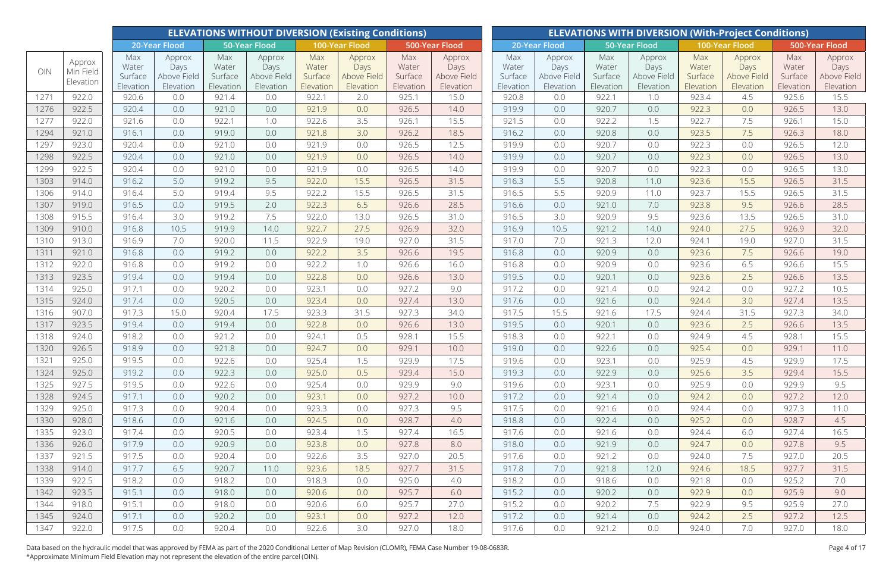| 500-Year Flood<br>20-Year Flood<br><b>50-Year Flood</b><br>100-Year Flood<br>500-Year Flood<br>20-Year Flood<br><b>50-Year Flood</b><br>100-Year Flood<br>Max<br>Max<br>Max<br>Max<br>Max<br>Max<br>Max<br>Max<br>Approx<br>Approx<br>Approx<br>Approx<br>Approx<br>Approx<br>Approx<br>Approx<br>Approx<br>Water<br>Water<br>Water<br>Water<br>Water<br>Water<br>Days<br>Water<br>Water<br>Days<br>Days<br>Days<br>Days<br>Days<br>Days<br>Days<br>OIN<br>Min Field<br>Surface<br>Surface<br>Surface<br>Surface<br>Surface<br>Surface<br>Surface<br>Surface<br>Above Field<br>Above Field<br>Above Field<br>Above Field<br>Above Field<br>Above Field<br>Above Field<br><b>Above Field</b><br>Elevation<br>Elevation<br>Elevation<br>Elevation<br>Elevation<br>Elevation<br>Elevation<br>Elevation<br>Elevation<br>Elevation<br>Elevation<br>Elevation<br>Elevation<br>Elevation<br>Elevation<br>Elevation<br>Elevation<br>1271<br>922.0<br>922.1<br>920.6<br>2.0<br>925.1<br>15.0<br>920.8<br>0.0<br>922.1<br>923.4<br>15.5<br>0.0<br>921.4<br>0.0<br>1.0<br>4.5<br>925.6<br>922.5<br>13.0<br>1276<br>920.4<br>921.0<br>0.0<br>921.9<br>0.0<br>926.5<br>919.9<br>0.0<br>920.7<br>0.0<br>922.3<br>926.5<br>0.0<br>14.0<br>0.0<br>922.0<br>3.5<br>0.0<br>922.2<br>922.7<br>7.5<br>1277<br>921.6<br>0.0<br>922.1<br>1.0<br>922.6<br>926.1<br>15.5<br>921.5<br>1.5<br>926.1<br>15.0<br>1294<br>921.0<br>916.1<br>0.0<br>921.8<br>3.0<br>926.2<br>18.5<br>916.2<br>0.0<br>920.8<br>923.5<br>7.5<br>926.3<br>18.0<br>0.0<br>919.0<br>0.0<br>1297<br>923.0<br>921.9<br>0.0<br>919.9<br>0.0<br>920.7<br>0.0<br>922.3<br>12.0<br>920.4<br>0.0<br>921.0<br>0.0<br>926.5<br>12.5<br>0.0<br>926.5<br>922.5<br>1298<br>0.0<br>921.9<br>0.0<br>926.5<br>919.9<br>0.0<br>920.7<br>0.0<br>922.3<br>926.5<br>13.0<br>920.4<br>0.0<br>921.0<br>14.0<br>0.0<br>922.5<br>13.0<br>1299<br>920.4<br>926.5<br>919.9<br>0.0<br>920.7<br>922.3<br>926.5<br>0.0<br>921.0<br>0.0<br>921.9<br>0.0<br>14.0<br>0.0<br>0.0<br>31.5<br>1303<br>914.0<br>9.5<br>922.0<br>15.5<br>926.5<br>31.5<br>916.3<br>5.5<br>920.8<br>11.0<br>923.6<br>926.5<br>916.2<br>5.0<br>919.2<br>15.5<br>31.5<br>1306<br>914.0<br>916.4<br>5.0<br>9.5<br>922.2<br>926.5<br>31.5<br>916.5<br>5.5<br>920.9<br>923.7<br>926.5<br>919.4<br>15.5<br>11.0<br>15.5<br>28.5<br>28.5<br>1307<br>919.0<br>2.0<br>922.3<br>6.5<br>926.6<br>916.6<br>0.0<br>921.0<br>7.0<br>923.8<br>9.5<br>926.6<br>916.5<br>0.0<br>919.5<br>915.5<br>3.0<br>7.5<br>916.5<br>3.0<br>9.5<br>31.0<br>1308<br>916.4<br>922.0<br>13.0<br>926.5<br>31.0<br>920.9<br>923.6<br>13.5<br>926.5<br>919.2<br>32.0<br>1309<br>910.0<br>922.7<br>27.5<br>926.9<br>32.0<br>916.9<br>27.5<br>926.9<br>916.8<br>10.5<br>919.9<br>14.0<br>10.5<br>921.2<br>14.0<br>924.0<br>31.5<br>913.0<br>916.9<br>31.5<br>7.0<br>12.0<br>1310<br>7.0<br>920.0<br>11.5<br>922.9<br>19.0<br>927.0<br>917.0<br>921.3<br>924.1<br>19.0<br>927.0 |
|-----------------------------------------------------------------------------------------------------------------------------------------------------------------------------------------------------------------------------------------------------------------------------------------------------------------------------------------------------------------------------------------------------------------------------------------------------------------------------------------------------------------------------------------------------------------------------------------------------------------------------------------------------------------------------------------------------------------------------------------------------------------------------------------------------------------------------------------------------------------------------------------------------------------------------------------------------------------------------------------------------------------------------------------------------------------------------------------------------------------------------------------------------------------------------------------------------------------------------------------------------------------------------------------------------------------------------------------------------------------------------------------------------------------------------------------------------------------------------------------------------------------------------------------------------------------------------------------------------------------------------------------------------------------------------------------------------------------------------------------------------------------------------------------------------------------------------------------------------------------------------------------------------------------------------------------------------------------------------------------------------------------------------------------------------------------------------------------------------------------------------------------------------------------------------------------------------------------------------------------------------------------------------------------------------------------------------------------------------------------------------------------------------------------------------------------------------------------------------------------------------------------------------------------------------------------------------------------------------------------------------------------------------------------------------------------------------------------------------------------------------------------------------------------------------------------------------------------------------------------------------------------------------------------------------------|
|                                                                                                                                                                                                                                                                                                                                                                                                                                                                                                                                                                                                                                                                                                                                                                                                                                                                                                                                                                                                                                                                                                                                                                                                                                                                                                                                                                                                                                                                                                                                                                                                                                                                                                                                                                                                                                                                                                                                                                                                                                                                                                                                                                                                                                                                                                                                                                                                                                                                                                                                                                                                                                                                                                                                                                                                                                                                                                                                   |
|                                                                                                                                                                                                                                                                                                                                                                                                                                                                                                                                                                                                                                                                                                                                                                                                                                                                                                                                                                                                                                                                                                                                                                                                                                                                                                                                                                                                                                                                                                                                                                                                                                                                                                                                                                                                                                                                                                                                                                                                                                                                                                                                                                                                                                                                                                                                                                                                                                                                                                                                                                                                                                                                                                                                                                                                                                                                                                                                   |
|                                                                                                                                                                                                                                                                                                                                                                                                                                                                                                                                                                                                                                                                                                                                                                                                                                                                                                                                                                                                                                                                                                                                                                                                                                                                                                                                                                                                                                                                                                                                                                                                                                                                                                                                                                                                                                                                                                                                                                                                                                                                                                                                                                                                                                                                                                                                                                                                                                                                                                                                                                                                                                                                                                                                                                                                                                                                                                                                   |
|                                                                                                                                                                                                                                                                                                                                                                                                                                                                                                                                                                                                                                                                                                                                                                                                                                                                                                                                                                                                                                                                                                                                                                                                                                                                                                                                                                                                                                                                                                                                                                                                                                                                                                                                                                                                                                                                                                                                                                                                                                                                                                                                                                                                                                                                                                                                                                                                                                                                                                                                                                                                                                                                                                                                                                                                                                                                                                                                   |
|                                                                                                                                                                                                                                                                                                                                                                                                                                                                                                                                                                                                                                                                                                                                                                                                                                                                                                                                                                                                                                                                                                                                                                                                                                                                                                                                                                                                                                                                                                                                                                                                                                                                                                                                                                                                                                                                                                                                                                                                                                                                                                                                                                                                                                                                                                                                                                                                                                                                                                                                                                                                                                                                                                                                                                                                                                                                                                                                   |
|                                                                                                                                                                                                                                                                                                                                                                                                                                                                                                                                                                                                                                                                                                                                                                                                                                                                                                                                                                                                                                                                                                                                                                                                                                                                                                                                                                                                                                                                                                                                                                                                                                                                                                                                                                                                                                                                                                                                                                                                                                                                                                                                                                                                                                                                                                                                                                                                                                                                                                                                                                                                                                                                                                                                                                                                                                                                                                                                   |
|                                                                                                                                                                                                                                                                                                                                                                                                                                                                                                                                                                                                                                                                                                                                                                                                                                                                                                                                                                                                                                                                                                                                                                                                                                                                                                                                                                                                                                                                                                                                                                                                                                                                                                                                                                                                                                                                                                                                                                                                                                                                                                                                                                                                                                                                                                                                                                                                                                                                                                                                                                                                                                                                                                                                                                                                                                                                                                                                   |
|                                                                                                                                                                                                                                                                                                                                                                                                                                                                                                                                                                                                                                                                                                                                                                                                                                                                                                                                                                                                                                                                                                                                                                                                                                                                                                                                                                                                                                                                                                                                                                                                                                                                                                                                                                                                                                                                                                                                                                                                                                                                                                                                                                                                                                                                                                                                                                                                                                                                                                                                                                                                                                                                                                                                                                                                                                                                                                                                   |
|                                                                                                                                                                                                                                                                                                                                                                                                                                                                                                                                                                                                                                                                                                                                                                                                                                                                                                                                                                                                                                                                                                                                                                                                                                                                                                                                                                                                                                                                                                                                                                                                                                                                                                                                                                                                                                                                                                                                                                                                                                                                                                                                                                                                                                                                                                                                                                                                                                                                                                                                                                                                                                                                                                                                                                                                                                                                                                                                   |
|                                                                                                                                                                                                                                                                                                                                                                                                                                                                                                                                                                                                                                                                                                                                                                                                                                                                                                                                                                                                                                                                                                                                                                                                                                                                                                                                                                                                                                                                                                                                                                                                                                                                                                                                                                                                                                                                                                                                                                                                                                                                                                                                                                                                                                                                                                                                                                                                                                                                                                                                                                                                                                                                                                                                                                                                                                                                                                                                   |
|                                                                                                                                                                                                                                                                                                                                                                                                                                                                                                                                                                                                                                                                                                                                                                                                                                                                                                                                                                                                                                                                                                                                                                                                                                                                                                                                                                                                                                                                                                                                                                                                                                                                                                                                                                                                                                                                                                                                                                                                                                                                                                                                                                                                                                                                                                                                                                                                                                                                                                                                                                                                                                                                                                                                                                                                                                                                                                                                   |
|                                                                                                                                                                                                                                                                                                                                                                                                                                                                                                                                                                                                                                                                                                                                                                                                                                                                                                                                                                                                                                                                                                                                                                                                                                                                                                                                                                                                                                                                                                                                                                                                                                                                                                                                                                                                                                                                                                                                                                                                                                                                                                                                                                                                                                                                                                                                                                                                                                                                                                                                                                                                                                                                                                                                                                                                                                                                                                                                   |
|                                                                                                                                                                                                                                                                                                                                                                                                                                                                                                                                                                                                                                                                                                                                                                                                                                                                                                                                                                                                                                                                                                                                                                                                                                                                                                                                                                                                                                                                                                                                                                                                                                                                                                                                                                                                                                                                                                                                                                                                                                                                                                                                                                                                                                                                                                                                                                                                                                                                                                                                                                                                                                                                                                                                                                                                                                                                                                                                   |
|                                                                                                                                                                                                                                                                                                                                                                                                                                                                                                                                                                                                                                                                                                                                                                                                                                                                                                                                                                                                                                                                                                                                                                                                                                                                                                                                                                                                                                                                                                                                                                                                                                                                                                                                                                                                                                                                                                                                                                                                                                                                                                                                                                                                                                                                                                                                                                                                                                                                                                                                                                                                                                                                                                                                                                                                                                                                                                                                   |
|                                                                                                                                                                                                                                                                                                                                                                                                                                                                                                                                                                                                                                                                                                                                                                                                                                                                                                                                                                                                                                                                                                                                                                                                                                                                                                                                                                                                                                                                                                                                                                                                                                                                                                                                                                                                                                                                                                                                                                                                                                                                                                                                                                                                                                                                                                                                                                                                                                                                                                                                                                                                                                                                                                                                                                                                                                                                                                                                   |
| 922.2<br>0.0<br>1311<br>921.0<br>916.8<br>0.0<br>0.0<br>3.5<br>926.6<br>19.5<br>916.8<br>920.9<br>0.0<br>923.6<br>7.5<br>926.6<br>19.0<br>919.2                                                                                                                                                                                                                                                                                                                                                                                                                                                                                                                                                                                                                                                                                                                                                                                                                                                                                                                                                                                                                                                                                                                                                                                                                                                                                                                                                                                                                                                                                                                                                                                                                                                                                                                                                                                                                                                                                                                                                                                                                                                                                                                                                                                                                                                                                                                                                                                                                                                                                                                                                                                                                                                                                                                                                                                   |
| 1312<br>15.5<br>922.0<br>916.8<br>922.2<br>1.0<br>926.6<br>16.0<br>916.8<br>0.0<br>920.9<br>923.6<br>6.5<br>926.6<br>0.0<br>919.2<br>0.0<br>0.0                                                                                                                                                                                                                                                                                                                                                                                                                                                                                                                                                                                                                                                                                                                                                                                                                                                                                                                                                                                                                                                                                                                                                                                                                                                                                                                                                                                                                                                                                                                                                                                                                                                                                                                                                                                                                                                                                                                                                                                                                                                                                                                                                                                                                                                                                                                                                                                                                                                                                                                                                                                                                                                                                                                                                                                   |
| 1313<br>923.5<br>922.8<br>919.5<br>0.0<br>920.1<br>0.0<br>923.6<br>2.5<br>13.5<br>919.4<br>0.0<br>919.4<br>0.0<br>0.0<br>926.6<br>13.0<br>926.6                                                                                                                                                                                                                                                                                                                                                                                                                                                                                                                                                                                                                                                                                                                                                                                                                                                                                                                                                                                                                                                                                                                                                                                                                                                                                                                                                                                                                                                                                                                                                                                                                                                                                                                                                                                                                                                                                                                                                                                                                                                                                                                                                                                                                                                                                                                                                                                                                                                                                                                                                                                                                                                                                                                                                                                   |
| 10.5<br>925.0<br>917.1<br>0.0<br>0.0<br>923.1<br>0.0<br>927.2<br>9.0<br>917.2<br>0.0<br>921.4<br>0.0<br>0.0<br>927.2<br>1314<br>920.2<br>924.2                                                                                                                                                                                                                                                                                                                                                                                                                                                                                                                                                                                                                                                                                                                                                                                                                                                                                                                                                                                                                                                                                                                                                                                                                                                                                                                                                                                                                                                                                                                                                                                                                                                                                                                                                                                                                                                                                                                                                                                                                                                                                                                                                                                                                                                                                                                                                                                                                                                                                                                                                                                                                                                                                                                                                                                    |
| 1315<br>13.5<br>924.0<br>917.4<br>0.0<br>920.5<br>0.0<br>923.4<br>0.0<br>927.4<br>13.0<br>917.6<br>0.0<br>921.6<br>0.0<br>924.4<br>3.0<br>927.4                                                                                                                                                                                                                                                                                                                                                                                                                                                                                                                                                                                                                                                                                                                                                                                                                                                                                                                                                                                                                                                                                                                                                                                                                                                                                                                                                                                                                                                                                                                                                                                                                                                                                                                                                                                                                                                                                                                                                                                                                                                                                                                                                                                                                                                                                                                                                                                                                                                                                                                                                                                                                                                                                                                                                                                   |
| 1316<br>907.0<br>917.3<br>15.0<br>920.4<br>17.5<br>923.3<br>31.5<br>927.3<br>917.5<br>15.5<br>921.6<br>17.5<br>31.5<br>927.3<br>34.0<br>34.0<br>924.4                                                                                                                                                                                                                                                                                                                                                                                                                                                                                                                                                                                                                                                                                                                                                                                                                                                                                                                                                                                                                                                                                                                                                                                                                                                                                                                                                                                                                                                                                                                                                                                                                                                                                                                                                                                                                                                                                                                                                                                                                                                                                                                                                                                                                                                                                                                                                                                                                                                                                                                                                                                                                                                                                                                                                                             |
| 1317<br>923.5<br>920.1<br>2.5<br>13.5<br>919.4<br>0.0<br>919.4<br>0.0<br>922.8<br>0.0<br>926.6<br>13.0<br>919.5<br>0.0<br>0.0<br>923.6<br>926.6                                                                                                                                                                                                                                                                                                                                                                                                                                                                                                                                                                                                                                                                                                                                                                                                                                                                                                                                                                                                                                                                                                                                                                                                                                                                                                                                                                                                                                                                                                                                                                                                                                                                                                                                                                                                                                                                                                                                                                                                                                                                                                                                                                                                                                                                                                                                                                                                                                                                                                                                                                                                                                                                                                                                                                                   |
| 15.5<br>918.2<br>0.0<br>0.5<br>918.3<br>0.0<br>922.1<br>4.5<br>928.1<br>1318<br>924.0<br>0.0<br>921.2<br>924.1<br>928.1<br>15.5<br>0.0<br>924.9                                                                                                                                                                                                                                                                                                                                                                                                                                                                                                                                                                                                                                                                                                                                                                                                                                                                                                                                                                                                                                                                                                                                                                                                                                                                                                                                                                                                                                                                                                                                                                                                                                                                                                                                                                                                                                                                                                                                                                                                                                                                                                                                                                                                                                                                                                                                                                                                                                                                                                                                                                                                                                                                                                                                                                                   |
| 1320<br>926.5<br>918.9<br>919.0<br>0.0<br>922.6<br>929.1<br>0.0<br>921.8<br>0.0<br>924.7<br>0.0<br>929.1<br>10.0<br>0.0<br>925.4<br>0.0<br>11.0                                                                                                                                                                                                                                                                                                                                                                                                                                                                                                                                                                                                                                                                                                                                                                                                                                                                                                                                                                                                                                                                                                                                                                                                                                                                                                                                                                                                                                                                                                                                                                                                                                                                                                                                                                                                                                                                                                                                                                                                                                                                                                                                                                                                                                                                                                                                                                                                                                                                                                                                                                                                                                                                                                                                                                                   |
| 1321<br>925.0<br>919.5<br>0.0<br>922.6<br>925.4<br>1.5<br>929.9<br>17.5<br>919.6<br>923.1<br>925.9<br>929.9<br>17.5<br>0.0<br>0.0<br>0.0<br>4.5                                                                                                                                                                                                                                                                                                                                                                                                                                                                                                                                                                                                                                                                                                                                                                                                                                                                                                                                                                                                                                                                                                                                                                                                                                                                                                                                                                                                                                                                                                                                                                                                                                                                                                                                                                                                                                                                                                                                                                                                                                                                                                                                                                                                                                                                                                                                                                                                                                                                                                                                                                                                                                                                                                                                                                                   |
| 1324<br>925.0<br>919.3<br>919.2<br>922.3<br>0.0<br>925.0<br>929.4<br>15.0<br>922.9<br>925.6<br>3.5<br>929.4<br>15.5<br>0.0<br>0.5<br>0.0<br>0.0                                                                                                                                                                                                                                                                                                                                                                                                                                                                                                                                                                                                                                                                                                                                                                                                                                                                                                                                                                                                                                                                                                                                                                                                                                                                                                                                                                                                                                                                                                                                                                                                                                                                                                                                                                                                                                                                                                                                                                                                                                                                                                                                                                                                                                                                                                                                                                                                                                                                                                                                                                                                                                                                                                                                                                                   |
| 9.5<br>1325<br>927.5<br>919.5<br>922.6<br>929.9<br>9.0<br>919.6<br>923.1<br>925.9<br>929.9<br>0.0<br>0.0<br>925.4<br>0.0<br>0.0<br>0.0<br>0.0                                                                                                                                                                                                                                                                                                                                                                                                                                                                                                                                                                                                                                                                                                                                                                                                                                                                                                                                                                                                                                                                                                                                                                                                                                                                                                                                                                                                                                                                                                                                                                                                                                                                                                                                                                                                                                                                                                                                                                                                                                                                                                                                                                                                                                                                                                                                                                                                                                                                                                                                                                                                                                                                                                                                                                                     |
| 1328<br>924.5<br>917.1<br>920.2<br>0.0<br>923.1<br>927.2<br>917.2<br>921.4<br>924.2<br>927.2<br>12.0<br>0.0<br>0.0<br>10.0<br>0.0<br>0.0<br>0.0                                                                                                                                                                                                                                                                                                                                                                                                                                                                                                                                                                                                                                                                                                                                                                                                                                                                                                                                                                                                                                                                                                                                                                                                                                                                                                                                                                                                                                                                                                                                                                                                                                                                                                                                                                                                                                                                                                                                                                                                                                                                                                                                                                                                                                                                                                                                                                                                                                                                                                                                                                                                                                                                                                                                                                                   |
| 1329<br>925.0<br>923.3<br>927.3<br>9.5<br>917.5<br>927.3<br>917.3<br>920.4<br>921.6<br>924.4<br>11.0<br>0.0<br>0.0<br>0.0<br>0.0<br>0.0<br>0.0                                                                                                                                                                                                                                                                                                                                                                                                                                                                                                                                                                                                                                                                                                                                                                                                                                                                                                                                                                                                                                                                                                                                                                                                                                                                                                                                                                                                                                                                                                                                                                                                                                                                                                                                                                                                                                                                                                                                                                                                                                                                                                                                                                                                                                                                                                                                                                                                                                                                                                                                                                                                                                                                                                                                                                                    |
| 1330<br>928.0<br>918.6<br>921.6<br>0.0<br>924.5<br>928.7<br>918.8<br>922.4<br>925.2<br>928.7<br>4.5<br>0.0<br>0.0<br>4.0<br>0.0<br>0.0<br>0.0<br>923.0<br>917.4<br>923.4<br>1.5<br>927.4<br>917.6<br>921.6<br>927.4                                                                                                                                                                                                                                                                                                                                                                                                                                                                                                                                                                                                                                                                                                                                                                                                                                                                                                                                                                                                                                                                                                                                                                                                                                                                                                                                                                                                                                                                                                                                                                                                                                                                                                                                                                                                                                                                                                                                                                                                                                                                                                                                                                                                                                                                                                                                                                                                                                                                                                                                                                                                                                                                                                               |
| 1335<br>0.0<br>920.5<br>0.0<br>16.5<br>0.0<br>0.0<br>924.4<br>6.0<br>16.5<br>1336<br>9.5<br>926.0<br>917.9<br>923.8<br>927.8<br>8.0<br>918.0<br>921.9<br>924.7<br>927.8<br>920.9<br>0.0                                                                                                                                                                                                                                                                                                                                                                                                                                                                                                                                                                                                                                                                                                                                                                                                                                                                                                                                                                                                                                                                                                                                                                                                                                                                                                                                                                                                                                                                                                                                                                                                                                                                                                                                                                                                                                                                                                                                                                                                                                                                                                                                                                                                                                                                                                                                                                                                                                                                                                                                                                                                                                                                                                                                           |
| 0.0<br>0.0<br>0.0<br>0.0<br>0.0<br>1337<br>921.5<br>20.5<br>917.5<br>920.4<br>0.0<br>927.0<br>20.5<br>917.6<br>921.2<br>924.0<br>7.5<br>927.0                                                                                                                                                                                                                                                                                                                                                                                                                                                                                                                                                                                                                                                                                                                                                                                                                                                                                                                                                                                                                                                                                                                                                                                                                                                                                                                                                                                                                                                                                                                                                                                                                                                                                                                                                                                                                                                                                                                                                                                                                                                                                                                                                                                                                                                                                                                                                                                                                                                                                                                                                                                                                                                                                                                                                                                     |
| 922.6<br>3.5<br>0.0<br>0.0<br>0.0<br>1338<br>927.7<br>31.5<br>7.0<br>927.7<br>31.5<br>914.0<br>917.7<br>6.5<br>920.7<br>11.0<br>923.6<br>18.5<br>917.8<br>921.8<br>12.0<br>924.6<br>18.5                                                                                                                                                                                                                                                                                                                                                                                                                                                                                                                                                                                                                                                                                                                                                                                                                                                                                                                                                                                                                                                                                                                                                                                                                                                                                                                                                                                                                                                                                                                                                                                                                                                                                                                                                                                                                                                                                                                                                                                                                                                                                                                                                                                                                                                                                                                                                                                                                                                                                                                                                                                                                                                                                                                                          |
| 7.0<br>1339<br>922.5<br>918.3<br>918.2<br>921.8<br>918.2<br>0.0<br>918.2<br>0.0<br>925.0<br>4.0<br>0.0<br>918.6<br>0.0<br>0.0<br>925.2<br>0.0                                                                                                                                                                                                                                                                                                                                                                                                                                                                                                                                                                                                                                                                                                                                                                                                                                                                                                                                                                                                                                                                                                                                                                                                                                                                                                                                                                                                                                                                                                                                                                                                                                                                                                                                                                                                                                                                                                                                                                                                                                                                                                                                                                                                                                                                                                                                                                                                                                                                                                                                                                                                                                                                                                                                                                                     |
| 923.5<br>915.2<br>1342<br>915.1<br>925.7<br>6.0<br>920.2<br>922.9<br>925.9<br>9.0<br>0.0<br>918.0<br>0.0<br>920.6<br>0.0<br>0.0<br>0.0<br>0.0                                                                                                                                                                                                                                                                                                                                                                                                                                                                                                                                                                                                                                                                                                                                                                                                                                                                                                                                                                                                                                                                                                                                                                                                                                                                                                                                                                                                                                                                                                                                                                                                                                                                                                                                                                                                                                                                                                                                                                                                                                                                                                                                                                                                                                                                                                                                                                                                                                                                                                                                                                                                                                                                                                                                                                                     |
| 1344<br>918.0<br>915.1<br>0.0<br>918.0<br>920.6<br>6.0<br>925.7<br>27.0<br>915.2<br>920.2<br>7.5<br>922.9<br>9.5<br>925.9<br>27.0<br>0.0<br>0.0                                                                                                                                                                                                                                                                                                                                                                                                                                                                                                                                                                                                                                                                                                                                                                                                                                                                                                                                                                                                                                                                                                                                                                                                                                                                                                                                                                                                                                                                                                                                                                                                                                                                                                                                                                                                                                                                                                                                                                                                                                                                                                                                                                                                                                                                                                                                                                                                                                                                                                                                                                                                                                                                                                                                                                                   |
| 917.1<br>923.1<br>927.2<br>917.2<br>2.5<br>927.2<br>12.5<br>1345<br>924.0<br>0.0<br>920.2<br>0.0<br>12.0<br>0.0<br>921.4<br>924.2<br>0.0<br>0.0                                                                                                                                                                                                                                                                                                                                                                                                                                                                                                                                                                                                                                                                                                                                                                                                                                                                                                                                                                                                                                                                                                                                                                                                                                                                                                                                                                                                                                                                                                                                                                                                                                                                                                                                                                                                                                                                                                                                                                                                                                                                                                                                                                                                                                                                                                                                                                                                                                                                                                                                                                                                                                                                                                                                                                                   |
| 922.0<br>917.5<br>0.0<br>922.6<br>3.0<br>927.0<br>917.6<br>7.0<br>927.0<br>1347<br>0.0<br>920.4<br>18.0<br>0.0<br>921.2<br>0.0<br>924.0<br>18.0                                                                                                                                                                                                                                                                                                                                                                                                                                                                                                                                                                                                                                                                                                                                                                                                                                                                                                                                                                                                                                                                                                                                                                                                                                                                                                                                                                                                                                                                                                                                                                                                                                                                                                                                                                                                                                                                                                                                                                                                                                                                                                                                                                                                                                                                                                                                                                                                                                                                                                                                                                                                                                                                                                                                                                                   |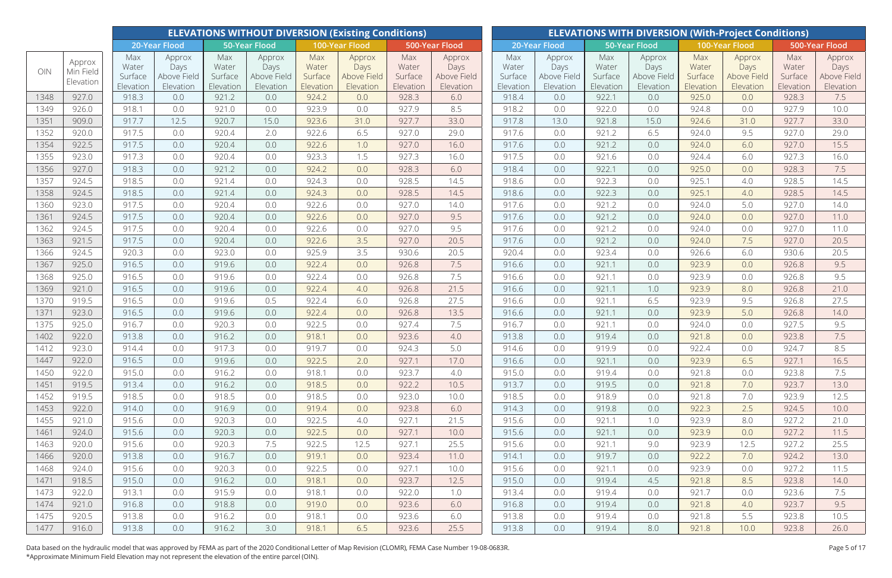|              |                                  |                                      |                                            |                                      | <b>ELEVATIONS WITHOUT DIVERSION (Existing Conditions)</b> |                                      |                                            |                                      |                                            |                                      |                                            |                                      |                                            |                                      | <b>ELEVATIONS WITH DIVERSION (With-Project Conditions)</b> |                                      |                                            |
|--------------|----------------------------------|--------------------------------------|--------------------------------------------|--------------------------------------|-----------------------------------------------------------|--------------------------------------|--------------------------------------------|--------------------------------------|--------------------------------------------|--------------------------------------|--------------------------------------------|--------------------------------------|--------------------------------------------|--------------------------------------|------------------------------------------------------------|--------------------------------------|--------------------------------------------|
|              |                                  |                                      | 20-Year Flood                              |                                      | <b>50-Year Flood</b>                                      |                                      | 100-Year Flood                             |                                      | 500-Year Flood                             |                                      | 20-Year Flood                              |                                      | 50-Year Flood                              |                                      | 100-Year Flood                                             |                                      | 500-Year Flood                             |
| OIN          | Approx<br>Min Field<br>Elevation | Max<br>Water<br>Surface<br>Elevation | Approx<br>Days<br>Above Field<br>Elevation | Max<br>Water<br>Surface<br>Elevation | Approx<br>Days<br>Above Field<br>Elevation                | Max<br>Water<br>Surface<br>Elevation | Approx<br>Days<br>Above Field<br>Elevation | Max<br>Water<br>Surface<br>Elevation | Approx<br>Days<br>Above Field<br>Elevation | Max<br>Water<br>Surface<br>Elevation | Approx<br>Days<br>Above Field<br>Elevation | Max<br>Water<br>Surface<br>Elevation | Approx<br>Days<br>Above Field<br>Elevation | Max<br>Water<br>Surface<br>Elevation | Approx<br>Days<br>Above Field<br>Elevation                 | Max<br>Water<br>Surface<br>Elevation | Approx<br>Days<br>Above Field<br>Elevation |
| 1348         | 927.0                            | 918.3                                | 0.0                                        | 921.2                                | 0.0                                                       | 924.2                                | 0.0                                        | 928.3                                | 6.0                                        | 918.4                                | 0.0                                        | 922.1                                | 0.0                                        | 925.0                                | 0.0                                                        | 928.3                                | 7.5                                        |
| 1349         | 926.0                            | 918.1                                | 0.0                                        | 921.0                                | 0.0                                                       | 923.9                                | 0.0                                        | 927.9                                | 8.5                                        | 918.2                                | 0.0                                        | 922.0                                | 0.0                                        | 924.8                                | 0.0                                                        | 927.9                                | 10.0                                       |
| 1351         | 909.0                            | 917.7                                | 12.5                                       | 920.7                                | 15.0                                                      | 923.6                                | 31.0                                       | 927.7                                | 33.0                                       | 917.8                                | 13.0                                       | 921.8                                | 15.0                                       | 924.6                                | 31.0                                                       | 927.7                                | 33.0                                       |
| 1352         | 920.0                            | 917.5                                | 0.0                                        | 920.4                                | 2.0                                                       | 922.6                                | 6.5                                        | 927.0                                | 29.0                                       | 917.6                                | 0.0                                        | 921.2                                | 6.5                                        | 924.0                                | 9.5                                                        | 927.0                                | 29.0                                       |
| 1354         | 922.5                            | 917.5                                | 0.0                                        | 920.4                                | 0.0                                                       | 922.6                                | 1.0                                        | 927.0                                | 16.0                                       | 917.6                                | 0.0                                        | 921.2                                | 0.0                                        | 924.0                                | 6.0                                                        | 927.0                                | 15.5                                       |
| 1355         | 923.0                            | 917.3                                | 0.0                                        | 920.4                                | 0.0                                                       | 923.3                                | 1.5                                        | 927.3                                | 16.0                                       | 917.5                                | 0.0                                        | 921.6                                | 0.0                                        | 924.4                                | 6.0                                                        | 927.3                                | 16.0                                       |
| 1356         | 927.0                            | 918.3                                | 0.0                                        | 921.2                                | 0.0                                                       | 924.2                                | 0.0                                        | 928.3                                | 6.0                                        | 918.4                                | 0.0                                        | 922.1                                | 0.0                                        | 925.0                                | 0.0                                                        | 928.3                                | 7.5                                        |
| 1357         | 924.5                            | 918.5                                | 0.0                                        | 921.4                                | 0.0                                                       | 924.3                                | 0.0                                        | 928.5                                | 14.5                                       | 918.6                                | 0.0                                        | 922.3                                | 0.0                                        | 925.1                                | 4.0                                                        | 928.5                                | 14.5                                       |
| 1358         | 924.5                            | 918.5                                | 0.0                                        | 921.4                                | 0.0                                                       | 924.3                                | 0.0                                        | 928.5                                | 14.5                                       | 918.6                                | 0.0                                        | 922.3                                | 0.0                                        | 925.1                                | 4.0                                                        | 928.5                                | 14.5                                       |
| 1360         | 923.0                            | 917.5                                | 0.0                                        | 920.4                                | 0.0                                                       | 922.6                                | 0.0                                        | 927.0                                | 14.0                                       | 917.6                                | 0.0                                        | 921.2                                | 0.0                                        | 924.0                                | 5.0                                                        | 927.0                                | 14.0                                       |
| 1361         | 924.5                            | 917.5                                | 0.0                                        | 920.4                                | 0.0                                                       | 922.6                                | 0.0                                        | 927.0                                | 9.5                                        | 917.6                                | 0.0                                        | 921.2                                | 0.0                                        | 924.0                                | 0.0                                                        | 927.0                                | 11.0                                       |
| 1362         | 924.5                            | 917.5                                | 0.0                                        | 920.4                                | 0.0                                                       | 922.6                                | 0.0                                        | 927.0                                | 9.5                                        | 917.6                                | 0.0                                        | 921.2                                | 0.0                                        | 924.0                                | 0.0                                                        | 927.0                                | 11.0                                       |
| 1363         | 921.5                            | 917.5                                | 0.0                                        | 920.4                                | 0.0                                                       | 922.6                                | 3.5                                        | 927.0                                | 20.5                                       | 917.6                                | 0.0                                        | 921.2                                | 0.0                                        | 924.0                                | 7.5                                                        | 927.0                                | 20.5                                       |
| 1366         | 924.5                            | 920.3                                | 0.0                                        | 923.0                                | 0.0                                                       | 925.9                                | 3.5                                        | 930.6                                | 20.5                                       | 920.4                                | 0.0                                        | 923.4                                | 0.0                                        | 926.6                                | 6.0                                                        | 930.6                                | 20.5                                       |
| 1367         | 925.0                            | 916.5                                | 0.0                                        | 919.6                                | 0.0                                                       | 922.4                                | 0.0                                        | 926.8                                | 7.5                                        | 916.6                                | 0.0                                        | 921.1                                | 0.0                                        | 923.9                                | 0.0                                                        | 926.8                                | 9.5                                        |
| 1368         | 925.0                            | 916.5                                | 0.0                                        | 919.6                                | 0.0                                                       | 922.4                                | 0.0                                        | 926.8                                | 7.5                                        | 916.6                                | 0.0                                        | 921.1                                | 0.0                                        | 923.9                                | 0.0                                                        | 926.8                                | 9.5                                        |
| 1369         | 921.0                            | 916.5                                | 0.0                                        | 919.6                                | 0.0                                                       | 922.4                                | 4.0                                        | 926.8                                | 21.5                                       | 916.6                                | 0.0                                        | 921.1                                | 1.0                                        | 923.9                                | 8.0                                                        | 926.8                                | 21.0                                       |
| 1370         | 919.5                            | 916.5                                | 0.0                                        | 919.6                                | 0.5                                                       | 922.4                                | 6.0                                        | 926.8                                | 27.5                                       | 916.6                                | 0.0                                        | 921.1                                | 6.5                                        | 923.9                                | 9.5                                                        | 926.8                                | 27.5                                       |
| 1371         | 923.0                            | 916.5                                | 0.0                                        | 919.6                                | 0.0                                                       | 922.4                                | 0.0                                        | 926.8                                | 13.5                                       | 916.6                                | 0.0                                        | 921.1                                | 0.0                                        | 923.9                                | 5.0                                                        | 926.8                                | 14.0                                       |
| 1375         | 925.0                            | 916.7                                | 0.0                                        | 920.3                                | 0.0                                                       | 922.5                                | 0.0                                        | 927.4                                | 7.5                                        | 916.7                                | 0.0                                        | 921.1                                | 0.0                                        | 924.0                                | 0.0                                                        | 927.5                                | 9.5                                        |
| 1402         | 922.0                            | 913.8                                | 0.0                                        | 916.2                                | 0.0                                                       | 918.1                                | 0.0                                        | 923.6                                | 4.0                                        | 913.8                                | 0.0                                        | 919.4                                | 0.0                                        | 921.8                                | 0.0                                                        | 923.8                                | 7.5                                        |
| 1412         | 923.0                            | 914.4                                | 0.0                                        | 917.3                                | 0.0                                                       | 919.7                                | 0.0                                        | 924.3                                | 5.0                                        | 914.6                                | 0.0                                        | 919.9                                | 0.0                                        | 922.4                                | 0.0                                                        | 924.7                                | 8.5                                        |
| 1447         | 922.0                            | 916.5                                | 0.0                                        | 919.6                                | 0.0                                                       | 922.5                                | 2.0                                        | 927.1                                | 17.0                                       | 916.6                                | 0.0                                        | 921.1                                | 0.0                                        | 923.9                                | 6.5                                                        | 927.1                                | 16.5                                       |
| 1450         | 922.0                            | 915.0                                | 0.0                                        | 916.2                                | 0.0                                                       | 918.1                                | 0.0                                        | 923.7                                | 4.0                                        | 915.0                                | 0.0                                        | 919.4                                | 0.0                                        | 921.8                                | 0.0                                                        | 923.8                                | 7.5                                        |
| 1451         | 919.5                            | 913.4                                | 0.0                                        | 916.2                                | 0.0                                                       | 918.5                                | 0.0                                        | 922.2                                | 10.5                                       | 913.7                                | 0.0                                        | 919.5                                | 0.0                                        | 921.8                                | 7.0                                                        | 923.7                                | 13.0                                       |
| 1452         | 919.5                            | 918.5                                | 0.0                                        | 918.5                                | 0.0                                                       | 918.5                                | 0.0                                        | 923.0                                | 10.0                                       | 918.5                                | 0.0                                        | 918.9                                | 0.0                                        | 921.8                                | 7.0                                                        | 923.9                                | 12.5                                       |
| 1453         | 922.0                            | 914.0                                | 0.0                                        | 916.9                                | 0.0                                                       | 919.4                                | 0.0                                        | 923.8                                | 6.0                                        | 914.3                                | 0.0                                        | 919.8                                | 0.0                                        | 922.3                                | 2.5                                                        | 924.5                                | 10.0                                       |
| 1455         | 921.0                            | 915.6                                | 0.0                                        | 920.3                                | 0.0                                                       | 922.5                                | 4.0                                        | 927.1                                | 21.5                                       | 915.6                                | 0.0                                        | 921.1                                | 1.0                                        | 923.9                                | 8.0                                                        | 927.2                                | 21.0                                       |
| 1461         | 924.0                            | 915.6                                | 0.0                                        | 920.3                                | 0.0                                                       | 922.5                                | 0.0                                        | 927.1                                | 10.0                                       | 915.6                                | 0.0                                        | 921.1                                | 0.0                                        | 923.9                                | 0.0                                                        | 927.2                                | 11.5                                       |
| 1463         | 920.0                            | 915.6                                | 0.0                                        | 920.3                                | 7.5                                                       | 922.5                                | 12.5                                       | 927.1                                | 25.5                                       | 915.6                                | 0.0                                        | 921.1                                | 9.0                                        | 923.9                                | 12.5                                                       | 927.2                                | 25.5                                       |
| 1466         | 920.0                            | 913.8                                | 0.0                                        | 916.7                                | 0.0                                                       | 919.1                                | 0.0                                        | 923.4                                | 11.0                                       | 914.1                                | 0.0                                        | 919.7                                | 0.0                                        | 922.2                                | 7.0                                                        | 924.2                                | 13.0                                       |
| 1468         | 924.0<br>918.5                   | 915.6                                | 0.0                                        | 920.3                                | 0.0                                                       | 922.5<br>918.1                       | 0.0                                        | 927.1                                | 10.0                                       | 915.6                                | 0.0                                        | 921.1                                | 0.0                                        | 923.9                                | 0.0                                                        | 927.2                                | 11.5                                       |
| 1471<br>1473 | 922.0                            | 915.0<br>913.1                       | 0.0                                        | 916.2                                | 0.0                                                       |                                      | 0.0                                        | 923.7<br>922.0                       | 12.5                                       | 915.0<br>913.4                       | 0.0                                        | 919.4                                | 4.5                                        | 921.8<br>921.7                       | 8.5                                                        | 923.8                                | 14.0<br>7.5                                |
| 1474         | 921.0                            | 916.8                                | 0.0                                        | 915.9<br>918.8                       | 0.0                                                       | 918.1<br>919.0                       | 0.0                                        |                                      | 1.0                                        | 916.8                                | 0.0                                        | 919.4<br>919.4                       | 0.0                                        |                                      | 0.0                                                        | 923.6                                | 9.5                                        |
| 1475         | 920.5                            | 913.8                                | 0.0<br>0.0                                 | 916.2                                | 0.0<br>0.0                                                | 918.1                                | 0.0<br>0.0                                 | 923.6<br>923.6                       | 6.0<br>6.0                                 | 913.8                                | 0.0<br>0.0                                 | 919.4                                | 0.0<br>0.0                                 | 921.8<br>921.8                       | 4.0<br>5.5                                                 | 923.7<br>923.8                       | 10.5                                       |
| 1477         | 916.0                            | 913.8                                | 0.0                                        | 916.2                                | 3.0                                                       | 918.1                                | 6.5                                        | 923.6                                | 25.5                                       | 913.8                                | 0.0                                        | 919.4                                | 8.0                                        | 921.8                                | 10.0                                                       | 923.8                                | 26.0                                       |
|              |                                  |                                      |                                            |                                      |                                                           |                                      |                                            |                                      |                                            |                                      |                                            |                                      |                                            |                                      |                                                            |                                      |                                            |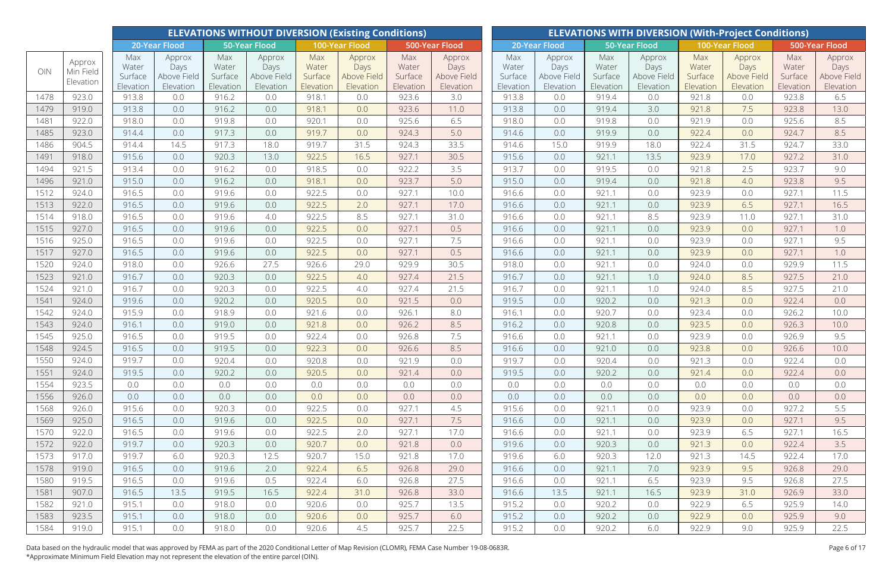|      |                     |                         |                               |                         | <b>ELEVATIONS WITHOUT DIVERSION (Existing Conditions)</b> |                         |                               |                         |                               |                         |                               |                         |                               |                         | <b>ELEVATIONS WITH DIVERSION (With-Project Conditions)</b> |                         |                               |
|------|---------------------|-------------------------|-------------------------------|-------------------------|-----------------------------------------------------------|-------------------------|-------------------------------|-------------------------|-------------------------------|-------------------------|-------------------------------|-------------------------|-------------------------------|-------------------------|------------------------------------------------------------|-------------------------|-------------------------------|
|      |                     |                         | 20-Year Flood                 |                         | <b>50-Year Flood</b>                                      |                         | 100-Year Flood                |                         | 500-Year Flood                |                         | 20-Year Flood                 |                         | 50-Year Flood                 |                         | 100-Year Flood                                             |                         | 500-Year Flood                |
| OIN  | Approx<br>Min Field | Max<br>Water<br>Surface | Approx<br>Days<br>Above Field | Max<br>Water<br>Surface | Approx<br>Days<br>Above Field                             | Max<br>Water<br>Surface | Approx<br>Days<br>Above Field | Max<br>Water<br>Surface | Approx<br>Days<br>Above Field | Max<br>Water<br>Surface | Approx<br>Days<br>Above Field | Max<br>Water<br>Surface | Approx<br>Days<br>Above Field | Max<br>Water<br>Surface | Approx<br>Days<br>Above Field                              | Max<br>Water<br>Surface | Approx<br>Days<br>Above Field |
|      | Elevation           | Elevation               | Elevation                     | Elevation               | Elevation                                                 | Elevation               | Elevation                     | Elevation               | Elevation                     | Elevation               | Elevation                     | Elevation               | Elevation                     | Elevation               | Elevation                                                  | Elevation               | Elevation                     |
| 1478 | 923.0               | 913.8                   | 0.0                           | 916.2                   | 0.0                                                       | 918.1                   | 0.0                           | 923.6                   | 3.0                           | 913.8                   | 0.0                           | 919.4                   | 0.0                           | 921.8                   | 0.0                                                        | 923.8                   | 6.5                           |
| 1479 | 919.0               | 913.8                   | 0.0                           | 916.2                   | 0.0                                                       | 918.1                   | 0.0                           | 923.6                   | 11.0                          | 913.8                   | 0.0                           | 919.4                   | 3.0                           | 921.8                   | 7.5                                                        | 923.8                   | 13.0                          |
| 1481 | 922.0               | 918.0                   | 0.0                           | 919.8                   | 0.0                                                       | 920.1                   | 0.0                           | 925.6                   | 6.5                           | 918.0                   | 0.0                           | 919.8                   | 0.0                           | 921.9                   | 0.0                                                        | 925.6                   | 8.5                           |
| 1485 | 923.0               | 914.4                   | 0.0                           | 917.3                   | 0.0                                                       | 919.7                   | 0.0                           | 924.3                   | 5.0                           | 914.6                   | 0.0                           | 919.9                   | 0.0                           | 922.4                   | 0.0                                                        | 924.7                   | 8.5                           |
| 1486 | 904.5               | 914.4                   | 14.5                          | 917.3                   | 18.0                                                      | 919.7                   | 31.5                          | 924.3                   | 33.5                          | 914.6                   | 15.0                          | 919.9                   | 18.0                          | 922.4                   | 31.5                                                       | 924.7                   | 33.0                          |
| 1491 | 918.0               | 915.6                   | 0.0                           | 920.3                   | 13.0                                                      | 922.5                   | 16.5                          | 927.1                   | 30.5                          | 915.6                   | 0.0                           | 921.1                   | 13.5                          | 923.9                   | 17.0                                                       | 927.2                   | 31.0                          |
| 1494 | 921.5               | 913.4                   | 0.0                           | 916.2                   | 0.0                                                       | 918.5                   | 0.0                           | 922.2                   | 3.5                           | 913.7                   | 0.0                           | 919.5                   | 0.0                           | 921.8                   | 2.5                                                        | 923.7                   | 9.0                           |
| 1496 | 921.0               | 915.0                   | 0.0                           | 916.2                   | 0.0                                                       | 918.1                   | 0.0                           | 923.7                   | 5.0                           | 915.0                   | 0.0                           | 919.4                   | 0.0                           | 921.8                   | 4.0                                                        | 923.8                   | 9.5                           |
| 1512 | 924.0               | 916.5                   | 0.0                           | 919.6                   | 0.0                                                       | 922.5                   | 0.0                           | 927.1                   | 10.0                          | 916.6                   | 0.0                           | 921.1                   | 0.0                           | 923.9                   | 0.0                                                        | 927.1                   | 11.5                          |
| 1513 | 922.0               | 916.5                   | 0.0                           | 919.6                   | 0.0                                                       | 922.5                   | 2.0                           | 927.1                   | 17.0                          | 916.6                   | 0.0                           | 921.1                   | 0.0                           | 923.9                   | 6.5                                                        | 927.1                   | 16.5                          |
| 1514 | 918.0               | 916.5                   | 0.0                           | 919.6                   | 4.0                                                       | 922.5                   | 8.5                           | 927.1                   | 31.0                          | 916.6                   | 0.0                           | 921.1                   | 8.5                           | 923.9                   | 11.0                                                       | 927.1                   | 31.0                          |
| 1515 | 927.0               | 916.5                   | 0.0                           | 919.6                   | 0.0                                                       | 922.5                   | 0.0                           | 927.1                   | 0.5                           | 916.6                   | 0.0                           | 921.1                   | 0.0                           | 923.9                   | 0.0                                                        | 927.1                   | 1.0                           |
| 1516 | 925.0               | 916.5                   | 0.0                           | 919.6                   | 0.0                                                       | 922.5                   | 0.0                           | 927.1                   | 7.5                           | 916.6                   | 0.0                           | 921.1                   | 0.0                           | 923.9                   | 0.0                                                        | 927.1                   | 9.5                           |
| 1517 | 927.0               | 916.5                   | 0.0                           | 919.6                   | 0.0                                                       | 922.5                   | 0.0                           | 927.1                   | 0.5                           | 916.6                   | 0.0                           | 921.1                   | 0.0                           | 923.9                   | 0.0                                                        | 927.1                   | 1.0                           |
| 1520 | 924.0               | 918.0                   | 0.0                           | 926.6                   | 27.5                                                      | 926.6                   | 29.0                          | 929.9                   | 30.5                          | 918.0                   | 0.0                           | 921.1                   | 0.0                           | 924.0                   | 0.0                                                        | 929.9                   | 11.5                          |
| 1523 | 921.0               | 916.7                   | 0.0                           | 920.3                   | 0.0                                                       | 922.5                   | 4.0                           | 927.4                   | 21.5                          | 916.7                   | 0.0                           | 921.1                   | 1.0                           | 924.0                   | 8.5                                                        | 927.5                   | 21.0                          |
| 1524 | 921.0               | 916.7                   | 0.0                           | 920.3                   | 0.0                                                       | 922.5                   | 4.0                           | 927.4                   | 21.5                          | 916.7                   | 0.0                           | 921.1                   | 1.0                           | 924.0                   | 8.5                                                        | 927.5                   | 21.0                          |
| 1541 | 924.0               | 919.6                   | 0.0                           | 920.2                   | 0.0                                                       | 920.5                   | 0.0                           | 921.5                   | 0.0                           | 919.5                   | 0.0                           | 920.2                   | 0.0                           | 921.3                   | 0.0                                                        | 922.4                   | 0.0                           |
| 1542 | 924.0               | 915.9                   | 0.0                           | 918.9                   | 0.0                                                       | 921.6                   | 0.0                           | 926.1                   | 8.0                           | 916.1                   | 0.0                           | 920.7                   | 0.0                           | 923.4                   | 0.0                                                        | 926.2                   | 10.0                          |
| 1543 | 924.0               | 916.1                   | 0.0                           | 919.0                   | 0.0                                                       | 921.8                   | 0.0                           | 926.2                   | 8.5                           | 916.2                   | 0.0                           | 920.8                   | 0.0                           | 923.5                   | 0.0                                                        | 926.3                   | 10.0                          |
| 1545 | 925.0               | 916.5                   | 0.0                           | 919.5                   | 0.0                                                       | 922.4                   | 0.0                           | 926.8                   | 7.5                           | 916.6                   | 0.0                           | 921.1                   | 0.0                           | 923.9                   | 0.0                                                        | 926.9                   | 9.5                           |
| 1548 | 924.5               | 916.5                   | 0.0                           | 919.5                   | 0.0                                                       | 922.3                   | 0.0                           | 926.6                   | 8.5                           | 916.6                   | 0.0                           | 921.0                   | 0.0                           | 923.8                   | 0.0                                                        | 926.6                   | 10.0                          |
| 1550 | 924.0               | 919.7                   | 0.0                           | 920.4                   | 0.0                                                       | 920.8                   | 0.0                           | 921.9                   | 0.0                           | 919.7                   | 0.0                           | 920.4                   | 0.0                           | 921.3                   | 0.0                                                        | 922.4                   | 0.0                           |
| 1551 | 924.0               | 919.5                   | 0.0                           | 920.2                   | 0.0                                                       | 920.5                   | 0.0                           | 921.4                   | 0.0                           | 919.5                   | 0.0                           | 920.2                   | 0.0                           | 921.4                   | 0.0                                                        | 922.4                   | 0.0                           |
| 1554 | 923.5               | 0.0                     | 0.0                           | 0.0                     | 0.0                                                       | 0.0                     | 0.0                           | 0.0                     | 0.0                           | 0.0                     | 0.0                           | 0.0                     | 0.0                           | 0.0                     | 0.0                                                        | 0.0                     | 0.0                           |
| 1556 | 926.0               | 0.0                     | 0.0                           | 0.0                     | 0.0                                                       | 0.0                     | 0.0                           | 0.0                     | 0.0                           | 0.0                     | 0.0                           | 0.0                     | 0.0                           | 0.0                     | 0.0                                                        | 0.0                     | 0.0                           |
| 1568 | 926.0               | 915.6                   | 0.0                           | 920.3                   | 0.0                                                       | 922.5                   | 0.0                           | 927.1                   | 4.5                           | 915.6                   | 0.0                           | 921.1                   | 0.0                           | 923.9                   | 0.0                                                        | 927.2                   | 5.5                           |
| 1569 | 925.0               | 916.5                   | 0.0                           | 919.6                   | 0.0                                                       | 922.5                   | 0.0                           | 927.1                   | 7.5                           | 916.6                   | 0.0                           | 921.1                   | 0.0                           | 923.9                   | 0.0                                                        | 927.1                   | 9.5                           |
| 1570 | 922.0               | 916.5                   | 0.0                           | 919.6                   | 0.0                                                       | 922.5                   | 2.0                           | 927.1                   | 17.0                          | 916.6                   | 0.0                           | 921.1                   | 0.0                           | 923.9                   | 6.5                                                        | 927.1                   | 16.5                          |
| 1572 | 922.0               | 919.7                   | 0.0                           | 920.3                   | 0.0                                                       | 920.7                   | 0.0                           | 921.8                   | 0.0                           | 919.6                   | 0.0                           | 920.3                   | 0.0                           | 921.3                   | 0.0                                                        | 922.4                   | 3.5                           |
| 1573 | 917.0               | 919.7                   | 6.0                           | 920.3                   | 12.5                                                      | 920.7                   | 15.0                          | 921.8                   | 17.0                          | 919.6                   | 6.0                           | 920.3                   | 12.0                          | 921.3                   | 14.5                                                       | 922.4                   | 17.0                          |
| 1578 | 919.0               | 916.5                   | 0.0                           | 919.6                   | 2.0                                                       | 922.4                   | 6.5                           | 926.8                   | 29.0                          | 916.6                   | 0.0                           | 921.1                   | 7.0                           | 923.9                   | 9.5                                                        | 926.8                   | 29.0                          |
| 1580 | 919.5               | 916.5                   | 0.0                           | 919.6                   | 0.5                                                       | 922.4                   | 6.0                           | 926.8                   | 27.5                          | 916.6                   | 0.0                           | 921.1                   | 6.5                           | 923.9                   | 9.5                                                        | 926.8                   | 27.5                          |
| 1581 | 907.0               | 916.5                   | 13.5                          | 919.5                   | 16.5                                                      | 922.4                   | 31.0                          | 926.8                   | 33.0                          | 916.6                   | 13.5                          | 921.1                   | 16.5                          | 923.9                   | 31.0                                                       | 926.9                   | 33.0                          |
| 1582 | 921.0               | 915.1                   | 0.0                           | 918.0                   | 0.0                                                       | 920.6                   | 0.0                           | 925.7                   | 13.5                          | 915.2                   | 0.0                           | 920.2                   | 0.0                           | 922.9                   | 6.5                                                        | 925.9                   | 14.0                          |
| 1583 | 923.5               | 915.1                   | 0.0                           | 918.0                   | 0.0                                                       | 920.6                   | 0.0                           | 925.7                   | 6.0                           | 915.2                   | 0.0                           | 920.2                   | 0.0                           | 922.9                   | 0.0                                                        | 925.9                   | 9.0                           |
| 1584 | 919.0               | 915.1                   | 0.0                           | 918.0                   | 0.0                                                       | 920.6                   | 4.5                           | 925.7                   | 22.5                          | 915.2                   | 0.0                           | 920.2                   | 6.0                           | 922.9                   | 9.0                                                        | 925.9                   | 22.5                          |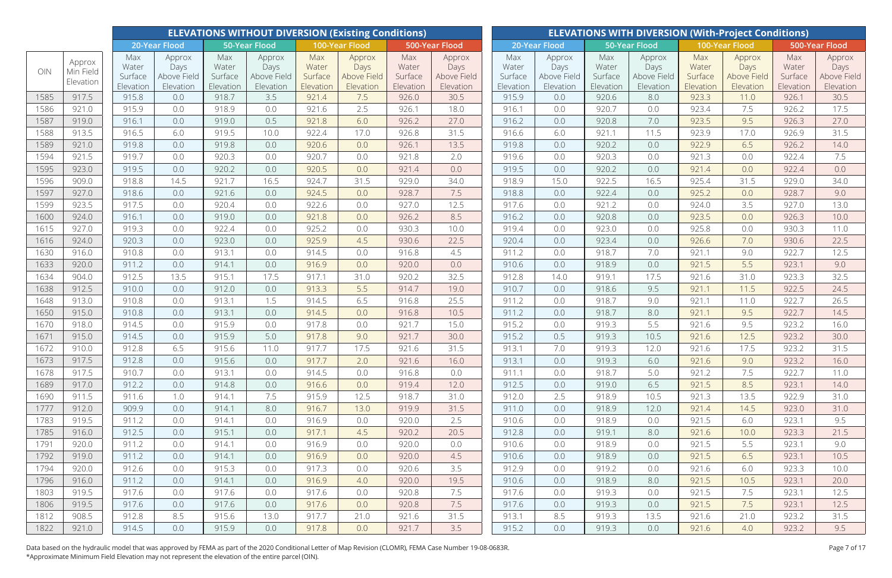|              |                                  |                                      |                                            |                                      | <b>ELEVATIONS WITHOUT DIVERSION (Existing Conditions)</b> |                                      |                                            |                                      |                                            |                                      |                                            |                                      |                                            |                                      | <b>ELEVATIONS WITH DIVERSION (With-Project Conditions)</b> |                                      |                                            |
|--------------|----------------------------------|--------------------------------------|--------------------------------------------|--------------------------------------|-----------------------------------------------------------|--------------------------------------|--------------------------------------------|--------------------------------------|--------------------------------------------|--------------------------------------|--------------------------------------------|--------------------------------------|--------------------------------------------|--------------------------------------|------------------------------------------------------------|--------------------------------------|--------------------------------------------|
|              |                                  |                                      | 20-Year Flood                              |                                      | <b>50-Year Flood</b>                                      |                                      | 100-Year Flood                             |                                      | 500-Year Flood                             |                                      | 20-Year Flood                              |                                      | 50-Year Flood                              |                                      | 100-Year Flood                                             |                                      | 500-Year Flood                             |
| OIN          | Approx<br>Min Field<br>Elevation | Max<br>Water<br>Surface<br>Elevation | Approx<br>Days<br>Above Field<br>Elevation | Max<br>Water<br>Surface<br>Elevation | Approx<br>Days<br>Above Field<br>Elevation                | Max<br>Water<br>Surface<br>Elevation | Approx<br>Days<br>Above Field<br>Elevation | Max<br>Water<br>Surface<br>Elevation | Approx<br>Days<br>Above Field<br>Elevation | Max<br>Water<br>Surface<br>Elevation | Approx<br>Days<br>Above Field<br>Elevation | Max<br>Water<br>Surface<br>Elevation | Approx<br>Days<br>Above Field<br>Elevation | Max<br>Water<br>Surface<br>Elevation | Approx<br>Days<br>Above Field<br>Elevation                 | Max<br>Water<br>Surface<br>Elevation | Approx<br>Days<br>Above Field<br>Elevation |
| 1585         | 917.5                            | 915.8                                | 0.0                                        | 918.7                                | 3.5                                                       | 921.4                                | 7.5                                        | 926.0                                | 30.5                                       | 915.9                                | 0.0                                        | 920.6                                | 8.0                                        | 923.3                                | 11.0                                                       | 926.1                                | 30.5                                       |
| 1586         | 921.0                            | 915.9                                | 0.0                                        | 918.9                                | 0.0                                                       | 921.6                                | 2.5                                        | 926.1                                | 18.0                                       | 916.1                                | 0.0                                        | 920.7                                | 0.0                                        | 923.4                                | 7.5                                                        | 926.2                                | 17.5                                       |
| 1587         | 919.0                            | 916.1                                | 0.0                                        | 919.0                                | 0.5                                                       | 921.8                                | 6.0                                        | 926.2                                | 27.0                                       | 916.2                                | 0.0                                        | 920.8                                | 7.0                                        | 923.5                                | 9.5                                                        | 926.3                                | 27.0                                       |
| 1588         | 913.5                            | 916.5                                | 6.0                                        | 919.5                                | 10.0                                                      | 922.4                                | 17.0                                       | 926.8                                | 31.5                                       | 916.6                                | 6.0                                        | 921.1                                | 11.5                                       | 923.9                                | 17.0                                                       | 926.9                                | 31.5                                       |
| 1589         | 921.0                            | 919.8                                | 0.0                                        | 919.8                                | 0.0                                                       | 920.6                                | 0.0                                        | 926.1                                | 13.5                                       | 919.8                                | 0.0                                        | 920.2                                | 0.0                                        | 922.9                                | 6.5                                                        | 926.2                                | 14.0                                       |
| 1594         | 921.5                            | 919.7                                | 0.0                                        | 920.3                                | 0.0                                                       | 920.7                                | 0.0                                        | 921.8                                | 2.0                                        | 919.6                                | 0.0                                        | 920.3                                | 0.0                                        | 921.3                                | 0.0                                                        | 922.4                                | 7.5                                        |
| 1595         | 923.0                            | 919.5                                | 0.0                                        | 920.2                                | 0.0                                                       | 920.5                                | 0.0                                        | 921.4                                | 0.0                                        | 919.5                                | 0.0                                        | 920.2                                | 0.0                                        | 921.4                                | 0.0                                                        | 922.4                                | 0.0                                        |
| 1596         | 909.0                            | 918.8                                | 14.5                                       | 921.7                                | 16.5                                                      | 924.7                                | 31.5                                       | 929.0                                | 34.0                                       | 918.9                                | 15.0                                       | 922.5                                | 16.5                                       | 925.4                                | 31.5                                                       | 929.0                                | 34.0                                       |
| 1597         | 927.0                            | 918.6                                | 0.0                                        | 921.6                                | 0.0                                                       | 924.5                                | 0.0                                        | 928.7                                | 7.5                                        | 918.8                                | 0.0                                        | 922.4                                | 0.0                                        | 925.2                                | 0.0                                                        | 928.7                                | 9.0                                        |
| 1599         | 923.5                            | 917.5                                | 0.0                                        | 920.4                                | 0.0                                                       | 922.6                                | 0.0                                        | 927.0                                | 12.5                                       | 917.6                                | 0.0                                        | 921.2                                | 0.0                                        | 924.0                                | 3.5                                                        | 927.0                                | 13.0                                       |
| 1600         | 924.0                            | 916.1                                | 0.0                                        | 919.0                                | 0.0                                                       | 921.8                                | 0.0                                        | 926.2                                | 8.5                                        | 916.2                                | 0.0                                        | 920.8                                | 0.0                                        | 923.5                                | 0.0                                                        | 926.3                                | 10.0                                       |
| 1615         | 927.0                            | 919.3                                | 0.0                                        | 922.4                                | 0.0                                                       | 925.2                                | 0.0                                        | 930.3                                | 10.0                                       | 919.4                                | 0.0                                        | 923.0                                | 0.0                                        | 925.8                                | 0.0                                                        | 930.3                                | 11.0                                       |
| 1616         | 924.0                            | 920.3                                | 0.0                                        | 923.0                                | 0.0                                                       | 925.9                                | 4.5                                        | 930.6                                | 22.5                                       | 920.4                                | 0.0                                        | 923.4                                | 0.0                                        | 926.6                                | 7.0                                                        | 930.6                                | 22.5                                       |
| 1630         | 916.0                            | 910.8                                | 0.0                                        | 913.1                                | 0.0                                                       | 914.5                                | 0.0                                        | 916.8                                | 4.5                                        | 911.2                                | 0.0                                        | 918.7                                | 7.0                                        | 921.1                                | 9.0                                                        | 922.7                                | 12.5                                       |
| 1633         | 920.0                            | 911.2                                | 0.0                                        | 914.1                                | 0.0                                                       | 916.9                                | 0.0                                        | 920.0                                | 0.0                                        | 910.6                                | 0.0                                        | 918.9                                | 0.0                                        | 921.5                                | 5.5                                                        | 923.1                                | 9.0                                        |
| 1634         | 904.0                            | 912.5                                | 13.5                                       | 915.1                                | 17.5                                                      | 917.1                                | 31.0                                       | 920.2                                | 32.5                                       | 912.8                                | 14.0                                       | 919.1                                | 17.5                                       | 921.6                                | 31.0                                                       | 923.3                                | 32.5                                       |
| 1638         | 912.5                            | 910.0                                | 0.0                                        | 912.0                                | 0.0                                                       | 913.3                                | 5.5                                        | 914.7                                | 19.0                                       | 910.7                                | 0.0                                        | 918.6                                | 9.5                                        | 921.1                                | 11.5                                                       | 922.5                                | 24.5                                       |
| 1648         | 913.0                            | 910.8                                | 0.0                                        | 913.1                                | 1.5                                                       | 914.5                                | 6.5                                        | 916.8                                | 25.5                                       | 911.2                                | 0.0                                        | 918.7                                | 9.0                                        | 921.1                                | 11.0                                                       | 922.7                                | 26.5                                       |
| 1650         | 915.0                            | 910.8                                | 0.0                                        | 913.1                                | 0.0                                                       | 914.5                                | 0.0                                        | 916.8                                | 10.5                                       | 911.2                                | 0.0                                        | 918.7                                | 8.0                                        | 921.1                                | 9.5                                                        | 922.7                                | 14.5                                       |
| 1670         | 918.0                            | 914.5                                | 0.0                                        | 915.9                                | 0.0                                                       | 917.8                                | 0.0                                        | 921.7                                | 15.0                                       | 915.2                                | 0.0                                        | 919.3                                | 5.5                                        | 921.6                                | 9.5                                                        | 923.2                                | 16.0                                       |
| 1671         | 915.0                            | 914.5                                | 0.0                                        | 915.9                                | 5.0                                                       | 917.8                                | 9.0                                        | 921.7                                | 30.0                                       | 915.2                                | 0.5                                        | 919.3                                | 10.5                                       | 921.6                                | 12.5                                                       | 923.2                                | 30.0                                       |
| 1672         | 910.0                            | 912.8                                | 6.5                                        | 915.6                                | 11.0                                                      | 917.7                                | 17.5                                       | 921.6                                | 31.5                                       | 913.1                                | 7.0                                        | 919.3                                | 12.0                                       | 921.6                                | 17.5                                                       | 923.2                                | 31.5                                       |
| 1673         | 917.5                            | 912.8                                | 0.0                                        | 915.6                                | 0.0                                                       | 917.7                                | 2.0                                        | 921.6                                | 16.0                                       | 913.1                                | 0.0                                        | 919.3                                | 6.0                                        | 921.6                                | 9.0                                                        | 923.2                                | 16.0                                       |
| 1678         | 917.5                            | 910.7                                | 0.0                                        | 913.1                                | 0.0                                                       | 914.5                                | 0.0                                        | 916.8                                | 0.0                                        | 911.1                                | 0.0                                        | 918.7                                | 5.0                                        | 921.2                                | 7.5                                                        | 922.7                                | 11.0                                       |
| 1689         | 917.0                            | 912.2                                | 0.0                                        | 914.8                                | 0.0                                                       | 916.6                                | 0.0                                        | 919.4                                | 12.0                                       | 912.5                                | 0.0                                        | 919.0                                | 6.5                                        | 921.5                                | 8.5                                                        | 923.1                                | 14.0                                       |
| 1690         | 911.5                            | 911.6                                | 1.0                                        | 914.1                                | 7.5                                                       | 915.9                                | 12.5                                       | 918.7                                | 31.0                                       | 912.0                                | 2.5                                        | 918.9                                | 10.5                                       | 921.3                                | 13.5                                                       | 922.9                                | 31.0                                       |
| 1777         | 912.0                            | 909.9                                | 0.0                                        | 914.1                                | 8.0                                                       | 916.7                                | 13.0                                       | 919.9                                | 31.5                                       | 911.0                                | 0.0                                        | 918.9                                | 12.0                                       | 921.4                                | 14.5                                                       | 923.0                                | 31.0                                       |
| 1783         | 919.5                            | 911.2                                | 0.0                                        | 914.1                                | 0.0                                                       | 916.9                                | 0.0                                        | 920.0                                | 2.5                                        | 910.6                                | 0.0                                        | 918.9                                | 0.0                                        | 921.5                                | 6.0                                                        | 923.1                                | 9.5                                        |
| 1785         | 916.0                            | 912.5                                | 0.0                                        | 915.1                                | 0.0                                                       | 917.1                                | 4.5                                        | 920.2                                | 20.5                                       | 912.8                                | 0.0                                        | 919.1                                | 8.0                                        | 921.6                                | 10.0                                                       | 923.3                                | 21.5                                       |
| 1791         | 920.0                            | 911.2                                | 0.0                                        | 914.1                                | 0.0                                                       | 916.9                                | 0.0                                        | 920.0                                | 0.0                                        | 910.6                                | 0.0                                        | 918.9                                | 0.0                                        | 921.5                                | 5.5                                                        | 923.1                                | 9.0                                        |
| 1792<br>1794 | 919.0<br>920.0                   | 911.2<br>912.6                       | 0.0                                        | 914.1<br>915.3                       | 0.0<br>0.0                                                | 916.9<br>917.3                       | 0.0                                        | 920.0<br>920.6                       | 4.5<br>3.5                                 | 910.6<br>912.9                       | 0.0<br>0.0                                 | 918.9<br>919.2                       | 0.0                                        | 921.5<br>921.6                       | 6.5<br>6.0                                                 | 923.1<br>923.3                       | 10.5<br>10.0                               |
| 1796         | 916.0                            | 911.2                                | 0.0<br>0.0                                 | 914.1                                | 0.0                                                       | 916.9                                | 0.0<br>4.0                                 | 920.0                                | 19.5                                       | 910.6                                | 0.0                                        | 918.9                                | 0.0<br>8.0                                 | 921.5                                | 10.5                                                       | 923.1                                | 20.0                                       |
| 1803         | 919.5                            | 917.6                                | 0.0                                        | 917.6                                | 0.0                                                       | 917.6                                | 0.0                                        | 920.8                                | 7.5                                        | 917.6                                | 0.0                                        | 919.3                                | 0.0                                        | 921.5                                | 7.5                                                        | 923.1                                | 12.5                                       |
| 1806         | 919.5                            | 917.6                                | 0.0                                        | 917.6                                | 0.0                                                       | 917.6                                | 0.0                                        | 920.8                                | 7.5                                        | 917.6                                | 0.0                                        | 919.3                                | 0.0                                        | 921.5                                | 7.5                                                        | 923.1                                | 12.5                                       |
| 1812         | 908.5                            | 912.8                                | 8.5                                        | 915.6                                | 13.0                                                      | 917.7                                | 21.0                                       | 921.6                                | 31.5                                       | 913.1                                | 8.5                                        | 919.3                                | 13.5                                       | 921.6                                | 21.0                                                       | 923.2                                | 31.5                                       |
| 1822         | 921.0                            | 914.5                                | 0.0                                        | 915.9                                | 0.0                                                       | 917.8                                | 0.0                                        | 921.7                                | 3.5                                        | 915.2                                | 0.0                                        | 919.3                                | 0.0                                        | 921.6                                | 4.0                                                        | 923.2                                | 9.5                                        |
|              |                                  |                                      |                                            |                                      |                                                           |                                      |                                            |                                      |                                            |                                      |                                            |                                      |                                            |                                      |                                                            |                                      |                                            |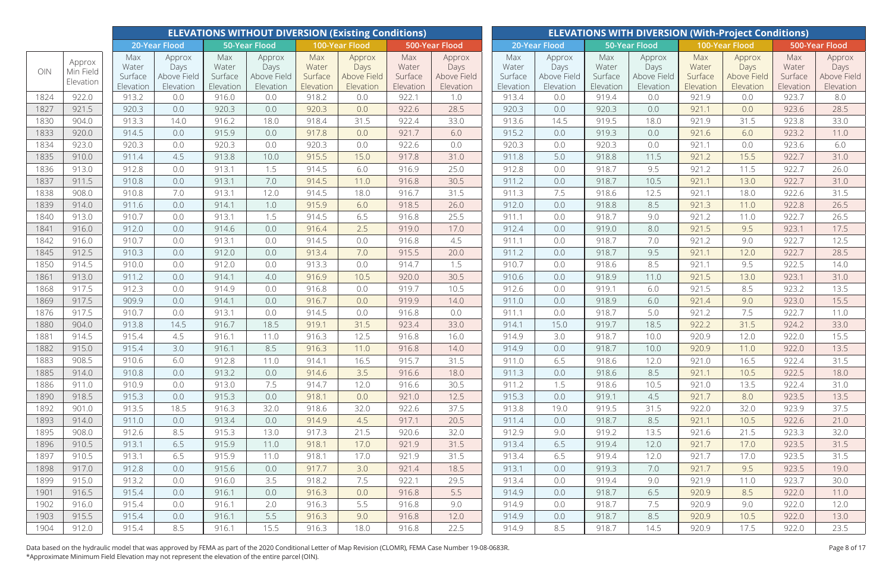|              |                     |                         |                               |                         | <b>ELEVATIONS WITHOUT DIVERSION (Existing Conditions)</b> |                         |                               |                         |                               |                         |                               |                         |                               |                         | <b>ELEVATIONS WITH DIVERSION (With-Project Conditions)</b> |                         |                               |
|--------------|---------------------|-------------------------|-------------------------------|-------------------------|-----------------------------------------------------------|-------------------------|-------------------------------|-------------------------|-------------------------------|-------------------------|-------------------------------|-------------------------|-------------------------------|-------------------------|------------------------------------------------------------|-------------------------|-------------------------------|
|              |                     |                         | 20-Year Flood                 |                         | <b>50-Year Flood</b>                                      |                         | 100-Year Flood                |                         | 500-Year Flood                |                         | 20-Year Flood                 |                         | 50-Year Flood                 |                         | 100-Year Flood                                             |                         | 500-Year Flood                |
| OIN          | Approx<br>Min Field | Max<br>Water<br>Surface | Approx<br>Days<br>Above Field | Max<br>Water<br>Surface | Approx<br>Days<br>Above Field                             | Max<br>Water<br>Surface | Approx<br>Days<br>Above Field | Max<br>Water<br>Surface | Approx<br>Days<br>Above Field | Max<br>Water<br>Surface | Approx<br>Days<br>Above Field | Max<br>Water<br>Surface | Approx<br>Days<br>Above Field | Max<br>Water<br>Surface | Approx<br>Days<br>Above Field                              | Max<br>Water<br>Surface | Approx<br>Days<br>Above Field |
|              | Elevation           | Elevation               | Elevation                     | Elevation               | Elevation                                                 | Elevation               | Elevation                     | Elevation               | Elevation                     | Elevation               | Elevation                     | Elevation               | Elevation                     | Elevation               | Elevation                                                  | Elevation               | Elevation                     |
| 1824         | 922.0               | 913.2                   | 0.0                           | 916.0                   | 0.0                                                       | 918.2                   | 0.0                           | 922.1                   | 1.0                           | 913.4                   | 0.0                           | 919.4                   | 0.0                           | 921.9                   | 0.0                                                        | 923.7                   | 8.0                           |
| 1827         | 921.5               | 920.3                   | 0.0                           | 920.3                   | 0.0                                                       | 920.3                   | 0.0                           | 922.6                   | 28.5                          | 920.3                   | 0.0                           | 920.3                   | 0.0                           | 921.1                   | 0.0                                                        | 923.6                   | 28.5                          |
| 1830         | 904.0               | 913.3                   | 14.0                          | 916.2                   | 18.0                                                      | 918.4                   | 31.5                          | 922.4                   | 33.0                          | 913.6                   | 14.5                          | 919.5                   | 18.0                          | 921.9                   | 31.5                                                       | 923.8                   | 33.0                          |
| 1833         | 920.0               | 914.5                   | 0.0                           | 915.9                   | 0.0                                                       | 917.8                   | 0.0                           | 921.7                   | 6.0                           | 915.2                   | 0.0                           | 919.3                   | 0.0                           | 921.6                   | 6.0                                                        | 923.2                   | 11.0                          |
| 1834         | 923.0               | 920.3                   | 0.0                           | 920.3                   | 0.0                                                       | 920.3                   | 0.0                           | 922.6                   | 0.0                           | 920.3                   | 0.0                           | 920.3                   | 0.0                           | 921.1                   | 0.0                                                        | 923.6                   | 6.0                           |
| 1835         | 910.0               | 911.4                   | 4.5                           | 913.8                   | 10.0                                                      | 915.5                   | 15.0                          | 917.8                   | 31.0                          | 911.8                   | 5.0                           | 918.8                   | 11.5                          | 921.2                   | 15.5                                                       | 922.7                   | 31.0                          |
| 1836         | 913.0               | 912.8                   | 0.0                           | 913.1                   | 1.5                                                       | 914.5                   | 6.0                           | 916.9                   | 25.0                          | 912.8                   | 0.0                           | 918.7                   | 9.5                           | 921.2                   | 11.5                                                       | 922.7                   | 26.0                          |
| 1837         | 911.5               | 910.8                   | 0.0                           | 913.1                   | 7.0                                                       | 914.5                   | 11.0                          | 916.8                   | 30.5                          | 911.2                   | 0.0                           | 918.7                   | 10.5                          | 921.1                   | 13.0                                                       | 922.7                   | 31.0                          |
| 1838         | 908.0               | 910.8                   | 7.0                           | 913.1                   | 12.0                                                      | 914.5                   | 18.0                          | 916.7                   | 31.5                          | 911.3                   | 7.5                           | 918.6                   | 12.5                          | 921.1                   | 18.0                                                       | 922.6                   | 31.5                          |
| 1839         | 914.0               | 911.6                   | 0.0                           | 914.1                   | 1.0                                                       | 915.9                   | 6.0                           | 918.5                   | 26.0                          | 912.0                   | 0.0                           | 918.8                   | 8.5                           | 921.3                   | 11.0                                                       | 922.8                   | 26.5                          |
| 1840         | 913.0               | 910.7                   | 0.0                           | 913.1                   | 1.5                                                       | 914.5                   | 6.5                           | 916.8                   | 25.5                          | 911.1                   | 0.0                           | 918.7                   | 9.0                           | 921.2                   | 11.0                                                       | 922.7                   | 26.5                          |
| 1841         | 916.0               | 912.0                   | 0.0                           | 914.6                   | 0.0                                                       | 916.4                   | 2.5                           | 919.0                   | 17.0                          | 912.4                   | 0.0                           | 919.0                   | 8.0                           | 921.5                   | 9.5                                                        | 923.1                   | 17.5                          |
| 1842         | 916.0               | 910.7                   | 0.0                           | 913.1                   | 0.0                                                       | 914.5                   | 0.0                           | 916.8                   | 4.5                           | 911.1                   | 0.0                           | 918.7                   | 7.0                           | 921.2                   | 9.0                                                        | 922.7                   | 12.5                          |
| 1845         | 912.5               | 910.3                   | 0.0                           | 912.0                   | 0.0                                                       | 913.4                   | 7.0                           | 915.5                   | 20.0                          | 911.2                   | 0.0                           | 918.7                   | 9.5                           | 921.1                   | 12.0                                                       | 922.7                   | 28.5                          |
| 1850         | 914.5               | 910.0                   | 0.0                           | 912.0                   | 0.0                                                       | 913.3                   | 0.0                           | 914.7                   | 1.5                           | 910.7                   | 0.0                           | 918.6                   | 8.5                           | 921.1                   | 9.5                                                        | 922.5                   | 14.0                          |
| 1861         | 913.0               | 911.2                   | 0.0                           | 914.1                   | 4.0                                                       | 916.9                   | 10.5                          | 920.0                   | 30.5                          | 910.6                   | 0.0                           | 918.9                   | 11.0                          | 921.5                   | 13.0                                                       | 923.1                   | 31.0                          |
| 1868         | 917.5               | 912.3                   | 0.0                           | 914.9                   | 0.0                                                       | 916.8                   | 0.0                           | 919.7                   | 10.5                          | 912.6                   | 0.0                           | 919.1                   | 6.0                           | 921.5                   | 8.5                                                        | 923.2                   | 13.5                          |
| 1869         | 917.5               | 909.9                   | 0.0                           | 914.1                   | 0.0                                                       | 916.7                   | 0.0                           | 919.9                   | 14.0                          | 911.0                   | 0.0                           | 918.9                   | 6.0                           | 921.4                   | 9.0                                                        | 923.0                   | 15.5                          |
| 1876         | 917.5               | 910.7                   | 0.0                           | 913.1                   | 0.0                                                       | 914.5                   | 0.0                           | 916.8                   | 0.0                           | 911.1                   | 0.0                           | 918.7                   | 5.0                           | 921.2                   | 7.5                                                        | 922.7                   | 11.0                          |
| 1880         | 904.0               | 913.8                   | 14.5                          | 916.7                   | 18.5                                                      | 919.1                   | 31.5                          | 923.4                   | 33.0                          | 914.1                   | 15.0                          | 919.7                   | 18.5                          | 922.2                   | 31.5                                                       | 924.2                   | 33.0                          |
| 1881         | 914.5               | 915.4                   | 4.5                           | 916.1                   | 11.0                                                      | 916.3                   | 12.5                          | 916.8                   | 16.0                          | 914.9                   | 3.0                           | 918.7                   | 10.0                          | 920.9                   | 12.0                                                       | 922.0                   | 15.5                          |
| 1882         | 915.0               | 915.4                   | 3.0                           | 916.1                   | 8.5                                                       | 916.3                   | 11.0                          | 916.8                   | 14.0                          | 914.9                   | 0.0                           | 918.7                   | 10.0                          | 920.9                   | 11.0                                                       | 922.0                   | 13.5                          |
| 1883         | 908.5               | 910.6                   | 6.0                           | 912.8                   | 11.0                                                      | 914.1                   | 16.5                          | 915.7                   | 31.5                          | 911.0                   | 6.5                           | 918.6                   | 12.0                          | 921.0                   | 16.5                                                       | 922.4                   | 31.5                          |
| 1885         | 914.0               | 910.8                   | 0.0                           | 913.2                   | 0.0                                                       | 914.6                   | 3.5                           | 916.6                   | 18.0                          | 911.3                   | 0.0                           | 918.6                   | 8.5                           | 921.1                   | 10.5                                                       | 922.5                   | 18.0                          |
| 1886         | 911.0               | 910.9                   | 0.0                           | 913.0                   | 7.5                                                       | 914.7                   | 12.0                          | 916.6                   | 30.5                          | 911.2                   | 1.5                           | 918.6                   | 10.5                          | 921.0                   | 13.5                                                       | 922.4                   | 31.0                          |
| 1890         | 918.5               | 915.3                   | 0.0                           | 915.3                   | 0.0                                                       | 918.1                   | 0.0                           | 921.0                   | 12.5                          | 915.3                   | 0.0                           | 919.1                   | 4.5                           | 921.7                   | 8.0                                                        | 923.5                   | 13.5                          |
| 1892         | 901.0               | 913.5                   | 18.5                          | 916.3                   | 32.0                                                      | 918.6                   | 32.0                          | 922.6                   | 37.5                          | 913.8                   | 19.0                          | 919.5                   | 31.5                          | 922.0                   | 32.0                                                       | 923.9                   | 37.5                          |
| 1893         | 914.0               | 911.0                   | 0.0                           | 913.4                   | 0.0                                                       | 914.9                   | 4.5                           | 917.1                   | 20.5                          | 911.4                   | 0.0                           | 918.7                   | 8.5                           | 921.1                   | 10.5                                                       | 922.6                   | 21.0                          |
| 1895         | 908.0               | 912.6                   | 8.5                           | 915.3                   | 13.0                                                      | 917.3                   | 21.5                          | 920.6                   | 32.0                          | 912.9                   | 9.0                           | 919.2                   | 13.5                          | 921.6                   | 21.5                                                       | 923.3                   | 32.0                          |
| 1896         | 910.5               | 913.1                   | 6.5                           | 915.9                   | 11.0                                                      | 918.1                   | 17.0                          | 921.9                   | 31.5                          | 913.4                   | 6.5                           | 919.4                   | 12.0                          | 921.7                   | 17.0                                                       | 923.5                   | 31.5                          |
| 1897<br>1898 | 910.5<br>917.0      | 913.1<br>912.8          | 6.5                           | 915.9<br>915.6          | 11.0                                                      | 918.1<br>917.7          | 17.0                          | 921.9                   | 31.5<br>18.5                  | 913.4<br>913.1          | 6.5                           | 919.4<br>919.3          | 12.0                          | 921.7<br>921.7          | 17.0<br>9.5                                                | 923.5<br>923.5          | 31.5                          |
| 1899         | 915.0               |                         | 0.0                           |                         | 0.0<br>3.5                                                |                         | 3.0<br>7.5                    | 921.4                   |                               | 913.4                   | 0.0<br>0.0                    | 919.4                   | 7.0                           | 921.9                   | 11.0                                                       | 923.7                   | 19.0<br>30.0                  |
| 1901         | 916.5               | 913.2<br>915.4          | 0.0<br>0.0                    | 916.0<br>916.1          | 0.0                                                       | 918.2<br>916.3          | 0.0                           | 922.1<br>916.8          | 29.5<br>5.5                   | 914.9                   | 0.0                           | 918.7                   | 9.0                           | 920.9                   | 8.5                                                        | 922.0                   | 11.0                          |
| 1902         | 916.0               | 915.4                   | 0.0                           | 916.1                   | 2.0                                                       | 916.3                   | 5.5                           | 916.8                   | 9.0                           | 914.9                   | 0.0                           | 918.7                   | 6.5<br>7.5                    | 920.9                   | 9.0                                                        | 922.0                   | 12.0                          |
| 1903         | 915.5               | 915.4                   | 0.0                           | 916.1                   | 5.5                                                       | 916.3                   | 9.0                           | 916.8                   | 12.0                          | 914.9                   | 0.0                           | 918.7                   | 8.5                           | 920.9                   | 10.5                                                       | 922.0                   | 13.0                          |
| 1904         | 912.0               | 915.4                   | 8.5                           | 916.1                   | 15.5                                                      | 916.3                   | 18.0                          | 916.8                   | 22.5                          | 914.9                   | 8.5                           | 918.7                   | 14.5                          | 920.9                   | 17.5                                                       | 922.0                   | 23.5                          |
|              |                     |                         |                               |                         |                                                           |                         |                               |                         |                               |                         |                               |                         |                               |                         |                                                            |                         |                               |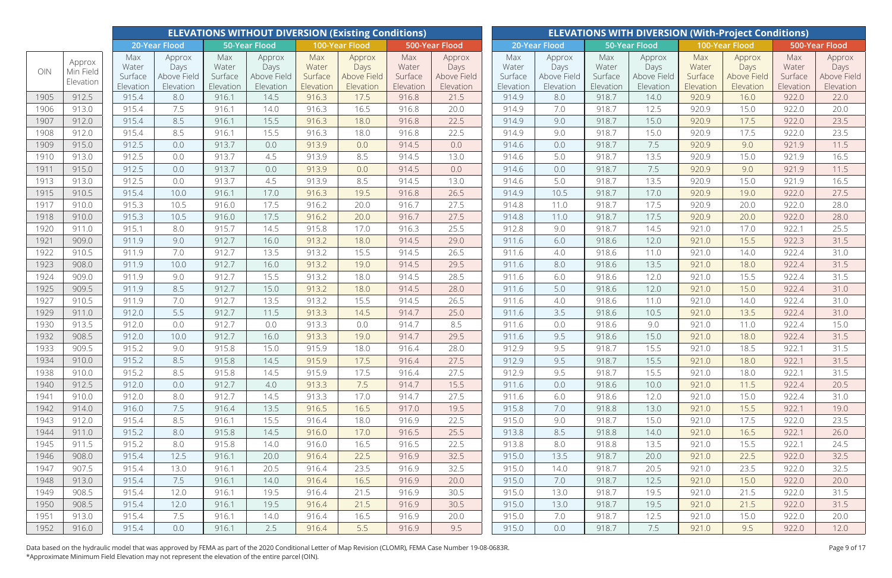|      |           |                  |                     |                  | <b>ELEVATIONS WITHOUT DIVERSION (Existing Conditions)</b> |                  |                     |                  |                     |                  |                     |                  |                     |                  | <b>ELEVATIONS WITH DIVERSION (With-Project Conditions)</b> |                  |                     |
|------|-----------|------------------|---------------------|------------------|-----------------------------------------------------------|------------------|---------------------|------------------|---------------------|------------------|---------------------|------------------|---------------------|------------------|------------------------------------------------------------|------------------|---------------------|
|      |           |                  | 20-Year Flood       |                  | <b>50-Year Flood</b>                                      |                  | 100-Year Flood      |                  | 500-Year Flood      |                  | 20-Year Flood       |                  | 50-Year Flood       |                  | 100-Year Flood                                             |                  | 500-Year Flood      |
|      | Approx    | Max              | Approx              | Max              | Approx                                                    | Max              | Approx              | Max              | Approx              | Max              | Approx              | Max              | Approx              | Max              | Approx                                                     | Max              | Approx              |
| OIN  | Min Field | Water<br>Surface | Days<br>Above Field | Water<br>Surface | Days<br>Above Field                                       | Water<br>Surface | Days<br>Above Field | Water<br>Surface | Days<br>Above Field | Water<br>Surface | Days<br>Above Field | Water<br>Surface | Days<br>Above Field | Water<br>Surface | Days<br>Above Field                                        | Water<br>Surface | Days<br>Above Field |
|      | Elevation | Elevation        | Elevation           | Elevation        | Elevation                                                 | Elevation        | Elevation           | Elevation        | Elevation           | Elevation        | Elevation           | Elevation        | Elevation           | Elevation        | Elevation                                                  | Elevation        | Elevation           |
| 1905 | 912.5     | 915.4            | 8.0                 | 916.1            | 14.5                                                      | 916.3            | 17.5                | 916.8            | 21.5                | 914.9            | 8.0                 | 918.7            | 14.0                | 920.9            | 16.0                                                       | 922.0            | 22.0                |
| 1906 | 913.0     | 915.4            | 7.5                 | 916.1            | 14.0                                                      | 916.3            | 16.5                | 916.8            | 20.0                | 914.9            | 7.0                 | 918.7            | 12.5                | 920.9            | 15.0                                                       | 922.0            | 20.0                |
| 1907 | 912.0     | 915.4            | 8.5                 | 916.1            | 15.5                                                      | 916.3            | 18.0                | 916.8            | 22.5                | 914.9            | 9.0                 | 918.7            | 15.0                | 920.9            | 17.5                                                       | 922.0            | 23.5                |
| 1908 | 912.0     | 915.4            | 8.5                 | 916.1            | 15.5                                                      | 916.3            | 18.0                | 916.8            | 22.5                | 914.9            | 9.0                 | 918.7            | 15.0                | 920.9            | 17.5                                                       | 922.0            | 23.5                |
| 1909 | 915.0     | 912.5            | 0.0                 | 913.7            | 0.0                                                       | 913.9            | 0.0                 | 914.5            | 0.0                 | 914.6            | 0.0                 | 918.7            | 7.5                 | 920.9            | 9.0                                                        | 921.9            | 11.5                |
| 1910 | 913.0     | 912.5            | 0.0                 | 913.7            | 4.5                                                       | 913.9            | 8.5                 | 914.5            | 13.0                | 914.6            | 5.0                 | 918.7            | 13.5                | 920.9            | 15.0                                                       | 921.9            | 16.5                |
| 1911 | 915.0     | 912.5            | 0.0                 | 913.7            | 0.0                                                       | 913.9            | 0.0                 | 914.5            | 0.0                 | 914.6            | 0.0                 | 918.7            | 7.5                 | 920.9            | 9.0                                                        | 921.9            | 11.5                |
| 1913 | 913.0     | 912.5            | 0.0                 | 913.7            | 4.5                                                       | 913.9            | 8.5                 | 914.5            | 13.0                | 914.6            | 5.0                 | 918.7            | 13.5                | 920.9            | 15.0                                                       | 921.9            | 16.5                |
| 1915 | 910.5     | 915.4            | 10.0                | 916.1            | 17.0                                                      | 916.3            | 19.5                | 916.8            | 26.5                | 914.9            | 10.5                | 918.7            | 17.0                | 920.9            | 19.0                                                       | 922.0            | 27.5                |
| 1917 | 910.0     | 915.3            | 10.5                | 916.0            | 17.5                                                      | 916.2            | 20.0                | 916.7            | 27.5                | 914.8            | 11.0                | 918.7            | 17.5                | 920.9            | 20.0                                                       | 922.0            | 28.0                |
| 1918 | 910.0     | 915.3            | 10.5                | 916.0            | 17.5                                                      | 916.2            | 20.0                | 916.7            | 27.5                | 914.8            | 11.0                | 918.7            | 17.5                | 920.9            | 20.0                                                       | 922.0            | 28.0                |
| 1920 | 911.0     | 915.1            | 8.0                 | 915.7            | 14.5                                                      | 915.8            | 17.0                | 916.3            | 25.5                | 912.8            | 9.0                 | 918.7            | 14.5                | 921.0            | 17.0                                                       | 922.1            | 25.5                |
| 1921 | 909.0     | 911.9            | 9.0                 | 912.7            | 16.0                                                      | 913.2            | 18.0                | 914.5            | 29.0                | 911.6            | 6.0                 | 918.6            | 12.0                | 921.0            | 15.5                                                       | 922.3            | 31.5                |
| 1922 | 910.5     | 911.9            | 7.0                 | 912.7            | 13.5                                                      | 913.2            | 15.5                | 914.5            | 26.5                | 911.6            | 4.0                 | 918.6            | 11.0                | 921.0            | 14.0                                                       | 922.4            | 31.0                |
| 1923 | 908.0     | 911.9            | 10.0                | 912.7            | 16.0                                                      | 913.2            | 19.0                | 914.5            | 29.5                | 911.6            | 8.0                 | 918.6            | 13.5                | 921.0            | 18.0                                                       | 922.4            | 31.5                |
| 1924 | 909.0     | 911.9            | 9.0                 | 912.7            | 15.5                                                      | 913.2            | 18.0                | 914.5            | 28.5                | 911.6            | 6.0                 | 918.6            | 12.0                | 921.0            | 15.5                                                       | 922.4            | 31.5                |
| 1925 | 909.5     | 911.9            | 8.5                 | 912.7            | 15.0                                                      | 913.2            | 18.0                | 914.5            | 28.0                | 911.6            | 5.0                 | 918.6            | 12.0                | 921.0            | 15.0                                                       | 922.4            | 31.0                |
| 1927 | 910.5     | 911.9            | 7.0                 | 912.7            | 13.5                                                      | 913.2            | 15.5                | 914.5            | 26.5                | 911.6            | 4.0                 | 918.6            | 11.0                | 921.0            | 14.0                                                       | 922.4            | 31.0                |
| 1929 | 911.0     | 912.0            | 5.5                 | 912.7            | 11.5                                                      | 913.3            | 14.5                | 914.7            | 25.0                | 911.6            | 3.5                 | 918.6            | 10.5                | 921.0            | 13.5                                                       | 922.4            | 31.0                |
| 1930 | 913.5     | 912.0            | 0.0                 | 912.7            | 0.0                                                       | 913.3            | 0.0                 | 914.7            | 8.5                 | 911.6            | 0.0                 | 918.6            | 9.0                 | 921.0            | 11.0                                                       | 922.4            | 15.0                |
| 1932 | 908.5     | 912.0            | 10.0                | 912.7            | 16.0                                                      | 913.3            | 19.0                | 914.7            | 29.5                | 911.6            | 9.5                 | 918.6            | 15.0                | 921.0            | 18.0                                                       | 922.4            | 31.5                |
| 1933 | 909.5     | 915.2            | 9.0                 | 915.8            | 15.0                                                      | 915.9            | 18.0                | 916.4            | 28.0                | 912.9            | 9.5                 | 918.7            | 15.5                | 921.0            | 18.5                                                       | 922.1            | 31.5                |
| 1934 | 910.0     | 915.2            | 8.5                 | 915.8            | 14.5                                                      | 915.9            | 17.5                | 916.4            | 27.5                | 912.9            | 9.5                 | 918.7            | 15.5                | 921.0            | 18.0                                                       | 922.1            | 31.5                |
| 1938 | 910.0     | 915.2            | 8.5                 | 915.8            | 14.5                                                      | 915.9            | 17.5                | 916.4            | 27.5                | 912.9            | 9.5                 | 918.7            | 15.5                | 921.0            | 18.0                                                       | 922.1            | 31.5                |
| 1940 | 912.5     | 912.0            | 0.0                 | 912.7            | 4.0                                                       | 913.3            | 7.5                 | 914.7            | 15.5                | 911.6            | 0.0                 | 918.6            | 10.0                | 921.0            | 11.5                                                       | 922.4            | 20.5                |
| 1941 | 910.0     | 912.0            | 8.0                 | 912.7            | 14.5                                                      | 913.3            | 17.0                | 914.7            | 27.5                | 911.6            | 6.0                 | 918.6            | 12.0                | 921.0            | 15.0                                                       | 922.4            | 31.0                |
| 1942 | 914.0     | 916.0            | 7.5                 | 916.4            | 13.5                                                      | 916.5            | 16.5                | 917.0            | 19.5                | 915.8            | 7.0                 | 918.8            | 13.0                | 921.0            | 15.5                                                       | 922.1            | 19.0                |
| 1943 | 912.0     | 915.4            | 8.5                 | 916.1            | 15.5                                                      | 916.4            | 18.0                | 916.9            | 22.5                | 915.0            | 9.0                 | 918.7            | 15.0                | 921.0            | 17.5                                                       | 922.0            | 23.5                |
| 1944 | 911.0     | 915.2            | 8.0                 | 915.8            | 14.5                                                      | 916.0            | 17.0                | 916.5            | 25.5                | 913.8            | 8.5                 | 918.8            | 14.0                | 921.0            | 16.5                                                       | 922.1            | 26.0                |
| 1945 | 911.5     | 915.2            | 8.0                 | 915.8            | 14.0                                                      | 916.0            | 16.5                | 916.5            | 22.5                | 913.8            | 8.0                 | 918.8            | 13.5                | 921.0            | 15.5                                                       | 922.1            | 24.5                |
| 1946 | 908.0     | 915.4            | 12.5                | 916.1            | 20.0                                                      | 916.4            | 22.5                | 916.9            | 32.5                | 915.0            | 13.5                | 918.7            | 20.0                | 921.0            | 22.5                                                       | 922.0            | 32.5                |
| 1947 | 907.5     | 915.4            | 13.0                | 916.1            | 20.5                                                      | 916.4            | 23.5                | 916.9            | 32.5                | 915.0            | 14.0                | 918.7            | 20.5                | 921.0            | 23.5                                                       | 922.0            | 32.5                |
| 1948 | 913.0     | 915.4            | 7.5                 | 916.1            | 14.0                                                      | 916.4            | 16.5                | 916.9            | 20.0                | 915.0            | 7.0                 | 918.7            | 12.5                | 921.0            | 15.0                                                       | 922.0            | 20.0                |
| 1949 | 908.5     | 915.4            | 12.0                | 916.1            | 19.5                                                      | 916.4            | 21.5                | 916.9            | 30.5                | 915.0            | 13.0                | 918.7            | 19.5                | 921.0            | 21.5                                                       | 922.0            | 31.5                |
| 1950 | 908.5     | 915.4            | 12.0                | 916.1            | 19.5                                                      | 916.4            | 21.5                | 916.9            | 30.5                | 915.0            | 13.0                | 918.7            | 19.5                | 921.0            | 21.5                                                       | 922.0            | 31.5                |
| 1951 | 913.0     | 915.4            | 7.5                 | 916.1            | 14.0                                                      | 916.4            | 16.5                | 916.9            | 20.0                | 915.0            | 7.0                 | 918.7            | 12.5                | 921.0            | 15.0                                                       | 922.0            | 20.0                |
| 1952 | 916.0     | 915.4            | 0.0                 | 916.1            | 2.5                                                       | 916.4            | 5.5                 | 916.9            | 9.5                 | 915.0            | 0.0                 | 918.7            | 7.5                 | 921.0            | 9.5                                                        | 922.0            | 12.0                |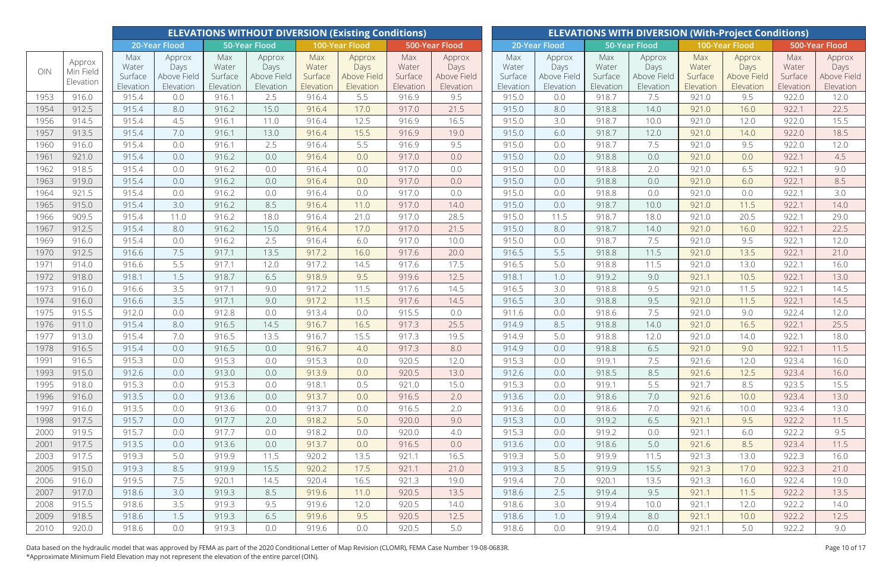|      |           |                  |                     |                  | <b>ELEVATIONS WITHOUT DIVERSION (Existing Conditions)</b> |                  |                     |                  |                     |                  |                     |                  |                     |                  | <b>ELEVATIONS WITH DIVERSION (With-Project Conditions)</b> |                  |                     |
|------|-----------|------------------|---------------------|------------------|-----------------------------------------------------------|------------------|---------------------|------------------|---------------------|------------------|---------------------|------------------|---------------------|------------------|------------------------------------------------------------|------------------|---------------------|
|      |           |                  | 20-Year Flood       |                  | <b>50-Year Flood</b>                                      |                  | 100-Year Flood      |                  | 500-Year Flood      |                  | 20-Year Flood       |                  | 50-Year Flood       |                  | 100-Year Flood                                             |                  | 500-Year Flood      |
|      | Approx    | Max              | Approx              | Max              | Approx                                                    | Max              | Approx              | Max              | Approx              | Max              | Approx              | Max              | Approx              | Max              | Approx                                                     | Max              | Approx              |
| OIN  | Min Field | Water<br>Surface | Days<br>Above Field | Water<br>Surface | Days<br>Above Field                                       | Water<br>Surface | Days<br>Above Field | Water<br>Surface | Days<br>Above Field | Water<br>Surface | Days<br>Above Field | Water<br>Surface | Days<br>Above Field | Water<br>Surface | Days<br>Above Field                                        | Water<br>Surface | Days<br>Above Field |
|      | Elevation | Elevation        | Elevation           | Elevation        | Elevation                                                 | Elevation        | Elevation           | Elevation        | Elevation           | Elevation        | Elevation           | Elevation        | Elevation           | Elevation        | Elevation                                                  | Elevation        | Elevation           |
| 1953 | 916.0     | 915.4            | 0.0                 | 916.1            | 2.5                                                       | 916.4            | 5.5                 | 916.9            | 9.5                 | 915.0            | 0.0                 | 918.7            | 7.5                 | 921.0            | 9.5                                                        | 922.0            | 12.0                |
| 1954 | 912.5     | 915.4            | 8.0                 | 916.2            | 15.0                                                      | 916.4            | 17.0                | 917.0            | 21.5                | 915.0            | 8.0                 | 918.8            | 14.0                | 921.0            | 16.0                                                       | 922.1            | 22.5                |
| 1956 | 914.5     | 915.4            | 4.5                 | 916.1            | 11.0                                                      | 916.4            | 12.5                | 916.9            | 16.5                | 915.0            | 3.0                 | 918.7            | 10.0                | 921.0            | 12.0                                                       | 922.0            | 15.5                |
| 1957 | 913.5     | 915.4            | 7.0                 | 916.1            | 13.0                                                      | 916.4            | 15.5                | 916.9            | 19.0                | 915.0            | 6.0                 | 918.7            | 12.0                | 921.0            | 14.0                                                       | 922.0            | 18.5                |
| 1960 | 916.0     | 915.4            | 0.0                 | 916.1            | 2.5                                                       | 916.4            | 5.5                 | 916.9            | 9.5                 | 915.0            | 0.0                 | 918.7            | 7.5                 | 921.0            | 9.5                                                        | 922.0            | 12.0                |
| 1961 | 921.0     | 915.4            | 0.0                 | 916.2            | 0.0                                                       | 916.4            | 0.0                 | 917.0            | 0.0                 | 915.0            | 0.0                 | 918.8            | 0.0                 | 921.0            | 0.0                                                        | 922.1            | 4.5                 |
| 1962 | 918.5     | 915.4            | 0.0                 | 916.2            | 0.0                                                       | 916.4            | 0.0                 | 917.0            | 0.0                 | 915.0            | 0.0                 | 918.8            | 2.0                 | 921.0            | 6.5                                                        | 922.1            | 9.0                 |
| 1963 | 919.0     | 915.4            | 0.0                 | 916.2            | 0.0                                                       | 916.4            | 0.0                 | 917.0            | 0.0                 | 915.0            | 0.0                 | 918.8            | 0.0                 | 921.0            | 6.0                                                        | 922.1            | 8.5                 |
| 1964 | 921.5     | 915.4            | 0.0                 | 916.2            | 0.0                                                       | 916.4            | 0.0                 | 917.0            | 0.0                 | 915.0            | 0.0                 | 918.8            | 0.0                 | 921.0            | 0.0                                                        | 922.1            | 3.0                 |
| 1965 | 915.0     | 915.4            | 3.0                 | 916.2            | 8.5                                                       | 916.4            | 11.0                | 917.0            | 14.0                | 915.0            | 0.0                 | 918.7            | 10.0                | 921.0            | 11.5                                                       | 922.1            | 14.0                |
| 1966 | 909.5     | 915.4            | 11.0                | 916.2            | 18.0                                                      | 916.4            | 21.0                | 917.0            | 28.5                | 915.0            | 11.5                | 918.7            | 18.0                | 921.0            | 20.5                                                       | 922.1            | 29.0                |
| 1967 | 912.5     | 915.4            | 8.0                 | 916.2            | 15.0                                                      | 916.4            | 17.0                | 917.0            | 21.5                | 915.0            | 8.0                 | 918.7            | 14.0                | 921.0            | 16.0                                                       | 922.1            | 22.5                |
| 1969 | 916.0     | 915.4            | 0.0                 | 916.2            | 2.5                                                       | 916.4            | 6.0                 | 917.0            | 10.0                | 915.0            | 0.0                 | 918.7            | 7.5                 | 921.0            | 9.5                                                        | 922.1            | 12.0                |
| 1970 | 912.5     | 916.6            | 7.5                 | 917.1            | 13.5                                                      | 917.2            | 16.0                | 917.6            | 20.0                | 916.5            | 5.5                 | 918.8            | 11.5                | 921.0            | 13.5                                                       | 922.1            | 21.0                |
| 1971 | 914.0     | 916.6            | 5.5                 | 917.1            | 12.0                                                      | 917.2            | 14.5                | 917.6            | 17.5                | 916.5            | 5.0                 | 918.8            | 11.5                | 921.0            | 13.0                                                       | 922.1            | 16.0                |
| 1972 | 918.0     | 918.1            | 1.5                 | 918.7            | 6.5                                                       | 918.9            | 9.5                 | 919.6            | 12.5                | 918.1            | 1.0                 | 919.2            | 9.0                 | 921.1            | 10.5                                                       | 922.1            | 13.0                |
| 1973 | 916.0     | 916.6            | 3.5                 | 917.1            | 9.0                                                       | 917.2            | 11.5                | 917.6            | 14.5                | 916.5            | 3.0                 | 918.8            | 9.5                 | 921.0            | 11.5                                                       | 922.1            | 14.5                |
| 1974 | 916.0     | 916.6            | 3.5                 | 917.1            | 9.0                                                       | 917.2            | 11.5                | 917.6            | 14.5                | 916.5            | 3.0                 | 918.8            | 9.5                 | 921.0            | 11.5                                                       | 922.1            | 14.5                |
| 1975 | 915.5     | 912.0            | 0.0                 | 912.8            | 0.0                                                       | 913.4            | 0.0                 | 915.5            | 0.0                 | 911.6            | 0.0                 | 918.6            | 7.5                 | 921.0            | 9.0                                                        | 922.4            | 12.0                |
| 1976 | 911.0     | 915.4            | 8.0                 | 916.5            | 14.5                                                      | 916.7            | 16.5                | 917.3            | 25.5                | 914.9            | 8.5                 | 918.8            | 14.0                | 921.0            | 16.5                                                       | 922.1            | 25.5                |
| 1977 | 913.0     | 915.4            | 7.0                 | 916.5            | 13.5                                                      | 916.7            | 15.5                | 917.3            | 19.5                | 914.9            | 5.0                 | 918.8            | 12.0                | 921.0            | 14.0                                                       | 922.1            | 18.0                |
| 1978 | 916.5     | 915.4            | 0.0                 | 916.5            | 0.0                                                       | 916.7            | 4.0                 | 917.3            | 8.0                 | 914.9            | 0.0                 | 918.8            | 6.5                 | 921.0            | 9.0                                                        | 922.1            | 11.5                |
| 1991 | 916.5     | 915.3            | 0.0                 | 915.3            | 0.0                                                       | 915.3            | 0.0                 | 920.5            | 12.0                | 915.3            | 0.0                 | 919.1            | 7.5                 | 921.6            | 12.0                                                       | 923.4            | 16.0                |
| 1993 | 915.0     | 912.6            | 0.0                 | 913.0            | 0.0                                                       | 913.9            | 0.0                 | 920.5            | 13.0                | 912.6            | 0.0                 | 918.5            | 8.5                 | 921.6            | 12.5                                                       | 923.4            | 16.0                |
| 1995 | 918.0     | 915.3            | 0.0                 | 915.3            | 0.0                                                       | 918.1            | 0.5                 | 921.0            | 15.0                | 915.3            | 0.0                 | 919.1            | 5.5                 | 921.7            | 8.5                                                        | 923.5            | 15.5                |
| 1996 | 916.0     | 913.5            | 0.0                 | 913.6            | 0.0                                                       | 913.7            | 0.0                 | 916.5            | 2.0                 | 913.6            | 0.0                 | 918.6            | 7.0                 | 921.6            | 10.0                                                       | 923.4            | 13.0                |
| 1997 | 916.0     | 913.5            | 0.0                 | 913.6            | 0.0                                                       | 913.7            | 0.0                 | 916.5            | 2.0                 | 913.6            | 0.0                 | 918.6            | 7.0                 | 921.6            | 10.0                                                       | 923.4            | 13.0                |
| 1998 | 917.5     | 915.7            | 0.0                 | 917.7            | 2.0                                                       | 918.2            | 5.0                 | 920.0            | 9.0                 | 915.3            | 0.0                 | 919.2            | 6.5                 | 921.1            | 9.5                                                        | 922.2            | 11.5                |
| 2000 | 919.5     | 915.7            | 0.0                 | 917.7            | 0.0                                                       | 918.2            | 0.0                 | 920.0            | 4.0                 | 915.3            | 0.0                 | 919.2            | 0.0                 | 921.1            | 6.0                                                        | 922.2            | 9.5                 |
| 2001 | 917.5     | 913.5            | 0.0                 | 913.6            | 0.0                                                       | 913.7            | 0.0                 | 916.5            | 0.0                 | 913.6            | 0.0                 | 918.6            | 5.0                 | 921.6            | 8.5                                                        | 923.4            | 11.5                |
| 2003 | 917.5     | 919.3            | 5.0                 | 919.9            | 11.5                                                      | 920.2            | 13.5                | 921.1            | 16.5                | 919.3            | 5.0                 | 919.9            | 11.5                | 921.3            | 13.0                                                       | 922.3            | 16.0                |
| 2005 | 915.0     | 919.3            | 8.5                 | 919.9            | 15.5                                                      | 920.2            | 17.5                | 921.1            | 21.0                | 919.3            | 8.5                 | 919.9            | 15.5                | 921.3            | 17.0                                                       | 922.3            | 21.0                |
| 2006 | 916.0     | 919.5            | 7.5                 | 920.1            | 14.5                                                      | 920.4            | 16.5                | 921.3            | 19.0                | 919.4            | 7.0                 | 920.1            | 13.5                | 921.3            | 16.0                                                       | 922.4            | 19.0                |
| 2007 | 917.0     | 918.6            | 3.0                 | 919.3            | 8.5                                                       | 919.6            | 11.0                | 920.5            | 13.5                | 918.6            | 2.5                 | 919.4            | 9.5                 | 921.1            | 11.5                                                       | 922.2            | 13.5                |
| 2008 | 915.5     | 918.6            | 3.5                 | 919.3            | 9.5                                                       | 919.6            | 12.0                | 920.5            | 14.0                | 918.6            | 3.0                 | 919.4            | 10.0                | 921.1            | 12.0                                                       | 922.2            | 14.0                |
| 2009 | 918.5     | 918.6            | 1.5                 | 919.3            | 6.5                                                       | 919.6            | 9.5                 | 920.5            | 12.5                | 918.6            | 1.0                 | 919.4            | 8.0                 | 921.1            | 10.0                                                       | 922.2            | 12.5                |
| 2010 | 920.0     | 918.6            | 0.0                 | 919.3            | 0.0                                                       | 919.6            | 0.0                 | 920.5            | 5.0                 | 918.6            | 0.0                 | 919.4            | 0.0                 | 921.1            | 5.0                                                        | 922.2            | 9.0                 |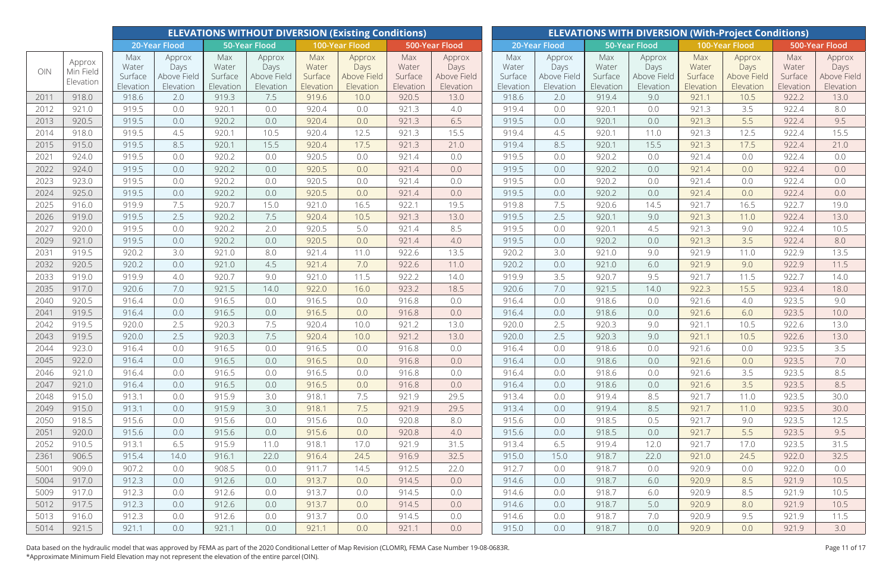|      |                                  |                                      |                                            |                                      | <b>ELEVATIONS WITHOUT DIVERSION (Existing Conditions)</b> |                                      |                                            |                                      |                                            |                                      |                                            |                                      |                                            |                                      | <b>ELEVATIONS WITH DIVERSION (With-Project Conditions)</b> |                                      |                                            |
|------|----------------------------------|--------------------------------------|--------------------------------------------|--------------------------------------|-----------------------------------------------------------|--------------------------------------|--------------------------------------------|--------------------------------------|--------------------------------------------|--------------------------------------|--------------------------------------------|--------------------------------------|--------------------------------------------|--------------------------------------|------------------------------------------------------------|--------------------------------------|--------------------------------------------|
|      |                                  |                                      | 20-Year Flood                              |                                      | <b>50-Year Flood</b>                                      |                                      | 100-Year Flood                             |                                      | 500-Year Flood                             |                                      | 20-Year Flood                              |                                      | 50-Year Flood                              |                                      | 100-Year Flood                                             |                                      | 500-Year Flood                             |
| OIN  | Approx<br>Min Field<br>Elevation | Max<br>Water<br>Surface<br>Elevation | Approx<br>Days<br>Above Field<br>Elevation | Max<br>Water<br>Surface<br>Elevation | Approx<br>Days<br>Above Field<br>Elevation                | Max<br>Water<br>Surface<br>Elevation | Approx<br>Days<br>Above Field<br>Elevation | Max<br>Water<br>Surface<br>Elevation | Approx<br>Days<br>Above Field<br>Elevation | Max<br>Water<br>Surface<br>Elevation | Approx<br>Days<br>Above Field<br>Elevation | Max<br>Water<br>Surface<br>Elevation | Approx<br>Days<br>Above Field<br>Elevation | Max<br>Water<br>Surface<br>Elevation | Approx<br>Days<br>Above Field<br>Elevation                 | Max<br>Water<br>Surface<br>Elevation | Approx<br>Days<br>Above Field<br>Elevation |
| 2011 | 918.0                            | 918.6                                | 2.0                                        | 919.3                                | 7.5                                                       | 919.6                                | 10.0                                       | 920.5                                | 13.0                                       | 918.6                                | 2.0                                        | 919.4                                | 9.0                                        | 921.1                                | 10.5                                                       | 922.2                                | 13.0                                       |
| 2012 | 921.0                            | 919.5                                | 0.0                                        | 920.1                                | 0.0                                                       | 920.4                                | 0.0                                        | 921.3                                | 4.0                                        | 919.4                                | 0.0                                        | 920.1                                | 0.0                                        | 921.3                                | 3.5                                                        | 922.4                                | 8.0                                        |
| 2013 | 920.5                            | 919.5                                | 0.0                                        | 920.2                                | 0.0                                                       | 920.4                                | 0.0                                        | 921.3                                | 6.5                                        | 919.5                                | 0.0                                        | 920.1                                | 0.0                                        | 921.3                                | 5.5                                                        | 922.4                                | 9.5                                        |
| 2014 | 918.0                            | 919.5                                | 4.5                                        | 920.1                                | 10.5                                                      | 920.4                                | 12.5                                       | 921.3                                | 15.5                                       | 919.4                                | 4.5                                        | 920.1                                | 11.0                                       | 921.3                                | 12.5                                                       | 922.4                                | 15.5                                       |
| 2015 | 915.0                            | 919.5                                | 8.5                                        | 920.1                                | 15.5                                                      | 920.4                                | 17.5                                       | 921.3                                | 21.0                                       | 919.4                                | 8.5                                        | 920.1                                | 15.5                                       | 921.3                                | 17.5                                                       | 922.4                                | 21.0                                       |
| 2021 | 924.0                            | 919.5                                | 0.0                                        | 920.2                                | 0.0                                                       | 920.5                                | 0.0                                        | 921.4                                | 0.0                                        | 919.5                                | 0.0                                        | 920.2                                | 0.0                                        | 921.4                                | 0.0                                                        | 922.4                                | 0.0                                        |
| 2022 | 924.0                            | 919.5                                | 0.0                                        | 920.2                                | 0.0                                                       | 920.5                                | 0.0                                        | 921.4                                | 0.0                                        | 919.5                                | 0.0                                        | 920.2                                | 0.0                                        | 921.4                                | 0.0                                                        | 922.4                                | 0.0                                        |
| 2023 | 923.0                            | 919.5                                | 0.0                                        | 920.2                                | 0.0                                                       | 920.5                                | 0.0                                        | 921.4                                | 0.0                                        | 919.5                                | 0.0                                        | 920.2                                | 0.0                                        | 921.4                                | 0.0                                                        | 922.4                                | 0.0                                        |
| 2024 | 925.0                            | 919.5                                | 0.0                                        | 920.2                                | 0.0                                                       | 920.5                                | 0.0                                        | 921.4                                | 0.0                                        | 919.5                                | 0.0                                        | 920.2                                | 0.0                                        | 921.4                                | 0.0                                                        | 922.4                                | 0.0                                        |
| 2025 | 916.0                            | 919.9                                | 7.5                                        | 920.7                                | 15.0                                                      | 921.0                                | 16.5                                       | 922.1                                | 19.5                                       | 919.8                                | 7.5                                        | 920.6                                | 14.5                                       | 921.7                                | 16.5                                                       | 922.7                                | 19.0                                       |
| 2026 | 919.0                            | 919.5                                | 2.5                                        | 920.2                                | 7.5                                                       | 920.4                                | 10.5                                       | 921.3                                | 13.0                                       | 919.5                                | 2.5                                        | 920.1                                | 9.0                                        | 921.3                                | 11.0                                                       | 922.4                                | 13.0                                       |
| 2027 | 920.0                            | 919.5                                | 0.0                                        | 920.2                                | 2.0                                                       | 920.5                                | 5.0                                        | 921.4                                | 8.5                                        | 919.5                                | 0.0                                        | 920.1                                | 4.5                                        | 921.3                                | 9.0                                                        | 922.4                                | 10.5                                       |
| 2029 | 921.0                            | 919.5                                | 0.0                                        | 920.2                                | 0.0                                                       | 920.5                                | 0.0                                        | 921.4                                | 4.0                                        | 919.5                                | 0.0                                        | 920.2                                | 0.0                                        | 921.3                                | 3.5                                                        | 922.4                                | 8.0                                        |
| 2031 | 919.5                            | 920.2                                | 3.0                                        | 921.0                                | 8.0                                                       | 921.4                                | 11.0                                       | 922.6                                | 13.5                                       | 920.2                                | 3.0                                        | 921.0                                | 9.0                                        | 921.9                                | 11.0                                                       | 922.9                                | 13.5                                       |
| 2032 | 920.5                            | 920.2                                | 0.0                                        | 921.0                                | 4.5                                                       | 921.4                                | 7.0                                        | 922.6                                | 11.0                                       | 920.2                                | 0.0                                        | 921.0                                | 6.0                                        | 921.9                                | 9.0                                                        | 922.9                                | 11.5                                       |
| 2033 | 919.0                            | 919.9                                | 4.0                                        | 920.7                                | 9.0                                                       | 921.0                                | 11.5                                       | 922.2                                | 14.0                                       | 919.9                                | 3.5                                        | 920.7                                | 9.5                                        | 921.7                                | 11.5                                                       | 922.7                                | 14.0                                       |
| 2035 | 917.0                            | 920.6                                | 7.0                                        | 921.5                                | 14.0                                                      | 922.0                                | 16.0                                       | 923.2                                | 18.5                                       | 920.6                                | 7.0                                        | 921.5                                | 14.0                                       | 922.3                                | 15.5                                                       | 923.4                                | 18.0                                       |
| 2040 | 920.5                            | 916.4                                | 0.0                                        | 916.5                                | 0.0                                                       | 916.5                                | 0.0                                        | 916.8                                | 0.0                                        | 916.4                                | 0.0                                        | 918.6                                | 0.0                                        | 921.6                                | 4.0                                                        | 923.5                                | 9.0                                        |
| 2041 | 919.5                            | 916.4                                | 0.0                                        | 916.5                                | 0.0                                                       | 916.5                                | 0.0                                        | 916.8                                | 0.0                                        | 916.4                                | 0.0                                        | 918.6                                | 0.0                                        | 921.6                                | 6.0                                                        | 923.5                                | 10.0                                       |
| 2042 | 919.5                            | 920.0                                | 2.5                                        | 920.3                                | 7.5                                                       | 920.4                                | 10.0                                       | 921.2                                | 13.0                                       | 920.0                                | 2.5                                        | 920.3                                | 9.0                                        | 921.1                                | 10.5                                                       | 922.6                                | 13.0                                       |
| 2043 | 919.5                            | 920.0                                | 2.5                                        | 920.3                                | 7.5                                                       | 920.4                                | 10.0                                       | 921.2                                | 13.0                                       | 920.0                                | 2.5                                        | 920.3                                | 9.0                                        | 921.1                                | 10.5                                                       | 922.6                                | 13.0                                       |
| 2044 | 923.0                            | 916.4                                | 0.0                                        | 916.5                                | 0.0                                                       | 916.5                                | 0.0                                        | 916.8                                | 0.0                                        | 916.4                                | 0.0                                        | 918.6                                | 0.0                                        | 921.6                                | 0.0                                                        | 923.5                                | 3.5                                        |
| 2045 | 922.0                            | 916.4                                | 0.0                                        | 916.5                                | 0.0                                                       | 916.5                                | 0.0                                        | 916.8                                | 0.0                                        | 916.4                                | 0.0                                        | 918.6                                | 0.0                                        | 921.6                                | 0.0                                                        | 923.5                                | 7.0                                        |
| 2046 | 921.0                            | 916.4                                | 0.0                                        | 916.5                                | 0.0                                                       | 916.5                                | 0.0                                        | 916.8                                | 0.0                                        | 916.4                                | 0.0                                        | 918.6                                | 0.0                                        | 921.6                                | 3.5                                                        | 923.5                                | 8.5                                        |
| 2047 | 921.0                            | 916.4                                | 0.0                                        | 916.5                                | 0.0                                                       | 916.5                                | 0.0                                        | 916.8                                | 0.0                                        | 916.4                                | 0.0                                        | 918.6                                | 0.0                                        | 921.6                                | 3.5                                                        | 923.5                                | 8.5                                        |
| 2048 | 915.0                            | 913.1                                | 0.0                                        | 915.9                                | 3.0                                                       | 918.1                                | 7.5                                        | 921.9                                | 29.5                                       | 913.4                                | 0.0                                        | 919.4                                | 8.5                                        | 921.7                                | 11.0                                                       | 923.5                                | 30.0                                       |
| 2049 | 915.0                            | 913.1                                | 0.0                                        | 915.9                                | 3.0                                                       | 918.1                                | 7.5                                        | 921.9                                | 29.5                                       | 913.4                                | 0.0                                        | 919.4                                | 8.5                                        | 921.7                                | 11.0                                                       | 923.5                                | 30.0                                       |
| 2050 | 918.5                            | 915.6                                | 0.0                                        | 915.6                                | 0.0                                                       | 915.6                                | 0.0                                        | 920.8                                | 8.0                                        | 915.6                                | 0.0                                        | 918.5                                | 0.5                                        | 921.7                                | 9.0                                                        | 923.5                                | 12.5                                       |
| 2051 | 920.0                            | 915.6                                | 0.0                                        | 915.6                                | 0.0                                                       | 915.6                                | 0.0                                        | 920.8                                | 4.0                                        | 915.6                                | 0.0                                        | 918.5                                | 0.0                                        | 921.7                                | 5.5                                                        | 923.5                                | 9.5                                        |
| 2052 | 910.5                            | 913.1                                | 6.5                                        | 915.9                                | 11.0                                                      | 918.1                                | 17.0                                       | 921.9                                | 31.5                                       | 913.4                                | 6.5                                        | 919.4                                | 12.0                                       | 921.7                                | 17.0                                                       | 923.5                                | 31.5                                       |
| 2361 | 906.5                            | 915.4                                | 14.0                                       | 916.1                                | 22.0                                                      | 916.4                                | 24.5                                       | 916.9                                | 32.5                                       | 915.0                                | 15.0                                       | 918.7                                | 22.0                                       | 921.0                                | 24.5                                                       | 922.0                                | 32.5                                       |
| 5001 | 909.0                            | 907.2                                | 0.0                                        | 908.5                                | 0.0                                                       | 911.7                                | 14.5                                       | 912.5                                | 22.0                                       | 912.7                                | 0.0                                        | 918.7                                | 0.0                                        | 920.9                                | 0.0                                                        | 922.0                                | 0.0                                        |
| 5004 | 917.0                            | 912.3                                | 0.0                                        | 912.6                                | 0.0                                                       | 913.7                                | 0.0                                        | 914.5                                | 0.0                                        | 914.6                                | 0.0                                        | 918.7                                | 6.0                                        | 920.9                                | 8.5                                                        | 921.9                                | 10.5                                       |
| 5009 | 917.0                            | 912.3                                | 0.0                                        | 912.6                                | 0.0                                                       | 913.7                                | 0.0                                        | 914.5                                | 0.0                                        | 914.6                                | 0.0                                        | 918.7                                | 6.0                                        | 920.9                                | 8.5                                                        | 921.9                                | 10.5                                       |
| 5012 | 917.5                            | 912.3                                | 0.0                                        | 912.6                                | 0.0                                                       | 913.7                                | 0.0                                        | 914.5                                | 0.0                                        | 914.6                                | 0.0                                        | 918.7                                | 5.0                                        | 920.9                                | 8.0                                                        | 921.9                                | 10.5                                       |
| 5013 | 916.0                            | 912.3                                | 0.0                                        | 912.6                                | 0.0                                                       | 913.7                                | 0.0                                        | 914.5                                | 0.0                                        | 914.6                                | 0.0                                        | 918.7                                | 7.0                                        | 920.9                                | 9.5                                                        | 921.9                                | 11.5                                       |
| 5014 | 921.5                            | 921.1                                | 0.0                                        | 921.1                                | 0.0                                                       | 921.1                                | 0.0                                        | 921.1                                | 0.0                                        | 915.0                                | 0.0                                        | 918.7                                | 0.0                                        | 920.9                                | 0.0                                                        | 921.9                                | 3.0                                        |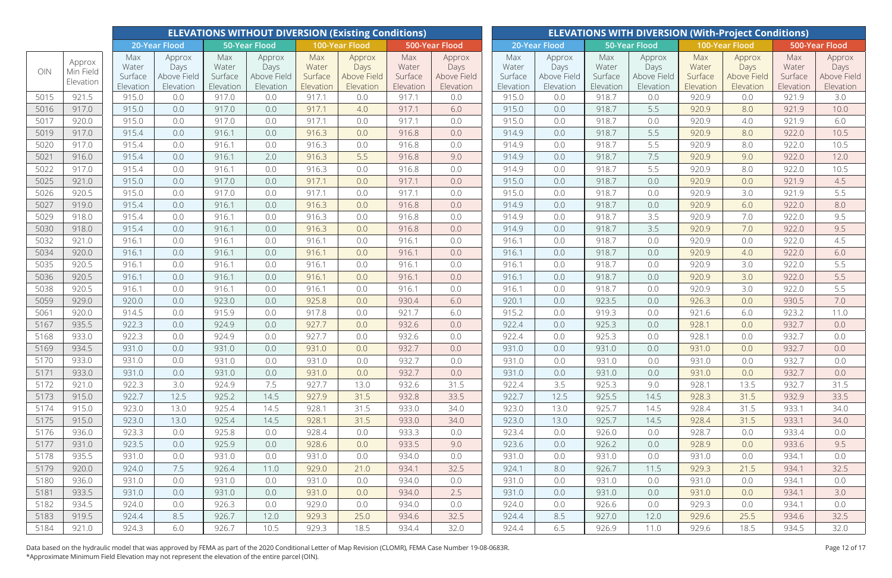|              |                                  | <b>ELEVATIONS WITHOUT DIVERSION (Existing Conditions)</b> |                               |                         |                               |                         |                               |                         |                               |                         |                               |                         |                               |                         | <b>ELEVATIONS WITH DIVERSION (With-Project Conditions)</b> |                         |                               |
|--------------|----------------------------------|-----------------------------------------------------------|-------------------------------|-------------------------|-------------------------------|-------------------------|-------------------------------|-------------------------|-------------------------------|-------------------------|-------------------------------|-------------------------|-------------------------------|-------------------------|------------------------------------------------------------|-------------------------|-------------------------------|
|              |                                  |                                                           | 20-Year Flood                 |                         | 50-Year Flood                 |                         | 100-Year Flood                |                         | 500-Year Flood                |                         | 20-Year Flood                 |                         | 50-Year Flood                 |                         | 100-Year Flood                                             |                         | 500-Year Flood                |
| OIN          | Approx<br>Min Field<br>Elevation | Max<br>Water<br>Surface                                   | Approx<br>Days<br>Above Field | Max<br>Water<br>Surface | Approx<br>Days<br>Above Field | Max<br>Water<br>Surface | Approx<br>Days<br>Above Field | Max<br>Water<br>Surface | Approx<br>Days<br>Above Field | Max<br>Water<br>Surface | Approx<br>Days<br>Above Field | Max<br>Water<br>Surface | Approx<br>Days<br>Above Field | Max<br>Water<br>Surface | Approx<br>Days<br>Above Field                              | Max<br>Water<br>Surface | Approx<br>Days<br>Above Field |
|              |                                  | Elevation                                                 | Elevation                     | Elevation               | Elevation                     | Elevation               | Elevation                     | Elevation               | Elevation                     | Elevation               | Elevation                     | Elevation               | Elevation                     | Elevation               | Elevation                                                  | Elevation               | Elevation                     |
| 5015         | 921.5                            | 915.0                                                     | 0.0                           | 917.0                   | 0.0                           | 917.1                   | 0.0                           | 917.1                   | 0.0                           | 915.0                   | 0.0                           | 918.7                   | 0.0                           | 920.9                   | 0.0                                                        | 921.9                   | 3.0                           |
| 5016         | 917.0                            | 915.0                                                     | 0.0                           | 917.0                   | 0.0                           | 917.1                   | 4.0                           | 917.1                   | 6.0                           | 915.0                   | 0.0                           | 918.7                   | 5.5                           | 920.9                   | 8.0                                                        | 921.9                   | 10.0                          |
| 5017         | 920.0                            | 915.0                                                     | 0.0                           | 917.0                   | 0.0                           | 917.1                   | 0.0                           | 917.1                   | 0.0                           | 915.0                   | 0.0                           | 918.7                   | 0.0                           | 920.9                   | 4.0                                                        | 921.9                   | 6.0                           |
| 5019         | 917.0                            | 915.4                                                     | 0.0                           | 916.1                   | 0.0                           | 916.3                   | 0.0                           | 916.8                   | 0.0                           | 914.9                   | 0.0                           | 918.7                   | 5.5                           | 920.9                   | 8.0                                                        | 922.0                   | 10.5                          |
| 5020         | 917.0                            | 915.4                                                     | 0.0                           | 916.1                   | 0.0                           | 916.3                   | 0.0                           | 916.8                   | 0.0                           | 914.9                   | 0.0                           | 918.7                   | 5.5                           | 920.9                   | 8.0                                                        | 922.0                   | 10.5                          |
| 5021         | 916.0                            | 915.4                                                     | 0.0                           | 916.1                   | 2.0                           | 916.3                   | 5.5                           | 916.8                   | 9.0                           | 914.9                   | 0.0                           | 918.7                   | 7.5                           | 920.9                   | 9.0                                                        | 922.0                   | 12.0                          |
| 5022         | 917.0                            | 915.4                                                     | 0.0                           | 916.1                   | 0.0                           | 916.3                   | 0.0                           | 916.8                   | 0.0                           | 914.9                   | 0.0                           | 918.7                   | 5.5                           | 920.9                   | 8.0                                                        | 922.0                   | 10.5                          |
| 5025         | 921.0                            | 915.0                                                     | 0.0                           | 917.0                   | 0.0                           | 917.1                   | 0.0                           | 917.1                   | 0.0                           | 915.0                   | 0.0                           | 918.7                   | 0.0                           | 920.9                   | 0.0                                                        | 921.9                   | 4.5                           |
| 5026         | 920.5                            | 915.0                                                     | 0.0                           | 917.0                   | 0.0                           | 917.1                   | 0.0                           | 917.1                   | 0.0                           | 915.0                   | 0.0                           | 918.7                   | 0.0                           | 920.9                   | 3.0                                                        | 921.9                   | 5.5                           |
| 5027         | 919.0                            | 915.4                                                     | 0.0                           | 916.1                   | 0.0                           | 916.3                   | 0.0                           | 916.8                   | 0.0                           | 914.9                   | 0.0                           | 918.7                   | 0.0                           | 920.9                   | 6.0                                                        | 922.0                   | 8.0                           |
| 5029         | 918.0                            | 915.4                                                     | 0.0                           | 916.1                   | 0.0                           | 916.3                   | 0.0                           | 916.8                   | 0.0                           | 914.9                   | 0.0                           | 918.7                   | 3.5                           | 920.9                   | 7.0                                                        | 922.0                   | 9.5                           |
| 5030         | 918.0                            | 915.4                                                     | 0.0                           | 916.1                   | 0.0                           | 916.3                   | 0.0                           | 916.8                   | 0.0                           | 914.9                   | 0.0                           | 918.7                   | 3.5                           | 920.9                   | 7.0                                                        | 922.0                   | 9.5                           |
| 5032         | 921.0                            | 916.1                                                     | 0.0                           | 916.1                   | 0.0                           | 916.1                   | 0.0                           | 916.1                   | 0.0                           | 916.1                   | 0.0                           | 918.7                   | 0.0                           | 920.9                   | 0.0                                                        | 922.0                   | 4.5                           |
| 5034         | 920.0                            | 916.1                                                     | 0.0                           | 916.1                   | 0.0                           | 916.1                   | 0.0                           | 916.1                   | 0.0                           | 916.1                   | 0.0                           | 918.7                   | 0.0                           | 920.9                   | 4.0                                                        | 922.0                   | 6.0                           |
| 5035         | 920.5                            | 916.1                                                     | 0.0                           | 916.1                   | 0.0                           | 916.1                   | 0.0                           | 916.1                   | 0.0                           | 916.1                   | 0.0                           | 918.7                   | 0.0                           | 920.9                   | 3.0                                                        | 922.0                   | 5.5                           |
| 5036         | 920.5<br>920.5                   | 916.1<br>916.1                                            | 0.0                           | 916.1                   | 0.0                           | 916.1<br>916.1          | 0.0                           | 916.1                   | 0.0                           | 916.1<br>916.1          | 0.0                           | 918.7                   | 0.0                           | 920.9                   | 3.0                                                        | 922.0                   | 5.5                           |
| 5038<br>5059 | 929.0                            | 920.0                                                     | 0.0<br>0.0                    | 916.1<br>923.0          | 0.0<br>0.0                    | 925.8                   | 0.0<br>0.0                    | 916.1<br>930.4          | 0.0<br>6.0                    | 920.1                   | 0.0<br>0.0                    | 918.7<br>923.5          | 0.0<br>0.0                    | 920.9<br>926.3          | 3.0<br>0.0                                                 | 922.0<br>930.5          | 5.5<br>7.0                    |
| 5061         | 920.0                            | 914.5                                                     | 0.0                           | 915.9                   | 0.0                           | 917.8                   | 0.0                           | 921.7                   | 6.0                           | 915.2                   | 0.0                           | 919.3                   | 0.0                           | 921.6                   | 6.0                                                        | 923.2                   | 11.0                          |
| 5167         | 935.5                            | 922.3                                                     | 0.0                           | 924.9                   | 0.0                           | 927.7                   | 0.0                           | 932.6                   | 0.0                           | 922.4                   | 0.0                           | 925.3                   | 0.0                           | 928.1                   | 0.0                                                        | 932.7                   | 0.0                           |
| 5168         | 933.0                            | 922.3                                                     | 0.0                           | 924.9                   | 0.0                           | 927.7                   | 0.0                           | 932.6                   | 0.0                           | 922.4                   | 0.0                           | 925.3                   | 0.0                           | 928.1                   | 0.0                                                        | 932.7                   | 0.0                           |
| 5169         | 934.5                            | 931.0                                                     | 0.0                           | 931.0                   | 0.0                           | 931.0                   | 0.0                           | 932.7                   | 0.0                           | 931.0                   | 0.0                           | 931.0                   | 0.0                           | 931.0                   | 0.0                                                        | 932.7                   | 0.0                           |
| 5170         | 933.0                            | 931.0                                                     | 0.0                           | 931.0                   | 0.0                           | 931.0                   | 0.0                           | 932.7                   | 0.0                           | 931.0                   | 0.0                           | 931.0                   | 0.0                           | 931.0                   | 0.0                                                        | 932.7                   | 0.0                           |
| 5171         | 933.0                            | 931.0                                                     | 0.0                           | 931.0                   | 0.0                           | 931.0                   | 0.0                           | 932.7                   | 0.0                           | 931.0                   | 0.0                           | 931.0                   | 0.0                           | 931.0                   | 0.0                                                        | 932.7                   | 0.0                           |
| 5172         | 921.0                            | 922.3                                                     | 3.0                           | 924.9                   | 7.5                           | 927.7                   | 13.0                          | 932.6                   | 31.5                          | 922.4                   | 3.5                           | 925.3                   | 9.0                           | 928.1                   | 13.5                                                       | 932.7                   | 31.5                          |
| 5173         | 915.0                            | 922.7                                                     | 12.5                          | 925.2                   | 14.5                          | 927.9                   | 31.5                          | 932.8                   | 33.5                          | 922.7                   | 12.5                          | 925.5                   | 14.5                          | 928.3                   | 31.5                                                       | 932.9                   | 33.5                          |
| 5174         | 915.0                            | 923.0                                                     | 13.0                          | 925.4                   | 14.5                          | 928.1                   | 31.5                          | 933.0                   | 34.0                          | 923.0                   | 13.0                          | 925.7                   | 14.5                          | 928.4                   | 31.5                                                       | 933.1                   | 34.0                          |
| 5175         | 915.0                            | 923.0                                                     | 13.0                          | 925.4                   | 14.5                          | 928.1                   | 31.5                          | 933.0                   | 34.0                          | 923.0                   | 13.0                          | 925.7                   | 14.5                          | 928.4                   | 31.5                                                       | 933.1                   | 34.0                          |
| 5176         | 936.0                            | 923.3                                                     | 0.0                           | 925.8                   | 0.0                           | 928.4                   | 0.0                           | 933.3                   | 0.0                           | 923.4                   | 0.0                           | 926.0                   | 0.0                           | 928.7                   | 0.0                                                        | 933.4                   | 0.0                           |
| 5177         | 931.0                            | 923.5                                                     | 0.0                           | 925.9                   | 0.0                           | 928.6                   | 0.0                           | 933.5                   | 9.0                           | 923.6                   | 0.0                           | 926.2                   | 0.0                           | 928.9                   | 0.0                                                        | 933.6                   | 9.5                           |
| 5178         | 935.5                            | 931.0                                                     | 0.0                           | 931.0                   | 0.0                           | 931.0                   | 0.0                           | 934.0                   | 0.0                           | 931.0                   | 0.0                           | 931.0                   | 0.0                           | 931.0                   | 0.0                                                        | 934.1                   | 0.0                           |
| 5179         | 920.0                            | 924.0                                                     | 7.5                           | 926.4                   | 11.0                          | 929.0                   | 21.0                          | 934.1                   | 32.5                          | 924.1                   | 8.0                           | 926.7                   | 11.5                          | 929.3                   | 21.5                                                       | 934.1                   | 32.5                          |
| 5180         | 936.0                            | 931.0                                                     | 0.0                           | 931.0                   | 0.0                           | 931.0                   | 0.0                           | 934.0                   | 0.0                           | 931.0                   | 0.0                           | 931.0                   | 0.0                           | 931.0                   | 0.0                                                        | 934.1                   | 0.0                           |
| 5181         | 933.5                            | 931.0                                                     | 0.0                           | 931.0                   | 0.0                           | 931.0                   | 0.0                           | 934.0                   | 2.5                           | 931.0                   | 0.0                           | 931.0                   | 0.0                           | 931.0                   | 0.0                                                        | 934.1                   | 3.0                           |
| 5182         | 934.5                            | 924.0                                                     | 0.0                           | 926.3                   | 0.0                           | 929.0                   | 0.0                           | 934.0                   | 0.0                           | 924.0                   | 0.0                           | 926.6                   | 0.0                           | 929.3                   | 0.0                                                        | 934.1                   | 0.0                           |
| 5183         | 919.5                            | 924.4                                                     | 8.5                           | 926.7                   | 12.0                          | 929.3                   | 25.0                          | 934.6                   | 32.5                          | 924.4                   | 8.5                           | 927.0                   | 12.0                          | 929.6                   | 25.5                                                       | 934.6                   | 32.5                          |
| 5184         | 921.0                            | 924.3                                                     | 6.0                           | 926.7                   | 10.5                          | 929.3                   | 18.5                          | 934.4                   | 32.0                          | 924.4                   | 6.5                           | 926.9                   | 11.0                          | 929.6                   | 18.5                                                       | 934.5                   | 32.0                          |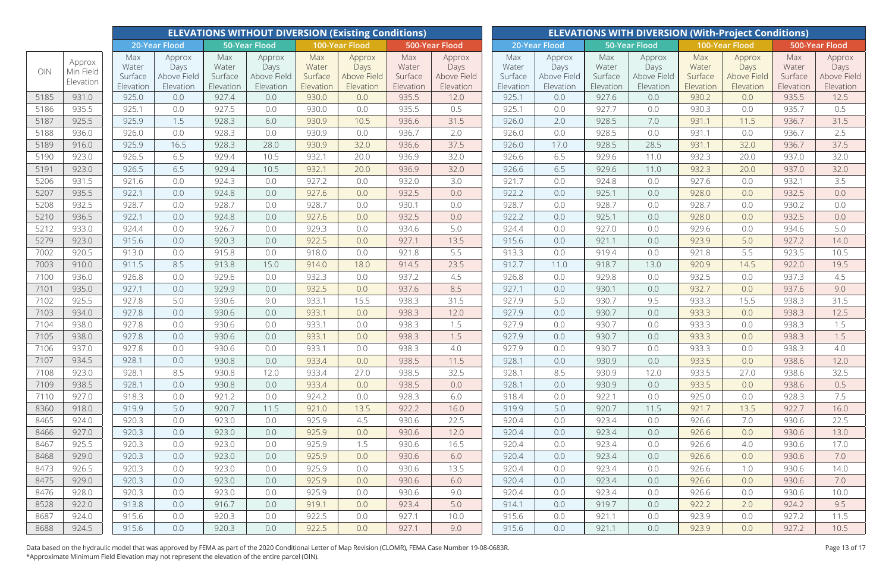|      |                                  |                                      |                                            |                                      | <b>ELEVATIONS WITHOUT DIVERSION (Existing Conditions)</b> |                                      |                                                   |                                      | <b>ELEVATIONS WITH DIVERSION (With-Project Conditions)</b> |                                      |                                            |                                      |                                            |                                      |                                            |                                      |                                            |  |
|------|----------------------------------|--------------------------------------|--------------------------------------------|--------------------------------------|-----------------------------------------------------------|--------------------------------------|---------------------------------------------------|--------------------------------------|------------------------------------------------------------|--------------------------------------|--------------------------------------------|--------------------------------------|--------------------------------------------|--------------------------------------|--------------------------------------------|--------------------------------------|--------------------------------------------|--|
|      |                                  |                                      | 20-Year Flood                              |                                      | <b>50-Year Flood</b>                                      |                                      | 100-Year Flood                                    |                                      | 500-Year Flood                                             |                                      | 20-Year Flood                              | 50-Year Flood                        |                                            | 500-Year Flood<br>100-Year Flood     |                                            |                                      |                                            |  |
| OIN  | Approx<br>Min Field<br>Elevation | Max<br>Water<br>Surface<br>Elevation | Approx<br>Days<br>Above Field<br>Elevation | Max<br>Water<br>Surface<br>Elevation | Approx<br>Days<br>Above Field<br>Elevation                | Max<br>Water<br>Surface<br>Elevation | Approx<br>Days<br><b>Above Field</b><br>Elevation | Max<br>Water<br>Surface<br>Elevation | Approx<br>Days<br>Above Field<br>Elevation                 | Max<br>Water<br>Surface<br>Elevation | Approx<br>Days<br>Above Field<br>Elevation | Max<br>Water<br>Surface<br>Elevation | Approx<br>Days<br>Above Field<br>Elevation | Max<br>Water<br>Surface<br>Elevation | Approx<br>Days<br>Above Field<br>Elevation | Max<br>Water<br>Surface<br>Elevation | Approx<br>Days<br>Above Field<br>Elevation |  |
| 5185 | 931.0                            | 925.0                                | 0.0                                        | 927.4                                | 0.0                                                       | 930.0                                | 0.0                                               | 935.5                                | 12.0                                                       | 925.1                                | 0.0                                        | 927.6                                | 0.0                                        | 930.2                                | 0.0                                        | 935.5                                | 12.5                                       |  |
| 5186 | 935.5                            | 925.1                                | 0.0                                        | 927.5                                | 0.0                                                       | 930.0                                | 0.0                                               | 935.5                                | 0.5                                                        | 925.1                                | 0.0                                        | 927.7                                | 0.0                                        | 930.3                                | 0.0                                        | 935.7                                | 0.5                                        |  |
| 5187 | 925.5                            | 925.9                                | 1.5                                        | 928.3                                | 6.0                                                       | 930.9                                | 10.5                                              | 936.6                                | 31.5                                                       | 926.0                                | 2.0                                        | 928.5                                | 7.0                                        | 931.1                                | 11.5                                       | 936.7                                | 31.5                                       |  |
| 5188 | 936.0                            | 926.0                                | 0.0                                        | 928.3                                | 0.0                                                       | 930.9                                | 0.0                                               | 936.7                                | 2.0                                                        | 926.0                                | 0.0                                        | 928.5                                | 0.0                                        | 931.1                                | 0.0                                        | 936.7                                | 2.5                                        |  |
| 5189 | 916.0                            | 925.9                                | 16.5                                       | 928.3                                | 28.0                                                      | 930.9                                | 32.0                                              | 936.6                                | 37.5                                                       | 926.0                                | 17.0                                       | 928.5                                | 28.5                                       | 931.1                                | 32.0                                       | 936.7                                | 37.5                                       |  |
| 5190 | 923.0                            | 926.5                                | 6.5                                        | 929.4                                | 10.5                                                      | 932.1                                | 20.0                                              | 936.9                                | 32.0                                                       | 926.6                                | 6.5                                        | 929.6                                | 11.0                                       | 932.3                                | 20.0                                       | 937.0                                | 32.0                                       |  |
| 5191 | 923.0                            | 926.5                                | 6.5                                        | 929.4                                | 10.5                                                      | 932.1                                | 20.0                                              | 936.9                                | 32.0                                                       | 926.6                                | 6.5                                        | 929.6                                | 11.0                                       | 932.3                                | 20.0                                       | 937.0                                | 32.0                                       |  |
| 5206 | 931.5                            | 921.6                                | 0.0                                        | 924.3                                | 0.0                                                       | 927.2                                | 0.0                                               | 932.0                                | 3.0                                                        | 921.7                                | 0.0                                        | 924.8                                | 0.0                                        | 927.6                                | 0.0                                        | 932.1                                | 3.5                                        |  |
| 5207 | 935.5                            | 922.1                                | 0.0                                        | 924.8                                | 0.0                                                       | 927.6                                | 0.0                                               | 932.5                                | 0.0                                                        | 922.2                                | 0.0                                        | 925.1                                | 0.0                                        | 928.0                                | 0.0                                        | 932.5                                | 0.0                                        |  |
| 5208 | 932.5                            | 928.7                                | 0.0                                        | 928.7                                | 0.0                                                       | 928.7                                | 0.0                                               | 930.1                                | 0.0                                                        | 928.7                                | 0.0                                        | 928.7                                | 0.0                                        | 928.7                                | 0.0                                        | 930.2                                | 0.0                                        |  |
| 5210 | 936.5                            | 922.1                                | 0.0                                        | 924.8                                | 0.0                                                       | 927.6                                | 0.0                                               | 932.5                                | 0.0                                                        | 922.2                                | 0.0                                        | 925.1                                | 0.0                                        | 928.0                                | 0.0                                        | 932.5                                | 0.0                                        |  |
| 5212 | 933.0                            | 924.4                                | 0.0                                        | 926.7                                | 0.0                                                       | 929.3                                | 0.0                                               | 934.6                                | 5.0                                                        | 924.4                                | 0.0                                        | 927.0                                | 0.0                                        | 929.6                                | 0.0                                        | 934.6                                | 5.0                                        |  |
| 5279 | 923.0                            | 915.6                                | 0.0                                        | 920.3                                | 0.0                                                       | 922.5                                | 0.0                                               | 927.1                                | 13.5                                                       | 915.6                                | 0.0                                        | 921.1                                | 0.0                                        | 923.9                                | 5.0                                        | 927.2                                | 14.0                                       |  |
| 7002 | 920.5                            | 913.0                                | 0.0                                        | 915.8                                | 0.0                                                       | 918.0                                | 0.0                                               | 921.8                                | 5.5                                                        | 913.3                                | 0.0                                        | 919.4                                | 0.0                                        | 921.8                                | 5.5                                        | 923.5                                | 10.5                                       |  |
| 7003 | 910.0                            | 911.5                                | 8.5                                        | 913.8                                | 15.0                                                      | 914.0                                | 18.0                                              | 914.5                                | 23.5                                                       | 912.7                                | 11.0                                       | 918.7                                | 13.0                                       | 920.9                                | 14.5                                       | 922.0                                | 19.5                                       |  |
| 7100 | 936.0                            | 926.8                                | 0.0                                        | 929.6                                | 0.0                                                       | 932.3                                | 0.0                                               | 937.2                                | 4.5                                                        | 926.8                                | 0.0                                        | 929.8                                | 0.0                                        | 932.5                                | 0.0                                        | 937.3                                | 4.5                                        |  |
| 7101 | 935.0                            | 927.1                                | 0.0                                        | 929.9                                | 0.0                                                       | 932.5                                | 0.0                                               | 937.6                                | 8.5                                                        | 927.1                                | 0.0                                        | 930.1                                | 0.0                                        | 932.7                                | 0.0                                        | 937.6                                | 9.0                                        |  |
| 7102 | 925.5                            | 927.8                                | 5.0                                        | 930.6                                | 9.0                                                       | 933.1                                | 15.5                                              | 938.3                                | 31.5                                                       | 927.9                                | 5.0                                        | 930.7                                | 9.5                                        | 933.3                                | 15.5                                       | 938.3                                | 31.5                                       |  |
| 7103 | 934.0                            | 927.8                                | 0.0                                        | 930.6                                | 0.0                                                       | 933.1                                | 0.0                                               | 938.3                                | 12.0                                                       | 927.9                                | 0.0                                        | 930.7                                | 0.0                                        | 933.3                                | 0.0                                        | 938.3                                | 12.5                                       |  |
| 7104 | 938.0                            | 927.8                                | 0.0                                        | 930.6                                | 0.0                                                       | 933.1                                | 0.0                                               | 938.3                                | 1.5                                                        | 927.9                                | 0.0                                        | 930.7                                | 0.0                                        | 933.3                                | 0.0                                        | 938.3                                | 1.5                                        |  |
| 7105 | 938.0                            | 927.8                                | 0.0                                        | 930.6                                | 0.0                                                       | 933.1                                | 0.0                                               | 938.3                                | 1.5                                                        | 927.9                                | 0.0                                        | 930.7                                | 0.0                                        | 933.3                                | 0.0                                        | 938.3                                | 1.5                                        |  |
| 7106 | 937.0                            | 927.8                                | 0.0                                        | 930.6                                | 0.0                                                       | 933.1                                | 0.0                                               | 938.3                                | 4.0                                                        | 927.9                                | 0.0                                        | 930.7                                | 0.0                                        | 933.3                                | 0.0                                        | 938.3                                | 4.0                                        |  |
| 7107 | 934.5                            | 928.1                                | 0.0                                        | 930.8                                | 0.0                                                       | 933.4                                | 0.0                                               | 938.5                                | 11.5                                                       | 928.1                                | 0.0                                        | 930.9                                | 0.0                                        | 933.5                                | 0.0                                        | 938.6                                | 12.0                                       |  |
| 7108 | 923.0                            | 928.1                                | 8.5                                        | 930.8                                | 12.0                                                      | 933.4                                | 27.0                                              | 938.5                                | 32.5                                                       | 928.1                                | 8.5                                        | 930.9                                | 12.0                                       | 933.5                                | 27.0                                       | 938.6                                | 32.5                                       |  |
| 7109 | 938.5                            | 928.1                                | 0.0                                        | 930.8                                | 0.0                                                       | 933.4                                | 0.0                                               | 938.5                                | 0.0                                                        | 928.1                                | 0.0                                        | 930.9                                | 0.0                                        | 933.5                                | 0.0                                        | 938.6                                | 0.5                                        |  |
| 7110 | 927.0                            | 918.3                                | 0.0                                        | 921.2                                | 0.0                                                       | 924.2                                | 0.0                                               | 928.3                                | 6.0                                                        | 918.4                                | 0.0                                        | 922.1                                | 0.0                                        | 925.0                                | 0.0                                        | 928.3                                | 7.5                                        |  |
| 8360 | 918.0                            | 919.9                                | 5.0                                        | 920.7                                | 11.5                                                      | 921.0                                | 13.5                                              | 922.2                                | 16.0                                                       | 919.9                                | 5.0                                        | 920.7                                | 11.5                                       | 921.7                                | 13.5                                       | 922.7                                | 16.0                                       |  |
| 8465 | 924.0                            | 920.3                                | 0.0                                        | 923.0                                | 0.0                                                       | 925.9                                | 4.5                                               | 930.6                                | 22.5                                                       | 920.4                                | 0.0                                        | 923.4                                | 0.0                                        | 926.6                                | 7.0                                        | 930.6                                | 22.5                                       |  |
| 8466 | 927.0                            | 920.3                                | 0.0                                        | 923.0                                | 0.0                                                       | 925.9                                | 0.0                                               | 930.6                                | 12.0                                                       | 920.4                                | 0.0                                        | 923.4                                | 0.0                                        | 926.6                                | 0.0                                        | 930.6                                | 13.0                                       |  |
| 8467 | 925.5                            | 920.3                                | 0.0                                        | 923.0                                | 0.0                                                       | 925.9                                | 1.5                                               | 930.6                                | 16.5                                                       | 920.4                                | 0.0                                        | 923.4                                | 0.0                                        | 926.6                                | 4.0                                        | 930.6                                | 17.0                                       |  |
| 8468 | 929.0                            | 920.3                                | 0.0                                        | 923.0                                | 0.0                                                       | 925.9                                | 0.0                                               | 930.6                                | 6.0                                                        | 920.4                                | 0.0                                        | 923.4                                | 0.0                                        | 926.6                                | 0.0                                        | 930.6                                | 7.0                                        |  |
| 8473 | 926.5                            | 920.3                                | 0.0                                        | 923.0                                | 0.0                                                       | 925.9                                | 0.0                                               | 930.6                                | 13.5                                                       | 920.4                                | 0.0                                        | 923.4                                | 0.0                                        | 926.6                                | 1.0                                        | 930.6                                | 14.0                                       |  |
| 8475 | 929.0                            | 920.3                                | 0.0                                        | 923.0                                | 0.0                                                       | 925.9                                | 0.0                                               | 930.6                                | 6.0                                                        | 920.4                                | 0.0                                        | 923.4                                | 0.0                                        | 926.6                                | 0.0                                        | 930.6                                | 7.0                                        |  |
| 8476 | 928.0                            | 920.3                                | 0.0                                        | 923.0                                | 0.0                                                       | 925.9                                | 0.0                                               | 930.6                                | 9.0                                                        | 920.4                                | 0.0                                        | 923.4                                | 0.0                                        | 926.6                                | 0.0                                        | 930.6                                | 10.0                                       |  |
| 8528 | 922.0                            | 913.8                                | 0.0                                        | 916.7                                | 0.0                                                       | 919.1                                | 0.0                                               | 923.4                                | 5.0                                                        | 914.1                                | 0.0                                        | 919.7                                | 0.0                                        | 922.2                                | 2.0                                        | 924.2                                | 9.5                                        |  |
| 8687 | 924.0                            | 915.6                                | 0.0                                        | 920.3                                | 0.0                                                       | 922.5                                | 0.0                                               | 927.1                                | 10.0                                                       | 915.6                                | 0.0                                        | 921.1                                | 0.0                                        | 923.9                                | 0.0                                        | 927.2                                | 11.5                                       |  |
| 8688 | 924.5                            | 915.6                                | 0.0                                        | 920.3                                | 0.0                                                       | 922.5                                | 0.0                                               | 927.1                                | 9.0                                                        | 915.6                                | 0.0                                        | 921.1                                | 0.0                                        | 923.9                                | 0.0                                        | 927.2                                | 10.5                                       |  |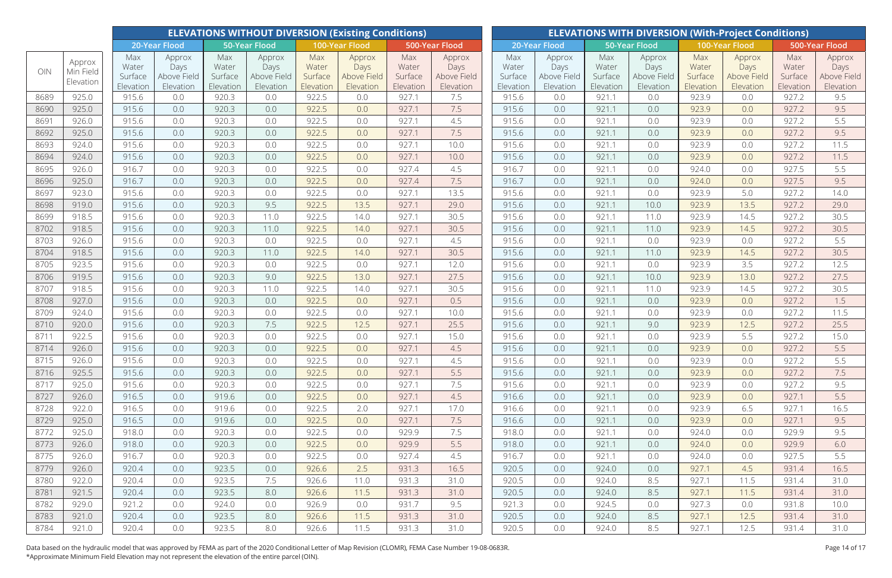|              |                                  |                                      |                                            |                                      | <b>ELEVATIONS WITHOUT DIVERSION (Existing Conditions)</b> |                                      |                                            |                                      | <b>ELEVATIONS WITH DIVERSION (With-Project Conditions)</b> |                                      |                                            |                                      |                                            |                                      |                                            |                                      |                                            |  |
|--------------|----------------------------------|--------------------------------------|--------------------------------------------|--------------------------------------|-----------------------------------------------------------|--------------------------------------|--------------------------------------------|--------------------------------------|------------------------------------------------------------|--------------------------------------|--------------------------------------------|--------------------------------------|--------------------------------------------|--------------------------------------|--------------------------------------------|--------------------------------------|--------------------------------------------|--|
|              |                                  |                                      | <b>20-Year Flood</b>                       |                                      | <b>50-Year Flood</b>                                      |                                      | 100-Year Flood                             |                                      | 500-Year Flood                                             |                                      | 20-Year Flood                              |                                      | 50-Year Flood                              |                                      | 100-Year Flood                             | 500-Year Flood                       |                                            |  |
| OIN          | Approx<br>Min Field<br>Elevation | Max<br>Water<br>Surface<br>Elevation | Approx<br>Days<br>Above Field<br>Elevation | Max<br>Water<br>Surface<br>Elevation | Approx<br>Days<br>Above Field<br>Elevation                | Max<br>Water<br>Surface<br>Elevation | Approx<br>Days<br>Above Field<br>Elevation | Max<br>Water<br>Surface<br>Elevation | Approx<br>Days<br>Above Field<br>Elevation                 | Max<br>Water<br>Surface<br>Elevation | Approx<br>Days<br>Above Field<br>Elevation | Max<br>Water<br>Surface<br>Elevation | Approx<br>Days<br>Above Field<br>Elevation | Max<br>Water<br>Surface<br>Elevation | Approx<br>Days<br>Above Field<br>Elevation | Max<br>Water<br>Surface<br>Elevation | Approx<br>Days<br>Above Field<br>Elevation |  |
| 8689         | 925.0                            | 915.6                                | 0.0                                        | 920.3                                | 0.0                                                       | 922.5                                | 0.0                                        | 927.1                                | 7.5                                                        | 915.6                                | 0.0                                        | 921.1                                | 0.0                                        | 923.9                                | 0.0                                        | 927.2                                | 9.5                                        |  |
| 8690         | 925.0                            | 915.6                                | 0.0                                        | 920.3                                | 0.0                                                       | 922.5                                | 0.0                                        | 927.1                                | 7.5                                                        | 915.6                                | 0.0                                        | 921.1                                | 0.0                                        | 923.9                                | 0.0                                        | 927.2                                | 9.5                                        |  |
| 8691         | 926.0                            | 915.6                                | 0.0                                        | 920.3                                | 0.0                                                       | 922.5                                | 0.0                                        | 927.1                                | 4.5                                                        | 915.6                                | 0.0                                        | 921.1                                | 0.0                                        | 923.9                                | 0.0                                        | 927.2                                | 5.5                                        |  |
| 8692         | 925.0                            | 915.6                                | 0.0                                        | 920.3                                | 0.0                                                       | 922.5                                | 0.0                                        | 927.1                                | 7.5                                                        | 915.6                                | 0.0                                        | 921.1                                | 0.0                                        | 923.9                                | 0.0                                        | 927.2                                | 9.5                                        |  |
| 8693         | 924.0                            | 915.6                                | 0.0                                        | 920.3                                | 0.0                                                       | 922.5                                | 0.0                                        | 927.1                                | 10.0                                                       | 915.6                                | 0.0                                        | 921.1                                | 0.0                                        | 923.9                                | 0.0                                        | 927.2                                | 11.5                                       |  |
| 8694         | 924.0                            | 915.6                                | 0.0                                        | 920.3                                | 0.0                                                       | 922.5                                | 0.0                                        | 927.1                                | 10.0                                                       | 915.6                                | 0.0                                        | 921.1                                | 0.0                                        | 923.9                                | 0.0                                        | 927.2                                | 11.5                                       |  |
| 8695         | 926.0                            | 916.7                                | 0.0                                        | 920.3                                | 0.0                                                       | 922.5                                | 0.0                                        | 927.4                                | 4.5                                                        | 916.7                                | 0.0                                        | 921.1                                | 0.0                                        | 924.0                                | 0.0                                        | 927.5                                | 5.5                                        |  |
| 8696         | 925.0                            | 916.7                                | 0.0                                        | 920.3                                | 0.0                                                       | 922.5                                | 0.0                                        | 927.4                                | 7.5                                                        | 916.7                                | 0.0                                        | 921.1                                | 0.0                                        | 924.0                                | 0.0                                        | 927.5                                | 9.5                                        |  |
| 8697         | 923.0                            | 915.6                                | 0.0                                        | 920.3                                | 0.0                                                       | 922.5                                | 0.0                                        | 927.1                                | 13.5                                                       | 915.6                                | 0.0                                        | 921.1                                | 0.0                                        | 923.9                                | 5.0                                        | 927.2                                | 14.0                                       |  |
| 8698         | 919.0                            | 915.6                                | 0.0                                        | 920.3                                | 9.5                                                       | 922.5                                | 13.5                                       | 927.1                                | 29.0                                                       | 915.6                                | 0.0                                        | 921.1                                | 10.0                                       | 923.9                                | 13.5                                       | 927.2                                | 29.0                                       |  |
| 8699         | 918.5                            | 915.6                                | 0.0                                        | 920.3                                | 11.0                                                      | 922.5                                | 14.0                                       | 927.1                                | 30.5                                                       | 915.6                                | 0.0                                        | 921.1                                | 11.0                                       | 923.9                                | 14.5                                       | 927.2                                | 30.5                                       |  |
| 8702         | 918.5                            | 915.6                                | 0.0                                        | 920.3                                | 11.0                                                      | 922.5                                | 14.0                                       | 927.1                                | 30.5                                                       | 915.6                                | 0.0                                        | 921.1                                | 11.0                                       | 923.9                                | 14.5                                       | 927.2                                | 30.5                                       |  |
| 8703         | 926.0                            | 915.6                                | 0.0                                        | 920.3                                | 0.0                                                       | 922.5                                | 0.0                                        | 927.1                                | 4.5                                                        | 915.6                                | 0.0                                        | 921.1                                | 0.0                                        | 923.9                                | 0.0                                        | 927.2                                | 5.5                                        |  |
| 8704         | 918.5                            | 915.6                                | 0.0                                        | 920.3                                | 11.0                                                      | 922.5                                | 14.0                                       | 927.1                                | 30.5                                                       | 915.6                                | 0.0                                        | 921.1                                | 11.0                                       | 923.9                                | 14.5                                       | 927.2                                | 30.5                                       |  |
| 8705         | 923.5                            | 915.6                                | 0.0                                        | 920.3                                | 0.0                                                       | 922.5                                | 0.0                                        | 927.1                                | 12.0                                                       | 915.6                                | 0.0                                        | 921.1                                | 0.0                                        | 923.9                                | 3.5                                        | 927.2                                | 12.5                                       |  |
| 8706         | 919.5                            | 915.6                                | 0.0                                        | 920.3                                | 9.0                                                       | 922.5                                | 13.0                                       | 927.1                                | 27.5                                                       | 915.6                                | 0.0                                        | 921.1                                | 10.0                                       | 923.9                                | 13.0                                       | 927.2                                | 27.5                                       |  |
| 8707         | 918.5                            | 915.6                                | 0.0                                        | 920.3                                | 11.0                                                      | 922.5                                | 14.0                                       | 927.1                                | 30.5                                                       | 915.6                                | 0.0                                        | 921.1                                | 11.0                                       | 923.9                                | 14.5                                       | 927.2                                | 30.5                                       |  |
| 8708         | 927.0                            | 915.6                                | 0.0                                        | 920.3                                | 0.0                                                       | 922.5                                | 0.0                                        | 927.1                                | 0.5                                                        | 915.6                                | 0.0                                        | 921.1                                | 0.0                                        | 923.9                                | 0.0                                        | 927.2                                | 1.5                                        |  |
| 8709         | 924.0                            | 915.6                                | 0.0                                        | 920.3                                | 0.0                                                       | 922.5                                | 0.0                                        | 927.1                                | 10.0                                                       | 915.6                                | 0.0                                        | 921.1                                | 0.0                                        | 923.9                                | 0.0                                        | 927.2                                | 11.5                                       |  |
| 8710         | 920.0                            | 915.6                                | 0.0                                        | 920.3                                | 7.5                                                       | 922.5                                | 12.5                                       | 927.1                                | 25.5                                                       | 915.6                                | 0.0                                        | 921.1                                | 9.0                                        | 923.9                                | 12.5                                       | 927.2                                | 25.5                                       |  |
| 8711         | 922.5                            | 915.6                                | 0.0                                        | 920.3                                | 0.0                                                       | 922.5                                | 0.0                                        | 927.1                                | 15.0                                                       | 915.6                                | 0.0                                        | 921.1                                | 0.0                                        | 923.9                                | 5.5                                        | 927.2                                | 15.0                                       |  |
| 8714         | 926.0                            | 915.6                                | 0.0                                        | 920.3                                | 0.0                                                       | 922.5                                | 0.0                                        | 927.1                                | 4.5                                                        | 915.6                                | 0.0                                        | 921.1                                | 0.0                                        | 923.9                                | 0.0                                        | 927.2                                | 5.5                                        |  |
| 8715         | 926.0                            | 915.6                                | 0.0                                        | 920.3                                | 0.0                                                       | 922.5                                | 0.0                                        | 927.1                                | 4.5                                                        | 915.6                                | 0.0                                        | 921.1                                | 0.0                                        | 923.9                                | 0.0                                        | 927.2                                | 5.5                                        |  |
| 8716         | 925.5                            | 915.6                                | 0.0                                        | 920.3                                | 0.0                                                       | 922.5                                | 0.0                                        | 927.1                                | 5.5                                                        | 915.6                                | 0.0                                        | 921.1                                | 0.0                                        | 923.9                                | 0.0                                        | 927.2                                | 7.5                                        |  |
| 8717         | 925.0                            | 915.6                                | 0.0                                        | 920.3                                | 0.0                                                       | 922.5                                | 0.0                                        | 927.1                                | 7.5                                                        | 915.6                                | 0.0                                        | 921.1                                | 0.0                                        | 923.9                                | 0.0                                        | 927.2                                | 9.5                                        |  |
| 8727         | 926.0                            | 916.5                                | 0.0                                        | 919.6                                | 0.0                                                       | 922.5                                | 0.0                                        | 927.1                                | 4.5                                                        | 916.6                                | 0.0                                        | 921.1                                | 0.0                                        | 923.9                                | 0.0                                        | 927.1                                | 5.5                                        |  |
| 8728         | 922.0                            | 916.5                                | 0.0                                        | 919.6                                | 0.0                                                       | 922.5                                | 2.0                                        | 927.1                                | 17.0                                                       | 916.6                                | 0.0                                        | 921.1                                | 0.0                                        | 923.9                                | 6.5                                        | 927.1                                | 16.5                                       |  |
| 8729         | 925.0                            | 916.5                                | 0.0                                        | 919.6                                | 0.0                                                       | 922.5                                | 0.0                                        | 927.1                                | 7.5                                                        | 916.6                                | 0.0                                        | 921.1                                | 0.0                                        | 923.9                                | 0.0                                        | 927.1                                | 9.5                                        |  |
| 8772         | 925.0                            | 918.0                                | 0.0                                        | 920.3                                | 0.0                                                       | 922.5                                | 0.0                                        | 929.9                                | 7.5                                                        | 918.0                                | 0.0                                        | 921.1                                | 0.0                                        | 924.0                                | 0.0                                        | 929.9                                | 9.5                                        |  |
| 8773         | 926.0                            | 918.0                                | 0.0                                        | 920.3                                | 0.0                                                       | 922.5                                | 0.0                                        | 929.9                                | 5.5                                                        | 918.0                                | 0.0                                        | 921.1                                | 0.0                                        | 924.0                                | 0.0                                        | 929.9                                | 6.0                                        |  |
| 8775         | 926.0                            | 916.7                                | 0.0                                        | 920.3                                | 0.0                                                       | 922.5                                | 0.0                                        | 927.4                                | 4.5                                                        | 916.7                                | 0.0                                        | 921.1                                | 0.0                                        | 924.0                                | 0.0                                        | 927.5                                | 5.5                                        |  |
| 8779         | 926.0                            | 920.4                                | 0.0                                        | 923.5                                | 0.0                                                       | 926.6                                | 2.5                                        | 931.3                                | 16.5                                                       | 920.5                                | 0.0                                        | 924.0                                | 0.0                                        | 927.1                                | 4.5                                        | 931.4                                | 16.5                                       |  |
| 8780         | 922.0                            | 920.4                                | 0.0                                        | 923.5                                | 7.5                                                       | 926.6                                | 11.0                                       | 931.3                                | 31.0                                                       | 920.5                                | 0.0                                        | 924.0                                | 8.5                                        | 927.1                                | 11.5                                       | 931.4                                | 31.0                                       |  |
| 8781         | 921.5                            | 920.4                                | 0.0                                        | 923.5                                | 8.0                                                       | 926.6                                | 11.5                                       | 931.3                                | 31.0                                                       | 920.5                                | 0.0                                        | 924.0                                | 8.5                                        | 927.1                                | 11.5                                       | 931.4                                | 31.0                                       |  |
| 8782<br>8783 | 929.0                            | 921.2                                | 0.0                                        | 924.0                                | 0.0                                                       | 926.9                                | 0.0                                        | 931.7                                | 9.5                                                        | 921.3                                | 0.0                                        | 924.5                                | 0.0                                        | 927.3                                | 0.0                                        | 931.8                                | 10.0                                       |  |
| 8784         | 921.0<br>921.0                   | 920.4                                | 0.0                                        | 923.5<br>923.5                       | 8.0                                                       | 926.6                                | 11.5                                       | 931.3                                | 31.0                                                       | 920.5<br>920.5                       | 0.0<br>0.0                                 | 924.0                                | 8.5                                        | 927.1<br>927.1                       | 12.5<br>12.5                               | 931.4                                | 31.0                                       |  |
|              |                                  | 920.4                                | 0.0                                        |                                      | 8.0                                                       | 926.6                                | 11.5                                       | 931.3                                | 31.0                                                       |                                      |                                            | 924.0                                | 8.5                                        |                                      |                                            | 931.4                                | 31.0                                       |  |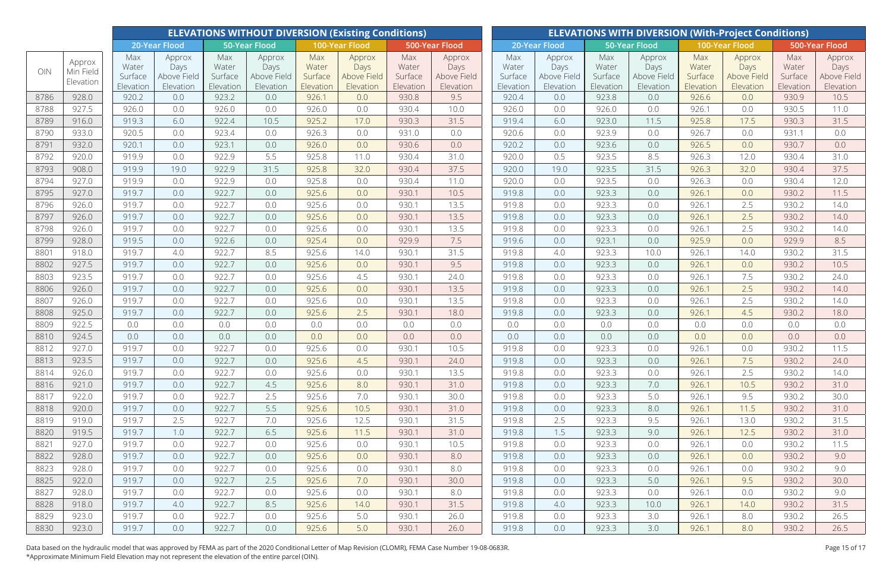|              |                                  |                                      |                                            |                                      | <b>ELEVATIONS WITHOUT DIVERSION (Existing Conditions)</b> |                                      |                                            |                                      | <b>ELEVATIONS WITH DIVERSION (With-Project Conditions)</b> |                                                                    |                                            |                                      |                                            |                                      |                                            |                                      |                                            |  |
|--------------|----------------------------------|--------------------------------------|--------------------------------------------|--------------------------------------|-----------------------------------------------------------|--------------------------------------|--------------------------------------------|--------------------------------------|------------------------------------------------------------|--------------------------------------------------------------------|--------------------------------------------|--------------------------------------|--------------------------------------------|--------------------------------------|--------------------------------------------|--------------------------------------|--------------------------------------------|--|
|              |                                  |                                      | 20-Year Flood                              |                                      | <b>50-Year Flood</b>                                      |                                      | 100-Year Flood                             |                                      | 500-Year Flood                                             | 500-Year Flood<br>20-Year Flood<br>50-Year Flood<br>100-Year Flood |                                            |                                      |                                            |                                      |                                            |                                      |                                            |  |
| OIN          | Approx<br>Min Field<br>Elevation | Max<br>Water<br>Surface<br>Elevation | Approx<br>Days<br>Above Field<br>Elevation | Max<br>Water<br>Surface<br>Elevation | Approx<br>Days<br>Above Field<br>Elevation                | Max<br>Water<br>Surface<br>Elevation | Approx<br>Days<br>Above Field<br>Elevation | Max<br>Water<br>Surface<br>Elevation | Approx<br>Days<br>Above Field<br>Elevation                 | Max<br>Water<br>Surface<br>Elevation                               | Approx<br>Days<br>Above Field<br>Elevation | Max<br>Water<br>Surface<br>Elevation | Approx<br>Days<br>Above Field<br>Elevation | Max<br>Water<br>Surface<br>Elevation | Approx<br>Days<br>Above Field<br>Elevation | Max<br>Water<br>Surface<br>Elevation | Approx<br>Days<br>Above Field<br>Elevation |  |
| 8786         | 928.0                            | 920.2                                | 0.0                                        | 923.2                                | 0.0                                                       | 926.1                                | 0.0                                        | 930.8                                | 9.5                                                        | 920.4                                                              | 0.0                                        | 923.8                                | 0.0                                        | 926.6                                | 0.0                                        | 930.9                                | 10.5                                       |  |
| 8788         | 927.5                            | 926.0                                | 0.0                                        | 926.0                                | 0.0                                                       | 926.0                                | 0.0                                        | 930.4                                | 10.0                                                       | 926.0                                                              | 0.0                                        | 926.0                                | 0.0                                        | 926.1                                | 0.0                                        | 930.5                                | 11.0                                       |  |
| 8789         | 916.0                            | 919.3                                | 6.0                                        | 922.4                                | 10.5                                                      | 925.2                                | 17.0                                       | 930.3                                | 31.5                                                       | 919.4                                                              | 6.0                                        | 923.0                                | 11.5                                       | 925.8                                | 17.5                                       | 930.3                                | 31.5                                       |  |
| 8790         | 933.0                            | 920.5                                | 0.0                                        | 923.4                                | 0.0                                                       | 926.3                                | 0.0                                        | 931.0                                | 0.0                                                        | 920.6                                                              | 0.0                                        | 923.9                                | 0.0                                        | 926.7                                | 0.0                                        | 931.1                                | 0.0                                        |  |
| 8791         | 932.0                            | 920.1                                | 0.0                                        | 923.1                                | 0.0                                                       | 926.0                                | 0.0                                        | 930.6                                | 0.0                                                        | 920.2                                                              | 0.0                                        | 923.6                                | 0.0                                        | 926.5                                | 0.0                                        | 930.7                                | 0.0                                        |  |
| 8792         | 920.0                            | 919.9                                | 0.0                                        | 922.9                                | 5.5                                                       | 925.8                                | 11.0                                       | 930.4                                | 31.0                                                       | 920.0                                                              | 0.5                                        | 923.5                                | 8.5                                        | 926.3                                | 12.0                                       | 930.4                                | 31.0                                       |  |
| 8793         | 908.0                            | 919.9                                | 19.0                                       | 922.9                                | 31.5                                                      | 925.8                                | 32.0                                       | 930.4                                | 37.5                                                       | 920.0                                                              | 19.0                                       | 923.5                                | 31.5                                       | 926.3                                | 32.0                                       | 930.4                                | 37.5                                       |  |
| 8794         | 927.0                            | 919.9                                | 0.0                                        | 922.9                                | 0.0                                                       | 925.8                                | 0.0                                        | 930.4                                | 11.0                                                       | 920.0                                                              | 0.0                                        | 923.5                                | 0.0                                        | 926.3                                | 0.0                                        | 930.4                                | 12.0                                       |  |
| 8795         | 927.0                            | 919.7                                | 0.0                                        | 922.7                                | 0.0                                                       | 925.6                                | 0.0                                        | 930.1                                | 10.5                                                       | 919.8                                                              | 0.0                                        | 923.3                                | 0.0                                        | 926.1                                | 0.0                                        | 930.2                                | 11.5                                       |  |
| 8796         | 926.0                            | 919.7                                | 0.0                                        | 922.7                                | 0.0                                                       | 925.6                                | 0.0                                        | 930.1                                | 13.5                                                       | 919.8                                                              | 0.0                                        | 923.3                                | 0.0                                        | 926.1                                | 2.5                                        | 930.2                                | 14.0                                       |  |
| 8797         | 926.0                            | 919.7                                | 0.0                                        | 922.7                                | 0.0                                                       | 925.6                                | 0.0                                        | 930.1                                | 13.5                                                       | 919.8                                                              | 0.0                                        | 923.3                                | 0.0                                        | 926.1                                | 2.5                                        | 930.2                                | 14.0                                       |  |
| 8798         | 926.0                            | 919.7                                | 0.0                                        | 922.7                                | 0.0                                                       | 925.6                                | 0.0                                        | 930.1                                | 13.5                                                       | 919.8                                                              | 0.0                                        | 923.3                                | 0.0                                        | 926.1                                | 2.5                                        | 930.2                                | 14.0                                       |  |
| 8799         | 928.0                            | 919.5                                | 0.0                                        | 922.6                                | 0.0                                                       | 925.4                                | 0.0                                        | 929.9                                | 7.5                                                        | 919.6                                                              | 0.0                                        | 923.1                                | 0.0                                        | 925.9                                | 0.0                                        | 929.9                                | 8.5                                        |  |
| 8801         | 918.0                            | 919.7                                | 4.0                                        | 922.7                                | 8.5                                                       | 925.6                                | 14.0                                       | 930.1                                | 31.5                                                       | 919.8                                                              | 4.0                                        | 923.3                                | 10.0                                       | 926.1                                | 14.0                                       | 930.2                                | 31.5                                       |  |
| 8802         | 927.5                            | 919.7                                | 0.0                                        | 922.7                                | 0.0                                                       | 925.6                                | 0.0                                        | 930.1                                | 9.5                                                        | 919.8                                                              | 0.0                                        | 923.3                                | 0.0                                        | 926.1                                | 0.0                                        | 930.2                                | 10.5                                       |  |
| 8803         | 923.5                            | 919.7                                | 0.0                                        | 922.7                                | 0.0                                                       | 925.6                                | 4.5                                        | 930.1                                | 24.0                                                       | 919.8                                                              | 0.0                                        | 923.3                                | 0.0                                        | 926.1                                | 7.5                                        | 930.2                                | 24.0                                       |  |
| 8806         | 926.0                            | 919.7                                | 0.0                                        | 922.7                                | 0.0                                                       | 925.6                                | 0.0                                        | 930.1                                | 13.5                                                       | 919.8                                                              | 0.0                                        | 923.3                                | 0.0                                        | 926.1                                | 2.5                                        | 930.2                                | 14.0                                       |  |
| 8807         | 926.0                            | 919.7                                | 0.0                                        | 922.7                                | 0.0                                                       | 925.6                                | 0.0                                        | 930.1                                | 13.5                                                       | 919.8                                                              | 0.0                                        | 923.3                                | 0.0                                        | 926.1                                | 2.5                                        | 930.2                                | 14.0                                       |  |
| 8808         | 925.0                            | 919.7                                | 0.0                                        | 922.7                                | 0.0                                                       | 925.6                                | 2.5                                        | 930.1                                | 18.0                                                       | 919.8                                                              | 0.0                                        | 923.3                                | 0.0                                        | 926.1                                | 4.5                                        | 930.2                                | 18.0                                       |  |
| 8809         | 922.5                            | 0.0                                  | 0.0                                        | 0.0                                  | 0.0                                                       | 0.0                                  | 0.0                                        | 0.0                                  | 0.0                                                        | 0.0                                                                | 0.0                                        | 0.0                                  | 0.0                                        | 0.0                                  | 0.0                                        | 0.0                                  | 0.0                                        |  |
| 8810         | 924.5                            | 0.0                                  | 0.0                                        | 0.0                                  | 0.0                                                       | 0.0                                  | 0.0                                        | 0.0                                  | 0.0                                                        | 0.0                                                                | 0.0                                        | 0.0                                  | 0.0                                        | 0.0                                  | 0.0                                        | 0.0                                  | 0.0                                        |  |
| 8812         | 927.0                            | 919.7                                | 0.0                                        | 922.7                                | 0.0                                                       | 925.6                                | 0.0                                        | 930.1                                | 10.5                                                       | 919.8                                                              | 0.0                                        | 923.3                                | 0.0                                        | 926.1                                | 0.0                                        | 930.2                                | 11.5                                       |  |
| 8813         | 923.5                            | 919.7                                | 0.0                                        | 922.7                                | 0.0                                                       | 925.6                                | 4.5                                        | 930.1                                | 24.0                                                       | 919.8                                                              | 0.0                                        | 923.3                                | 0.0                                        | 926.1                                | 7.5                                        | 930.2                                | 24.0                                       |  |
| 8814         | 926.0                            | 919.7                                | 0.0                                        | 922.7                                | 0.0                                                       | 925.6                                | 0.0                                        | 930.1                                | 13.5                                                       | 919.8                                                              | 0.0                                        | 923.3                                | 0.0                                        | 926.1                                | 2.5                                        | 930.2                                | 14.0                                       |  |
| 8816         | 921.0                            | 919.7                                | 0.0                                        | 922.7                                | 4.5                                                       | 925.6                                | 8.0                                        | 930.1                                | 31.0                                                       | 919.8                                                              | 0.0                                        | 923.3                                | 7.0                                        | 926.1                                | 10.5                                       | 930.2                                | 31.0                                       |  |
| 8817         | 922.0                            | 919.7                                | 0.0                                        | 922.7                                | 2.5                                                       | 925.6                                | 7.0                                        | 930.1                                | 30.0                                                       | 919.8                                                              | 0.0                                        | 923.3                                | 5.0                                        | 926.1                                | 9.5                                        | 930.2                                | 30.0                                       |  |
| 8818         | 920.0                            | 919.7                                | 0.0                                        | 922.7                                | 5.5                                                       | 925.6                                | 10.5                                       | 930.1                                | 31.0                                                       | 919.8                                                              | 0.0                                        | 923.3                                | 8.0                                        | 926.1                                | 11.5                                       | 930.2                                | 31.0                                       |  |
| 8819         | 919.0                            | 919.7                                | 2.5                                        | 922.7                                | 7.0                                                       | 925.6                                | 12.5                                       | 930.1                                | 31.5                                                       | 919.8                                                              | 2.5                                        | 923.3                                | 9.5                                        | 926.1                                | 13.0                                       | 930.2                                | 31.5                                       |  |
| 8820         | 919.5                            | 919.7                                | 1.0                                        | 922.7                                | 6.5                                                       | 925.6                                | 11.5                                       | 930.1                                | 31.0                                                       | 919.8                                                              | 1.5                                        | 923.3                                | 9.0                                        | 926.1                                | 12.5                                       | 930.2                                | 31.0                                       |  |
| 8821         | 927.0                            | 919.7                                | 0.0                                        | 922.7                                | 0.0                                                       | 925.6                                | 0.0                                        | 930.1                                | 10.5                                                       | 919.8                                                              | 0.0                                        | 923.3                                | 0.0                                        | 926.1                                | 0.0                                        | 930.2                                | 11.5                                       |  |
| 8822         | 928.0                            | 919.7                                | 0.0                                        | 922.7                                | 0.0                                                       | 925.6                                | 0.0                                        | 930.1                                | 8.0                                                        | 919.8                                                              | 0.0                                        | 923.3                                | 0.0                                        | 926.1                                | 0.0                                        | 930.2                                | 9.0                                        |  |
| 8823         | 928.0                            | 919.7                                | 0.0                                        | 922.7                                | 0.0                                                       | 925.6                                | 0.0                                        | 930.1                                | 8.0                                                        | 919.8                                                              | 0.0                                        | 923.3                                | 0.0                                        | 926.1                                | 0.0                                        | 930.2                                | 9.0                                        |  |
| 8825         | 922.0                            | 919.7                                | 0.0                                        | 922.7                                | 2.5                                                       | 925.6                                | 7.0                                        | 930.1                                | 30.0                                                       | 919.8                                                              | 0.0                                        | 923.3                                | 5.0                                        | 926.1                                | 9.5                                        | 930.2                                | 30.0                                       |  |
| 8827         | 928.0                            | 919.7                                | 0.0                                        | 922.7                                | 0.0                                                       | 925.6                                | 0.0                                        | 930.1                                | 8.0                                                        | 919.8                                                              | 0.0                                        | 923.3                                | 0.0                                        | 926.1                                | 0.0                                        | 930.2                                | 9.0                                        |  |
| 8828<br>8829 | 918.0<br>923.0                   | 919.7<br>919.7                       | 4.0<br>0.0                                 | 922.7<br>922.7                       | 8.5<br>0.0                                                | 925.6<br>925.6                       | 14.0<br>5.0                                | 930.1<br>930.1                       | 31.5<br>26.0                                               | 919.8<br>919.8                                                     | 4.0<br>0.0                                 | 923.3<br>923.3                       | 10.0<br>3.0                                | 926.1<br>926.1                       | 14.0<br>8.0                                | 930.2<br>930.2                       | 31.5<br>26.5                               |  |
| 8830         | 923.0                            | 919.7                                | 0.0                                        | 922.7                                | 0.0                                                       | 925.6                                | 5.0                                        | 930.1                                | 26.0                                                       | 919.8                                                              | 0.0                                        | 923.3                                | 3.0                                        | 926.1                                | 8.0                                        | 930.2                                | 26.5                                       |  |
|              |                                  |                                      |                                            |                                      |                                                           |                                      |                                            |                                      |                                                            |                                                                    |                                            |                                      |                                            |                                      |                                            |                                      |                                            |  |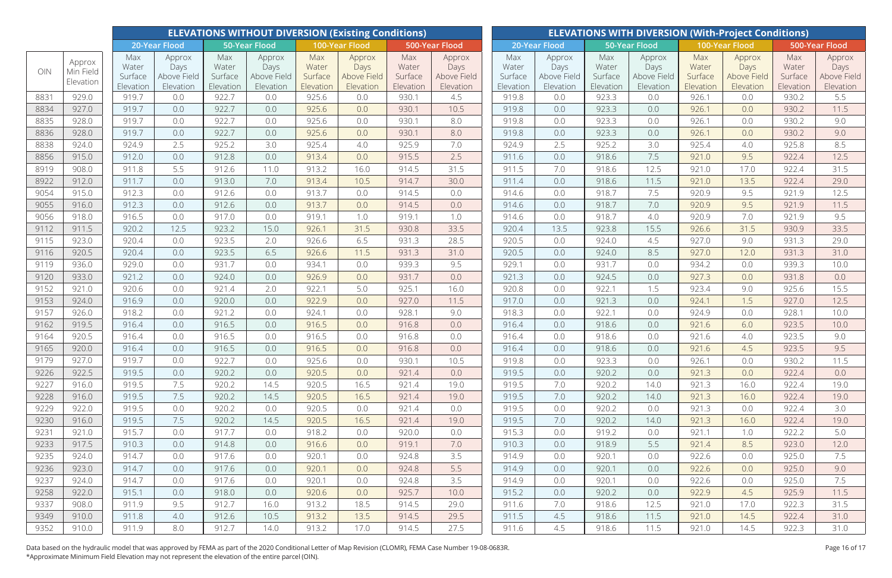|      |                     |                      |                          |                      | <b>ELEVATIONS WITHOUT DIVERSION (Existing Conditions)</b> |                      |                          |                      | <b>ELEVATIONS WITH DIVERSION (With-Project Conditions)</b> |                                                                    |                          |                      |                          |                      |                          |                      |                          |  |  |
|------|---------------------|----------------------|--------------------------|----------------------|-----------------------------------------------------------|----------------------|--------------------------|----------------------|------------------------------------------------------------|--------------------------------------------------------------------|--------------------------|----------------------|--------------------------|----------------------|--------------------------|----------------------|--------------------------|--|--|
|      |                     |                      | 20-Year Flood            |                      | <b>50-Year Flood</b>                                      |                      | 100-Year Flood           |                      | 500-Year Flood                                             | 500-Year Flood<br>20-Year Flood<br>50-Year Flood<br>100-Year Flood |                          |                      |                          |                      |                          |                      |                          |  |  |
| OIN  | Approx<br>Min Field | Max<br>Water         | Approx<br>Days           | Max<br>Water         | Approx<br>Days                                            | Max<br>Water         | Approx<br>Days           | Max<br>Water         | Approx<br>Days                                             | Max<br>Water                                                       | Approx<br>Days           | Max<br>Water         | Approx<br>Days           | Max<br>Water         | Approx<br>Days           | Max<br>Water         | Approx<br>Days           |  |  |
|      | Elevation           | Surface<br>Elevation | Above Field<br>Elevation | Surface<br>Elevation | Above Field<br>Elevation                                  | Surface<br>Elevation | Above Field<br>Elevation | Surface<br>Elevation | Above Field<br>Elevation                                   | Surface<br>Elevation                                               | Above Field<br>Elevation | Surface<br>Elevation | Above Field<br>Elevation | Surface<br>Elevation | Above Field<br>Elevation | Surface<br>Elevation | Above Field<br>Elevation |  |  |
| 8831 | 929.0               | 919.7                | 0.0                      | 922.7                | 0.0                                                       | 925.6                | 0.0                      | 930.1                | 4.5                                                        | 919.8                                                              | 0.0                      | 923.3                | 0.0                      | 926.1                | 0.0                      | 930.2                | 5.5                      |  |  |
| 8834 | 927.0               | 919.7                | 0.0                      | 922.7                | 0.0                                                       | 925.6                | 0.0                      | 930.1                | 10.5                                                       | 919.8                                                              | 0.0                      | 923.3                | 0.0                      | 926.1                | 0.0                      | 930.2                | 11.5                     |  |  |
| 8835 | 928.0               | 919.7                | 0.0                      | 922.7                | 0.0                                                       | 925.6                | 0.0                      | 930.1                | 8.0                                                        | 919.8                                                              | 0.0                      | 923.3                | 0.0                      | 926.1                | 0.0                      | 930.2                | 9.0                      |  |  |
| 8836 | 928.0               | 919.7                | 0.0                      | 922.7                | 0.0                                                       | 925.6                | 0.0                      | 930.1                | 8.0                                                        | 919.8                                                              | 0.0                      | 923.3                | 0.0                      | 926.1                | 0.0                      | 930.2                | 9.0                      |  |  |
| 8838 | 924.0               | 924.9                | 2.5                      | 925.2                | 3.0                                                       | 925.4                | 4.0                      | 925.9                | 7.0                                                        | 924.9                                                              | 2.5                      | 925.2                | 3.0                      | 925.4                | 4.0                      | 925.8                | 8.5                      |  |  |
| 8856 | 915.0               | 912.0                | 0.0                      | 912.8                | 0.0                                                       | 913.4                | 0.0                      | 915.5                | 2.5                                                        | 911.6                                                              | 0.0                      | 918.6                | 7.5                      | 921.0                | 9.5                      | 922.4                | 12.5                     |  |  |
| 8919 | 908.0               | 911.8                | 5.5                      | 912.6                | 11.0                                                      | 913.2                | 16.0                     | 914.5                | 31.5                                                       | 911.5                                                              | 7.0                      | 918.6                | 12.5                     | 921.0                | 17.0                     | 922.4                | 31.5                     |  |  |
| 8922 | 912.0               | 911.7                | 0.0                      | 913.0                | 7.0                                                       | 913.4                | 10.5                     | 914.7                | 30.0                                                       | 911.4                                                              | 0.0                      | 918.6                | 11.5                     | 921.0                | 13.5                     | 922.4                | 29.0                     |  |  |
| 9054 | 915.0               | 912.3                | 0.0                      | 912.6                | 0.0                                                       | 913.7                | 0.0                      | 914.5                | 0.0                                                        | 914.6                                                              | 0.0                      | 918.7                | 7.5                      | 920.9                | 9.5                      | 921.9                | 12.5                     |  |  |
| 9055 | 916.0               | 912.3                | 0.0                      | 912.6                | 0.0                                                       | 913.7                | 0.0                      | 914.5                | 0.0                                                        | 914.6                                                              | 0.0                      | 918.7                | 7.0                      | 920.9                | 9.5                      | 921.9                | 11.5                     |  |  |
| 9056 | 918.0               | 916.5                | 0.0                      | 917.0                | 0.0                                                       | 919.1                | 1.0                      | 919.1                | 1.0                                                        | 914.6                                                              | 0.0                      | 918.7                | 4.0                      | 920.9                | 7.0                      | 921.9                | 9.5                      |  |  |
| 9112 | 911.5               | 920.2                | 12.5                     | 923.2                | 15.0                                                      | 926.1                | 31.5                     | 930.8                | 33.5                                                       | 920.4                                                              | 13.5                     | 923.8                | 15.5                     | 926.6                | 31.5                     | 930.9                | 33.5                     |  |  |
| 9115 | 923.0               | 920.4                | 0.0                      | 923.5                | 2.0                                                       | 926.6                | 6.5                      | 931.3                | 28.5                                                       | 920.5                                                              | 0.0                      | 924.0                | 4.5                      | 927.0                | 9.0                      | 931.3                | 29.0                     |  |  |
| 9116 | 920.5               | 920.4                | 0.0                      | 923.5                | 6.5                                                       | 926.6                | 11.5                     | 931.3                | 31.0                                                       | 920.5                                                              | 0.0                      | 924.0                | 8.5                      | 927.0                | 12.0                     | 931.3                | 31.0                     |  |  |
| 9119 | 936.0               | 929.0                | 0.0                      | 931.7                | 0.0                                                       | 934.1                | 0.0                      | 939.3                | 9.5                                                        | 929.1                                                              | 0.0                      | 931.7                | 0.0                      | 934.2                | 0.0                      | 939.3                | 10.0                     |  |  |
| 9120 | 933.0               | 921.2                | 0.0                      | 924.0                | 0.0                                                       | 926.9                | 0.0                      | 931.7                | 0.0                                                        | 921.3                                                              | 0.0                      | 924.5                | 0.0                      | 927.3                | 0.0                      | 931.8                | 0.0                      |  |  |
| 9152 | 921.0               | 920.6                | 0.0                      | 921.4                | 2.0                                                       | 922.1                | 5.0                      | 925.1                | 16.0                                                       | 920.8                                                              | 0.0                      | 922.1                | 1.5                      | 923.4                | 9.0                      | 925.6                | 15.5                     |  |  |
| 9153 | 924.0               | 916.9                | 0.0                      | 920.0                | 0.0                                                       | 922.9                | 0.0                      | 927.0                | 11.5                                                       | 917.0                                                              | 0.0                      | 921.3                | 0.0                      | 924.1                | 1.5                      | 927.0                | 12.5                     |  |  |
| 9157 | 926.0               | 918.2                | 0.0                      | 921.2                | 0.0                                                       | 924.1                | 0.0                      | 928.1                | 9.0                                                        | 918.3                                                              | 0.0                      | 922.1                | 0.0                      | 924.9                | 0.0                      | 928.1                | 10.0                     |  |  |
| 9162 | 919.5               | 916.4                | 0.0                      | 916.5                | 0.0                                                       | 916.5                | 0.0                      | 916.8                | 0.0                                                        | 916.4                                                              | 0.0                      | 918.6                | 0.0                      | 921.6                | 6.0                      | 923.5                | 10.0                     |  |  |
| 9164 | 920.5               | 916.4                | 0.0                      | 916.5                | 0.0                                                       | 916.5                | 0.0                      | 916.8                | 0.0                                                        | 916.4                                                              | 0.0                      | 918.6                | 0.0                      | 921.6                | 4.0                      | 923.5                | 9.0                      |  |  |
| 9165 | 920.0               | 916.4                | 0.0                      | 916.5                | 0.0                                                       | 916.5                | 0.0                      | 916.8                | 0.0                                                        | 916.4                                                              | 0.0                      | 918.6                | 0.0                      | 921.6                | 4.5                      | 923.5                | 9.5                      |  |  |
| 9179 | 927.0               | 919.7                | 0.0                      | 922.7                | 0.0                                                       | 925.6                | 0.0                      | 930.1                | 10.5                                                       | 919.8                                                              | 0.0                      | 923.3                | 0.0                      | 926.1                | 0.0                      | 930.2                | 11.5                     |  |  |
| 9226 | 922.5               | 919.5                | 0.0                      | 920.2                | 0.0                                                       | 920.5                | 0.0                      | 921.4                | 0.0                                                        | 919.5                                                              | 0.0                      | 920.2                | 0.0                      | 921.3                | 0.0                      | 922.4                | 0.0                      |  |  |
| 9227 | 916.0               | 919.5                | 7.5                      | 920.2                | 14.5                                                      | 920.5                | 16.5                     | 921.4                | 19.0                                                       | 919.5                                                              | 7.0                      | 920.2                | 14.0                     | 921.3                | 16.0                     | 922.4                | 19.0                     |  |  |
| 9228 | 916.0               | 919.5                | 7.5                      | 920.2                | 14.5                                                      | 920.5                | 16.5                     | 921.4                | 19.0                                                       | 919.5                                                              | 7.0                      | 920.2                | 14.0                     | 921.3                | 16.0                     | 922.4                | 19.0                     |  |  |
| 9229 | 922.0               | 919.5                | 0.0                      | 920.2                | 0.0                                                       | 920.5                | 0.0                      | 921.4                | 0.0                                                        | 919.5                                                              | 0.0                      | 920.2                | 0.0                      | 921.3                | 0.0                      | 922.4                | 3.0                      |  |  |
| 9230 | 916.0               | 919.5                | 7.5                      | 920.2                | 14.5                                                      | 920.5                | 16.5                     | 921.4                | 19.0                                                       | 919.5                                                              | 7.0                      | 920.2                | 14.0                     | 921.3                | 16.0                     | 922.4                | 19.0                     |  |  |
| 9231 | 921.0               | 915.7                | 0.0                      | 917.7                | 0.0                                                       | 918.2                | 0.0                      | 920.0                | 0.0                                                        | 915.3                                                              | 0.0                      | 919.2                | 0.0                      | 921.1                | 1.0                      | 922.2                | 5.0                      |  |  |
| 9233 | 917.5               | 910.3                | 0.0                      | 914.8                | 0.0                                                       | 916.6                | 0.0                      | 919.1                | 7.0                                                        | 910.3                                                              | 0.0                      | 918.9                | 5.5                      | 921.4                | 8.5                      | 923.0                | 12.0                     |  |  |
| 9235 | 924.0               | 914.7                | 0.0                      | 917.6                | 0.0                                                       | 920.1                | 0.0                      | 924.8                | 3.5                                                        | 914.9                                                              | 0.0                      | 920.1                | 0.0                      | 922.6                | 0.0                      | 925.0                | 7.5                      |  |  |
| 9236 | 923.0               | 914.7                | 0.0                      | 917.6                | 0.0                                                       | 920.1                | 0.0                      | 924.8                | 5.5                                                        | 914.9                                                              | 0.0                      | 920.1                | 0.0                      | 922.6                | 0.0                      | 925.0                | 9.0                      |  |  |
| 9237 | 924.0               | 914.7                | 0.0                      | 917.6                | 0.0                                                       | 920.1                | 0.0                      | 924.8                | 3.5                                                        | 914.9                                                              | 0.0                      | 920.1                | 0.0                      | 922.6                | 0.0                      | 925.0                | 7.5                      |  |  |
| 9258 | 922.0               | 915.1                | 0.0                      | 918.0                | 0.0                                                       | 920.6                | 0.0                      | 925.7                | 10.0                                                       | 915.2                                                              | 0.0                      | 920.2                | 0.0                      | 922.9                | 4.5                      | 925.9                | 11.5                     |  |  |
| 9337 | 908.0               | 911.9                | 9.5                      | 912.7                | 16.0                                                      | 913.2                | 18.5                     | 914.5                | 29.0                                                       | 911.6                                                              | 7.0                      | 918.6                | 12.5                     | 921.0                | 17.0                     | 922.3                | 31.5                     |  |  |
| 9349 | 910.0               | 911.8                | 4.0                      | 912.6                | 10.5                                                      | 913.2                | 13.5                     | 914.5                | 29.5                                                       | 911.5                                                              | 4.5                      | 918.6                | 11.5                     | 921.0                | 14.5                     | 922.4                | 31.0                     |  |  |
| 9352 | 910.0               | 911.9                | 8.0                      | 912.7                | 14.0                                                      | 913.2                | 17.0                     | 914.5                | 27.5                                                       | 911.6                                                              | 4.5                      | 918.6                | 11.5                     | 921.0                | 14.5                     | 922.3                | 31.0                     |  |  |